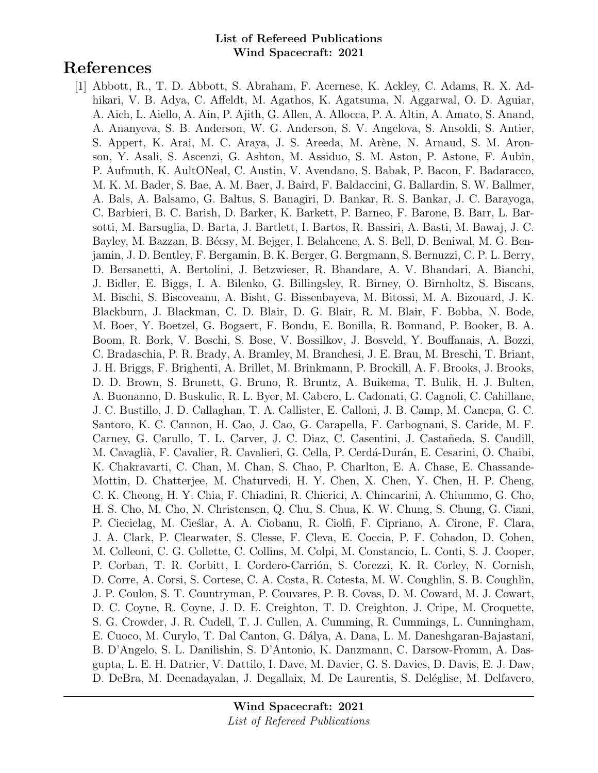# References

[1] Abbott, R., T. D. Abbott, S. Abraham, F. Acernese, K. Ackley, C. Adams, R. X. Adhikari, V. B. Adya, C. Affeldt, M. Agathos, K. Agatsuma, N. Aggarwal, O. D. Aguiar, A. Aich, L. Aiello, A. Ain, P. Ajith, G. Allen, A. Allocca, P. A. Altin, A. Amato, S. Anand, A. Ananyeva, S. B. Anderson, W. G. Anderson, S. V. Angelova, S. Ansoldi, S. Antier, S. Appert, K. Arai, M. C. Araya, J. S. Areeda, M. Arène, N. Arnaud, S. M. Aronson, Y. Asali, S. Ascenzi, G. Ashton, M. Assiduo, S. M. Aston, P. Astone, F. Aubin, P. Aufmuth, K. AultONeal, C. Austin, V. Avendano, S. Babak, P. Bacon, F. Badaracco, M. K. M. Bader, S. Bae, A. M. Baer, J. Baird, F. Baldaccini, G. Ballardin, S. W. Ballmer, A. Bals, A. Balsamo, G. Baltus, S. Banagiri, D. Bankar, R. S. Bankar, J. C. Barayoga, C. Barbieri, B. C. Barish, D. Barker, K. Barkett, P. Barneo, F. Barone, B. Barr, L. Barsotti, M. Barsuglia, D. Barta, J. Bartlett, I. Bartos, R. Bassiri, A. Basti, M. Bawaj, J. C. Bayley, M. Bazzan, B. Bécsy, M. Bejger, I. Belahcene, A. S. Bell, D. Beniwal, M. G. Benjamin, J. D. Bentley, F. Bergamin, B. K. Berger, G. Bergmann, S. Bernuzzi, C. P. L. Berry, D. Bersanetti, A. Bertolini, J. Betzwieser, R. Bhandare, A. V. Bhandari, A. Bianchi, J. Bidler, E. Biggs, I. A. Bilenko, G. Billingsley, R. Birney, O. Birnholtz, S. Biscans, M. Bischi, S. Biscoveanu, A. Bisht, G. Bissenbayeva, M. Bitossi, M. A. Bizouard, J. K. Blackburn, J. Blackman, C. D. Blair, D. G. Blair, R. M. Blair, F. Bobba, N. Bode, M. Boer, Y. Boetzel, G. Bogaert, F. Bondu, E. Bonilla, R. Bonnand, P. Booker, B. A. Boom, R. Bork, V. Boschi, S. Bose, V. Bossilkov, J. Bosveld, Y. Bouffanais, A. Bozzi, C. Bradaschia, P. R. Brady, A. Bramley, M. Branchesi, J. E. Brau, M. Breschi, T. Briant, J. H. Briggs, F. Brighenti, A. Brillet, M. Brinkmann, P. Brockill, A. F. Brooks, J. Brooks, D. D. Brown, S. Brunett, G. Bruno, R. Bruntz, A. Buikema, T. Bulik, H. J. Bulten, A. Buonanno, D. Buskulic, R. L. Byer, M. Cabero, L. Cadonati, G. Cagnoli, C. Cahillane, J. C. Bustillo, J. D. Callaghan, T. A. Callister, E. Calloni, J. B. Camp, M. Canepa, G. C. Santoro, K. C. Cannon, H. Cao, J. Cao, G. Carapella, F. Carbognani, S. Caride, M. F. Carney, G. Carullo, T. L. Carver, J. C. Diaz, C. Casentini, J. Castañeda, S. Caudill, M. Cavaglià, F. Cavalier, R. Cavalieri, G. Cella, P. Cerdá-Durán, E. Cesarini, O. Chaibi, K. Chakravarti, C. Chan, M. Chan, S. Chao, P. Charlton, E. A. Chase, E. Chassande-Mottin, D. Chatterjee, M. Chaturvedi, H. Y. Chen, X. Chen, Y. Chen, H. P. Cheng, C. K. Cheong, H. Y. Chia, F. Chiadini, R. Chierici, A. Chincarini, A. Chiummo, G. Cho, H. S. Cho, M. Cho, N. Christensen, Q. Chu, S. Chua, K. W. Chung, S. Chung, G. Ciani, P. Ciecielag, M. Cieślar, A. A. Ciobanu, R. Ciolfi, F. Cipriano, A. Cirone, F. Clara, J. A. Clark, P. Clearwater, S. Clesse, F. Cleva, E. Coccia, P. F. Cohadon, D. Cohen, M. Colleoni, C. G. Collette, C. Collins, M. Colpi, M. Constancio, L. Conti, S. J. Cooper, P. Corban, T. R. Corbitt, I. Cordero-Carrión, S. Corezzi, K. R. Corley, N. Cornish, D. Corre, A. Corsi, S. Cortese, C. A. Costa, R. Cotesta, M. W. Coughlin, S. B. Coughlin, J. P. Coulon, S. T. Countryman, P. Couvares, P. B. Covas, D. M. Coward, M. J. Cowart, D. C. Coyne, R. Coyne, J. D. E. Creighton, T. D. Creighton, J. Cripe, M. Croquette, S. G. Crowder, J. R. Cudell, T. J. Cullen, A. Cumming, R. Cummings, L. Cunningham, E. Cuoco, M. Curylo, T. Dal Canton, G. D´alya, A. Dana, L. M. Daneshgaran-Bajastani, B. D'Angelo, S. L. Danilishin, S. D'Antonio, K. Danzmann, C. Darsow-Fromm, A. Dasgupta, L. E. H. Datrier, V. Dattilo, I. Dave, M. Davier, G. S. Davies, D. Davis, E. J. Daw, D. DeBra, M. Deenadayalan, J. Degallaix, M. De Laurentis, S. Deléglise, M. Delfavero,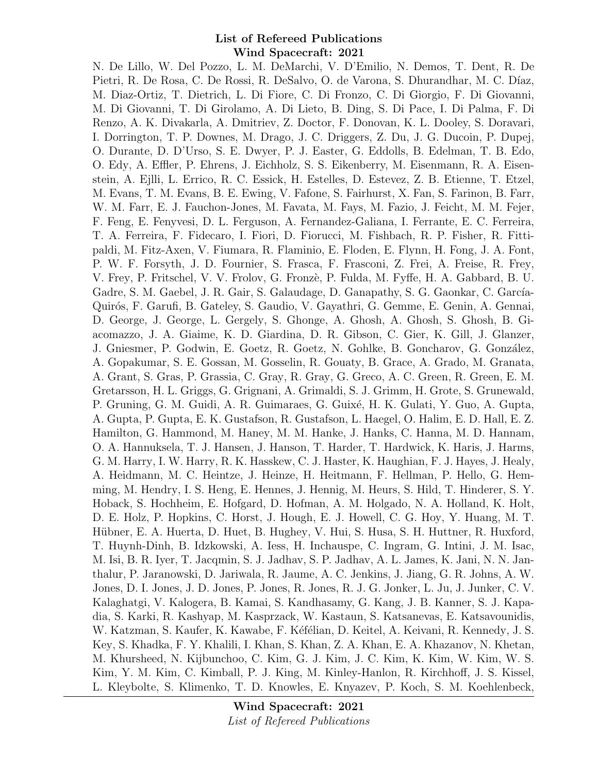N. De Lillo, W. Del Pozzo, L. M. DeMarchi, V. D'Emilio, N. Demos, T. Dent, R. De Pietri, R. De Rosa, C. De Rossi, R. DeSalvo, O. de Varona, S. Dhurandhar, M. C. Díaz, M. Diaz-Ortiz, T. Dietrich, L. Di Fiore, C. Di Fronzo, C. Di Giorgio, F. Di Giovanni, M. Di Giovanni, T. Di Girolamo, A. Di Lieto, B. Ding, S. Di Pace, I. Di Palma, F. Di Renzo, A. K. Divakarla, A. Dmitriev, Z. Doctor, F. Donovan, K. L. Dooley, S. Doravari, I. Dorrington, T. P. Downes, M. Drago, J. C. Driggers, Z. Du, J. G. Ducoin, P. Dupej, O. Durante, D. D'Urso, S. E. Dwyer, P. J. Easter, G. Eddolls, B. Edelman, T. B. Edo, O. Edy, A. Effler, P. Ehrens, J. Eichholz, S. S. Eikenberry, M. Eisenmann, R. A. Eisenstein, A. Ejlli, L. Errico, R. C. Essick, H. Estelles, D. Estevez, Z. B. Etienne, T. Etzel, M. Evans, T. M. Evans, B. E. Ewing, V. Fafone, S. Fairhurst, X. Fan, S. Farinon, B. Farr, W. M. Farr, E. J. Fauchon-Jones, M. Favata, M. Fays, M. Fazio, J. Feicht, M. M. Fejer, F. Feng, E. Fenyvesi, D. L. Ferguson, A. Fernandez-Galiana, I. Ferrante, E. C. Ferreira, T. A. Ferreira, F. Fidecaro, I. Fiori, D. Fiorucci, M. Fishbach, R. P. Fisher, R. Fittipaldi, M. Fitz-Axen, V. Fiumara, R. Flaminio, E. Floden, E. Flynn, H. Fong, J. A. Font, P. W. F. Forsyth, J. D. Fournier, S. Frasca, F. Frasconi, Z. Frei, A. Freise, R. Frey, V. Frey, P. Fritschel, V. V. Frolov, G. Fronz`e, P. Fulda, M. Fyffe, H. A. Gabbard, B. U. Gadre, S. M. Gaebel, J. R. Gair, S. Galaudage, D. Ganapathy, S. G. Gaonkar, C. García-Quirós, F. Garufi, B. Gateley, S. Gaudio, V. Gayathri, G. Gemme, E. Genin, A. Gennai, D. George, J. George, L. Gergely, S. Ghonge, A. Ghosh, A. Ghosh, S. Ghosh, B. Giacomazzo, J. A. Giaime, K. D. Giardina, D. R. Gibson, C. Gier, K. Gill, J. Glanzer, J. Gniesmer, P. Godwin, E. Goetz, R. Goetz, N. Gohlke, B. Goncharov, G. González, A. Gopakumar, S. E. Gossan, M. Gosselin, R. Gouaty, B. Grace, A. Grado, M. Granata, A. Grant, S. Gras, P. Grassia, C. Gray, R. Gray, G. Greco, A. C. Green, R. Green, E. M. Gretarsson, H. L. Griggs, G. Grignani, A. Grimaldi, S. J. Grimm, H. Grote, S. Grunewald, P. Gruning, G. M. Guidi, A. R. Guimaraes, G. Guixé, H. K. Gulati, Y. Guo, A. Gupta, A. Gupta, P. Gupta, E. K. Gustafson, R. Gustafson, L. Haegel, O. Halim, E. D. Hall, E. Z. Hamilton, G. Hammond, M. Haney, M. M. Hanke, J. Hanks, C. Hanna, M. D. Hannam, O. A. Hannuksela, T. J. Hansen, J. Hanson, T. Harder, T. Hardwick, K. Haris, J. Harms, G. M. Harry, I. W. Harry, R. K. Hasskew, C. J. Haster, K. Haughian, F. J. Hayes, J. Healy, A. Heidmann, M. C. Heintze, J. Heinze, H. Heitmann, F. Hellman, P. Hello, G. Hemming, M. Hendry, I. S. Heng, E. Hennes, J. Hennig, M. Heurs, S. Hild, T. Hinderer, S. Y. Hoback, S. Hochheim, E. Hofgard, D. Hofman, A. M. Holgado, N. A. Holland, K. Holt, D. E. Holz, P. Hopkins, C. Horst, J. Hough, E. J. Howell, C. G. Hoy, Y. Huang, M. T. Hübner, E. A. Huerta, D. Huet, B. Hughey, V. Hui, S. Husa, S. H. Huttner, R. Huxford, T. Huynh-Dinh, B. Idzkowski, A. Iess, H. Inchauspe, C. Ingram, G. Intini, J. M. Isac, M. Isi, B. R. Iyer, T. Jacqmin, S. J. Jadhav, S. P. Jadhav, A. L. James, K. Jani, N. N. Janthalur, P. Jaranowski, D. Jariwala, R. Jaume, A. C. Jenkins, J. Jiang, G. R. Johns, A. W. Jones, D. I. Jones, J. D. Jones, P. Jones, R. Jones, R. J. G. Jonker, L. Ju, J. Junker, C. V. Kalaghatgi, V. Kalogera, B. Kamai, S. Kandhasamy, G. Kang, J. B. Kanner, S. J. Kapadia, S. Karki, R. Kashyap, M. Kasprzack, W. Kastaun, S. Katsanevas, E. Katsavounidis, W. Katzman, S. Kaufer, K. Kawabe, F. Kéfélian, D. Keitel, A. Keivani, R. Kennedy, J. S. Key, S. Khadka, F. Y. Khalili, I. Khan, S. Khan, Z. A. Khan, E. A. Khazanov, N. Khetan, M. Khursheed, N. Kijbunchoo, C. Kim, G. J. Kim, J. C. Kim, K. Kim, W. Kim, W. S. Kim, Y. M. Kim, C. Kimball, P. J. King, M. Kinley-Hanlon, R. Kirchhoff, J. S. Kissel, L. Kleybolte, S. Klimenko, T. D. Knowles, E. Knyazev, P. Koch, S. M. Koehlenbeck,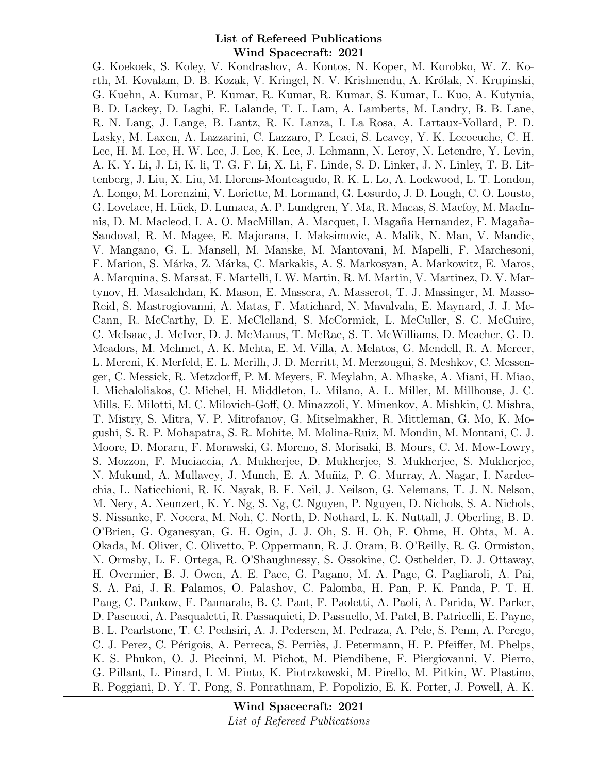G. Koekoek, S. Koley, V. Kondrashov, A. Kontos, N. Koper, M. Korobko, W. Z. Korth, M. Kovalam, D. B. Kozak, V. Kringel, N. V. Krishnendu, A. Królak, N. Krupinski, G. Kuehn, A. Kumar, P. Kumar, R. Kumar, R. Kumar, S. Kumar, L. Kuo, A. Kutynia, B. D. Lackey, D. Laghi, E. Lalande, T. L. Lam, A. Lamberts, M. Landry, B. B. Lane, R. N. Lang, J. Lange, B. Lantz, R. K. Lanza, I. La Rosa, A. Lartaux-Vollard, P. D. Lasky, M. Laxen, A. Lazzarini, C. Lazzaro, P. Leaci, S. Leavey, Y. K. Lecoeuche, C. H. Lee, H. M. Lee, H. W. Lee, J. Lee, K. Lee, J. Lehmann, N. Leroy, N. Letendre, Y. Levin, A. K. Y. Li, J. Li, K. li, T. G. F. Li, X. Li, F. Linde, S. D. Linker, J. N. Linley, T. B. Littenberg, J. Liu, X. Liu, M. Llorens-Monteagudo, R. K. L. Lo, A. Lockwood, L. T. London, A. Longo, M. Lorenzini, V. Loriette, M. Lormand, G. Losurdo, J. D. Lough, C. O. Lousto, G. Lovelace, H. Lück, D. Lumaca, A. P. Lundgren, Y. Ma, R. Macas, S. Macfoy, M. MacInnis, D. M. Macleod, I. A. O. MacMillan, A. Macquet, I. Magaña Hernandez, F. Magaña-Sandoval, R. M. Magee, E. Majorana, I. Maksimovic, A. Malik, N. Man, V. Mandic, V. Mangano, G. L. Mansell, M. Manske, M. Mantovani, M. Mapelli, F. Marchesoni, F. Marion, S. M´arka, Z. M´arka, C. Markakis, A. S. Markosyan, A. Markowitz, E. Maros, A. Marquina, S. Marsat, F. Martelli, I. W. Martin, R. M. Martin, V. Martinez, D. V. Martynov, H. Masalehdan, K. Mason, E. Massera, A. Masserot, T. J. Massinger, M. Masso-Reid, S. Mastrogiovanni, A. Matas, F. Matichard, N. Mavalvala, E. Maynard, J. J. Mc-Cann, R. McCarthy, D. E. McClelland, S. McCormick, L. McCuller, S. C. McGuire, C. McIsaac, J. McIver, D. J. McManus, T. McRae, S. T. McWilliams, D. Meacher, G. D. Meadors, M. Mehmet, A. K. Mehta, E. M. Villa, A. Melatos, G. Mendell, R. A. Mercer, L. Mereni, K. Merfeld, E. L. Merilh, J. D. Merritt, M. Merzougui, S. Meshkov, C. Messenger, C. Messick, R. Metzdorff, P. M. Meyers, F. Meylahn, A. Mhaske, A. Miani, H. Miao, I. Michaloliakos, C. Michel, H. Middleton, L. Milano, A. L. Miller, M. Millhouse, J. C. Mills, E. Milotti, M. C. Milovich-Goff, O. Minazzoli, Y. Minenkov, A. Mishkin, C. Mishra, T. Mistry, S. Mitra, V. P. Mitrofanov, G. Mitselmakher, R. Mittleman, G. Mo, K. Mogushi, S. R. P. Mohapatra, S. R. Mohite, M. Molina-Ruiz, M. Mondin, M. Montani, C. J. Moore, D. Moraru, F. Morawski, G. Moreno, S. Morisaki, B. Mours, C. M. Mow-Lowry, S. Mozzon, F. Muciaccia, A. Mukherjee, D. Mukherjee, S. Mukherjee, S. Mukherjee, N. Mukund, A. Mullavey, J. Munch, E. A. Mu˜niz, P. G. Murray, A. Nagar, I. Nardecchia, L. Naticchioni, R. K. Nayak, B. F. Neil, J. Neilson, G. Nelemans, T. J. N. Nelson, M. Nery, A. Neunzert, K. Y. Ng, S. Ng, C. Nguyen, P. Nguyen, D. Nichols, S. A. Nichols, S. Nissanke, F. Nocera, M. Noh, C. North, D. Nothard, L. K. Nuttall, J. Oberling, B. D. O'Brien, G. Oganesyan, G. H. Ogin, J. J. Oh, S. H. Oh, F. Ohme, H. Ohta, M. A. Okada, M. Oliver, C. Olivetto, P. Oppermann, R. J. Oram, B. O'Reilly, R. G. Ormiston, N. Ormsby, L. F. Ortega, R. O'Shaughnessy, S. Ossokine, C. Osthelder, D. J. Ottaway, H. Overmier, B. J. Owen, A. E. Pace, G. Pagano, M. A. Page, G. Pagliaroli, A. Pai, S. A. Pai, J. R. Palamos, O. Palashov, C. Palomba, H. Pan, P. K. Panda, P. T. H. Pang, C. Pankow, F. Pannarale, B. C. Pant, F. Paoletti, A. Paoli, A. Parida, W. Parker, D. Pascucci, A. Pasqualetti, R. Passaquieti, D. Passuello, M. Patel, B. Patricelli, E. Payne, B. L. Pearlstone, T. C. Pechsiri, A. J. Pedersen, M. Pedraza, A. Pele, S. Penn, A. Perego, C. J. Perez, C. Périgois, A. Perreca, S. Perriès, J. Petermann, H. P. Pfeiffer, M. Phelps, K. S. Phukon, O. J. Piccinni, M. Pichot, M. Piendibene, F. Piergiovanni, V. Pierro, G. Pillant, L. Pinard, I. M. Pinto, K. Piotrzkowski, M. Pirello, M. Pitkin, W. Plastino, R. Poggiani, D. Y. T. Pong, S. Ponrathnam, P. Popolizio, E. K. Porter, J. Powell, A. K.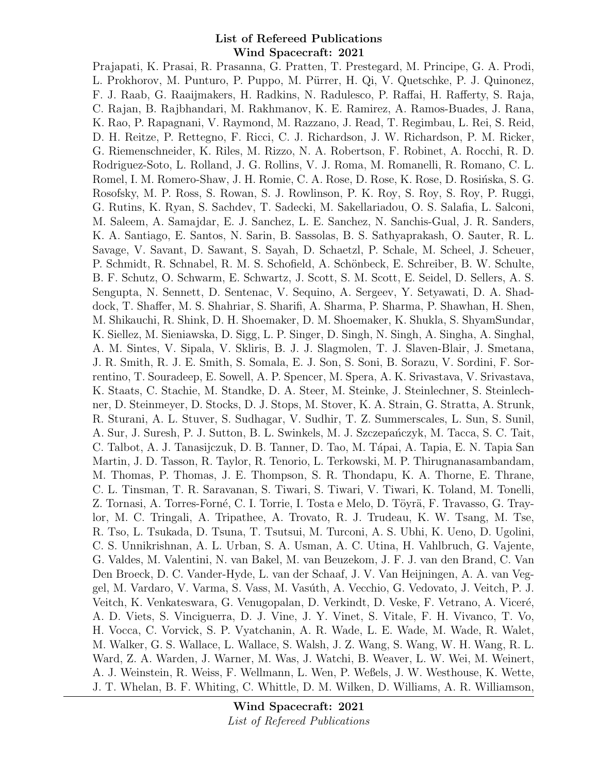Prajapati, K. Prasai, R. Prasanna, G. Pratten, T. Prestegard, M. Principe, G. A. Prodi, L. Prokhorov, M. Punturo, P. Puppo, M. Pürrer, H. Qi, V. Quetschke, P. J. Quinonez, F. J. Raab, G. Raaijmakers, H. Radkins, N. Radulesco, P. Raffai, H. Rafferty, S. Raja, C. Rajan, B. Rajbhandari, M. Rakhmanov, K. E. Ramirez, A. Ramos-Buades, J. Rana, K. Rao, P. Rapagnani, V. Raymond, M. Razzano, J. Read, T. Regimbau, L. Rei, S. Reid, D. H. Reitze, P. Rettegno, F. Ricci, C. J. Richardson, J. W. Richardson, P. M. Ricker, G. Riemenschneider, K. Riles, M. Rizzo, N. A. Robertson, F. Robinet, A. Rocchi, R. D. Rodriguez-Soto, L. Rolland, J. G. Rollins, V. J. Roma, M. Romanelli, R. Romano, C. L. Romel, I. M. Romero-Shaw, J. H. Romie, C. A. Rose, D. Rose, K. Rose, D. Rosińska, S. G. Rosofsky, M. P. Ross, S. Rowan, S. J. Rowlinson, P. K. Roy, S. Roy, S. Roy, P. Ruggi, G. Rutins, K. Ryan, S. Sachdev, T. Sadecki, M. Sakellariadou, O. S. Salafia, L. Salconi, M. Saleem, A. Samajdar, E. J. Sanchez, L. E. Sanchez, N. Sanchis-Gual, J. R. Sanders, K. A. Santiago, E. Santos, N. Sarin, B. Sassolas, B. S. Sathyaprakash, O. Sauter, R. L. Savage, V. Savant, D. Sawant, S. Sayah, D. Schaetzl, P. Schale, M. Scheel, J. Scheuer, P. Schmidt, R. Schnabel, R. M. S. Schofield, A. Schönbeck, E. Schreiber, B. W. Schulte, B. F. Schutz, O. Schwarm, E. Schwartz, J. Scott, S. M. Scott, E. Seidel, D. Sellers, A. S. Sengupta, N. Sennett, D. Sentenac, V. Sequino, A. Sergeev, Y. Setyawati, D. A. Shaddock, T. Shaffer, M. S. Shahriar, S. Sharifi, A. Sharma, P. Sharma, P. Shawhan, H. Shen, M. Shikauchi, R. Shink, D. H. Shoemaker, D. M. Shoemaker, K. Shukla, S. ShyamSundar, K. Siellez, M. Sieniawska, D. Sigg, L. P. Singer, D. Singh, N. Singh, A. Singha, A. Singhal, A. M. Sintes, V. Sipala, V. Skliris, B. J. J. Slagmolen, T. J. Slaven-Blair, J. Smetana, J. R. Smith, R. J. E. Smith, S. Somala, E. J. Son, S. Soni, B. Sorazu, V. Sordini, F. Sorrentino, T. Souradeep, E. Sowell, A. P. Spencer, M. Spera, A. K. Srivastava, V. Srivastava, K. Staats, C. Stachie, M. Standke, D. A. Steer, M. Steinke, J. Steinlechner, S. Steinlechner, D. Steinmeyer, D. Stocks, D. J. Stops, M. Stover, K. A. Strain, G. Stratta, A. Strunk, R. Sturani, A. L. Stuver, S. Sudhagar, V. Sudhir, T. Z. Summerscales, L. Sun, S. Sunil, A. Sur, J. Suresh, P. J. Sutton, B. L. Swinkels, M. J. Szczepańczyk, M. Tacca, S. C. Tait, C. Talbot, A. J. Tanasijczuk, D. B. Tanner, D. Tao, M. Tápai, A. Tapia, E. N. Tapia San Martin, J. D. Tasson, R. Taylor, R. Tenorio, L. Terkowski, M. P. Thirugnanasambandam, M. Thomas, P. Thomas, J. E. Thompson, S. R. Thondapu, K. A. Thorne, E. Thrane, C. L. Tinsman, T. R. Saravanan, S. Tiwari, S. Tiwari, V. Tiwari, K. Toland, M. Tonelli, Z. Tornasi, A. Torres-Forné, C. I. Torrie, I. Tosta e Melo, D. Töyrä, F. Travasso, G. Traylor, M. C. Tringali, A. Tripathee, A. Trovato, R. J. Trudeau, K. W. Tsang, M. Tse, R. Tso, L. Tsukada, D. Tsuna, T. Tsutsui, M. Turconi, A. S. Ubhi, K. Ueno, D. Ugolini, C. S. Unnikrishnan, A. L. Urban, S. A. Usman, A. C. Utina, H. Vahlbruch, G. Vajente, G. Valdes, M. Valentini, N. van Bakel, M. van Beuzekom, J. F. J. van den Brand, C. Van Den Broeck, D. C. Vander-Hyde, L. van der Schaaf, J. V. Van Heijningen, A. A. van Veggel, M. Vardaro, V. Varma, S. Vass, M. Vas´uth, A. Vecchio, G. Vedovato, J. Veitch, P. J. Veitch, K. Venkateswara, G. Venugopalan, D. Verkindt, D. Veske, F. Vetrano, A. Viceré, A. D. Viets, S. Vinciguerra, D. J. Vine, J. Y. Vinet, S. Vitale, F. H. Vivanco, T. Vo, H. Vocca, C. Vorvick, S. P. Vyatchanin, A. R. Wade, L. E. Wade, M. Wade, R. Walet, M. Walker, G. S. Wallace, L. Wallace, S. Walsh, J. Z. Wang, S. Wang, W. H. Wang, R. L. Ward, Z. A. Warden, J. Warner, M. Was, J. Watchi, B. Weaver, L. W. Wei, M. Weinert, A. J. Weinstein, R. Weiss, F. Wellmann, L. Wen, P. Weßels, J. W. Westhouse, K. Wette, J. T. Whelan, B. F. Whiting, C. Whittle, D. M. Wilken, D. Williams, A. R. Williamson,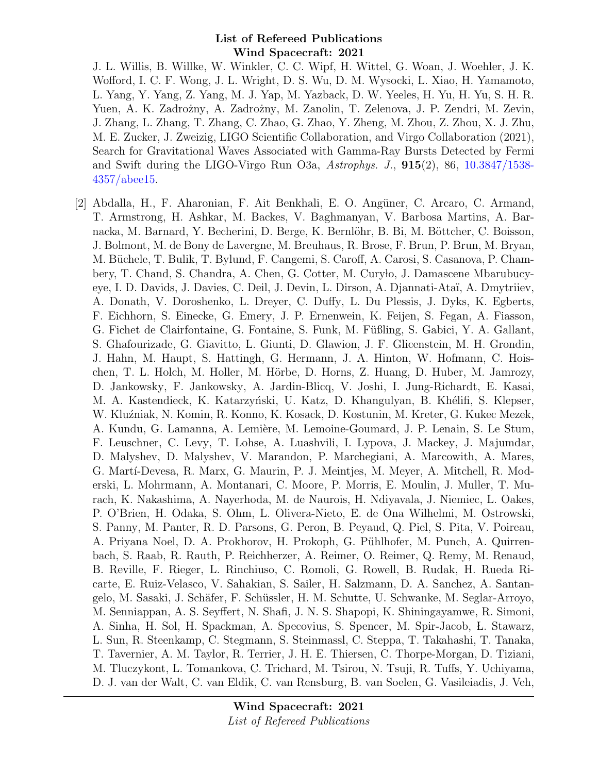J. L. Willis, B. Willke, W. Winkler, C. C. Wipf, H. Wittel, G. Woan, J. Woehler, J. K. Wofford, I. C. F. Wong, J. L. Wright, D. S. Wu, D. M. Wysocki, L. Xiao, H. Yamamoto, L. Yang, Y. Yang, Z. Yang, M. J. Yap, M. Yazback, D. W. Yeeles, H. Yu, H. Yu, S. H. R. Yuen, A. K. Zadrożny, A. Zadrożny, M. Zanolin, T. Zelenova, J. P. Zendri, M. Zevin, J. Zhang, L. Zhang, T. Zhang, C. Zhao, G. Zhao, Y. Zheng, M. Zhou, Z. Zhou, X. J. Zhu, M. E. Zucker, J. Zweizig, LIGO Scientific Collaboration, and Virgo Collaboration (2021), Search for Gravitational Waves Associated with Gamma-Ray Bursts Detected by Fermi and Swift during the LIGO-Virgo Run O3a,  $A \rightarrow S$ ,  $J, 915(2), 86, 10.3847/1538$ -[4357/abee15.](http://dx.doi.org/10.3847/1538-4357/abee15)

[2] Abdalla, H., F. Aharonian, F. Ait Benkhali, E. O. Angüner, C. Arcaro, C. Armand, T. Armstrong, H. Ashkar, M. Backes, V. Baghmanyan, V. Barbosa Martins, A. Barnacka, M. Barnard, Y. Becherini, D. Berge, K. Bernlöhr, B. Bi, M. Böttcher, C. Boisson, J. Bolmont, M. de Bony de Lavergne, M. Breuhaus, R. Brose, F. Brun, P. Brun, M. Bryan, M. Büchele, T. Bulik, T. Bylund, F. Cangemi, S. Caroff, A. Carosi, S. Casanova, P. Chambery, T. Chand, S. Chandra, A. Chen, G. Cotter, M. Cury lo, J. Damascene Mbarubucyeye, I. D. Davids, J. Davies, C. Deil, J. Devin, L. Dirson, A. Djannati-Ataï, A. Dmytriiev, A. Donath, V. Doroshenko, L. Dreyer, C. Duffy, L. Du Plessis, J. Dyks, K. Egberts, F. Eichhorn, S. Einecke, G. Emery, J. P. Ernenwein, K. Feijen, S. Fegan, A. Fiasson, G. Fichet de Clairfontaine, G. Fontaine, S. Funk, M. Füßling, S. Gabici, Y. A. Gallant, S. Ghafourizade, G. Giavitto, L. Giunti, D. Glawion, J. F. Glicenstein, M. H. Grondin, J. Hahn, M. Haupt, S. Hattingh, G. Hermann, J. A. Hinton, W. Hofmann, C. Hoischen, T. L. Holch, M. Holler, M. Hörbe, D. Horns, Z. Huang, D. Huber, M. Jamrozy, D. Jankowsky, F. Jankowsky, A. Jardin-Blicq, V. Joshi, I. Jung-Richardt, E. Kasai, M. A. Kastendieck, K. Katarzyński, U. Katz, D. Khangulyan, B. Khélifi, S. Klepser, W. Kluźniak, N. Komin, R. Konno, K. Kosack, D. Kostunin, M. Kreter, G. Kukec Mezek, A. Kundu, G. Lamanna, A. Lemière, M. Lemoine-Goumard, J. P. Lenain, S. Le Stum, F. Leuschner, C. Levy, T. Lohse, A. Luashvili, I. Lypova, J. Mackey, J. Majumdar, D. Malyshev, D. Malyshev, V. Marandon, P. Marchegiani, A. Marcowith, A. Mares, G. Mart´ı-Devesa, R. Marx, G. Maurin, P. J. Meintjes, M. Meyer, A. Mitchell, R. Moderski, L. Mohrmann, A. Montanari, C. Moore, P. Morris, E. Moulin, J. Muller, T. Murach, K. Nakashima, A. Nayerhoda, M. de Naurois, H. Ndiyavala, J. Niemiec, L. Oakes, P. O'Brien, H. Odaka, S. Ohm, L. Olivera-Nieto, E. de Ona Wilhelmi, M. Ostrowski, S. Panny, M. Panter, R. D. Parsons, G. Peron, B. Peyaud, Q. Piel, S. Pita, V. Poireau, A. Priyana Noel, D. A. Prokhorov, H. Prokoph, G. Pühlhofer, M. Punch, A. Quirrenbach, S. Raab, R. Rauth, P. Reichherzer, A. Reimer, O. Reimer, Q. Remy, M. Renaud, B. Reville, F. Rieger, L. Rinchiuso, C. Romoli, G. Rowell, B. Rudak, H. Rueda Ricarte, E. Ruiz-Velasco, V. Sahakian, S. Sailer, H. Salzmann, D. A. Sanchez, A. Santangelo, M. Sasaki, J. Schäfer, F. Schüssler, H. M. Schutte, U. Schwanke, M. Seglar-Arroyo, M. Senniappan, A. S. Seyffert, N. Shafi, J. N. S. Shapopi, K. Shiningayamwe, R. Simoni, A. Sinha, H. Sol, H. Spackman, A. Specovius, S. Spencer, M. Spir-Jacob, L. Stawarz, L. Sun, R. Steenkamp, C. Stegmann, S. Steinmassl, C. Steppa, T. Takahashi, T. Tanaka, T. Tavernier, A. M. Taylor, R. Terrier, J. H. E. Thiersen, C. Thorpe-Morgan, D. Tiziani, M. Tluczykont, L. Tomankova, C. Trichard, M. Tsirou, N. Tsuji, R. Tuffs, Y. Uchiyama, D. J. van der Walt, C. van Eldik, C. van Rensburg, B. van Soelen, G. Vasileiadis, J. Veh,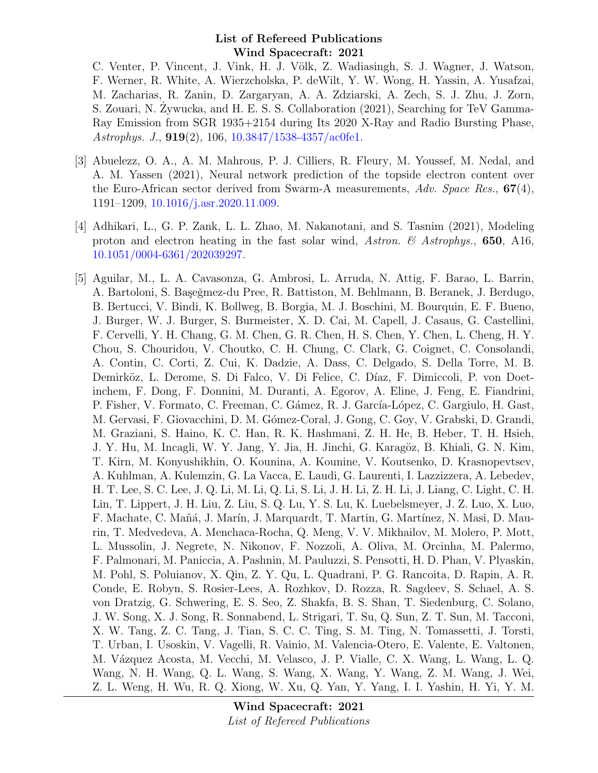C. Venter, P. Vincent, J. Vink, H. J. Völk, Z. Wadiasingh, S. J. Wagner, J. Watson, F. Werner, R. White, A. Wierzcholska, P. deWilt, Y. W. Wong, H. Yassin, A. Yusafzai, M. Zacharias, R. Zanin, D. Zargaryan, A. A. Zdziarski, A. Zech, S. J. Zhu, J. Zorn, S. Zouari, N. Zywucka, and H. E. S. S. Collaboration (2021), Searching for TeV Gamma-Ray Emission from SGR 1935+2154 during Its 2020 X-Ray and Radio Bursting Phase, Astrophys. J., 919(2), 106, [10.3847/1538-4357/ac0fe1.](http://dx.doi.org/10.3847/1538-4357/ac0fe1)

- [3] Abuelezz, O. A., A. M. Mahrous, P. J. Cilliers, R. Fleury, M. Youssef, M. Nedal, and A. M. Yassen (2021), Neural network prediction of the topside electron content over the Euro-African sector derived from Swarm-A measurements,  $Adv. Space Res., 67(4),$ 1191–1209, [10.1016/j.asr.2020.11.009.](http://dx.doi.org/10.1016/j.asr.2020.11.009)
- [4] Adhikari, L., G. P. Zank, L. L. Zhao, M. Nakanotani, and S. Tasnim (2021), Modeling proton and electron heating in the fast solar wind, Astron.  $\mathcal C$  Astrophys., 650, A16, [10.1051/0004-6361/202039297.](http://dx.doi.org/10.1051/0004-6361/202039297)
- [5] Aguilar, M., L. A. Cavasonza, G. Ambrosi, L. Arruda, N. Attig, F. Barao, L. Barrin, A. Bartoloni, S. Başeğmez-du Pree, R. Battiston, M. Behlmann, B. Beranek, J. Berdugo, B. Bertucci, V. Bindi, K. Bollweg, B. Borgia, M. J. Boschini, M. Bourquin, E. F. Bueno, J. Burger, W. J. Burger, S. Burmeister, X. D. Cai, M. Capell, J. Casaus, G. Castellini, F. Cervelli, Y. H. Chang, G. M. Chen, G. R. Chen, H. S. Chen, Y. Chen, L. Cheng, H. Y. Chou, S. Chouridou, V. Choutko, C. H. Chung, C. Clark, G. Coignet, C. Consolandi, A. Contin, C. Corti, Z. Cui, K. Dadzie, A. Dass, C. Delgado, S. Della Torre, M. B. Demirköz, L. Derome, S. Di Falco, V. Di Felice, C. Díaz, F. Dimiccoli, P. von Doetinchem, F. Dong, F. Donnini, M. Duranti, A. Egorov, A. Eline, J. Feng, E. Fiandrini, P. Fisher, V. Formato, C. Freeman, C. Gámez, R. J. García-López, C. Gargiulo, H. Gast, M. Gervasi, F. Giovacchini, D. M. Gómez-Coral, J. Gong, C. Goy, V. Grabski, D. Grandi, M. Graziani, S. Haino, K. C. Han, R. K. Hashmani, Z. H. He, B. Heber, T. H. Hsieh, J. Y. Hu, M. Incagli, W. Y. Jang, Y. Jia, H. Jinchi, G. Karagöz, B. Khiali, G. N. Kim, T. Kirn, M. Konyushikhin, O. Kounina, A. Kounine, V. Koutsenko, D. Krasnopevtsev, A. Kuhlman, A. Kulemzin, G. La Vacca, E. Laudi, G. Laurenti, I. Lazzizzera, A. Lebedev, H. T. Lee, S. C. Lee, J. Q. Li, M. Li, Q. Li, S. Li, J. H. Li, Z. H. Li, J. Liang, C. Light, C. H. Lin, T. Lippert, J. H. Liu, Z. Liu, S. Q. Lu, Y. S. Lu, K. Luebelsmeyer, J. Z. Luo, X. Luo, F. Machate, C. Mañá, J. Marín, J. Marquardt, T. Martin, G. Martínez, N. Masi, D. Maurin, T. Medvedeva, A. Menchaca-Rocha, Q. Meng, V. V. Mikhailov, M. Molero, P. Mott, L. Mussolin, J. Negrete, N. Nikonov, F. Nozzoli, A. Oliva, M. Orcinha, M. Palermo, F. Palmonari, M. Paniccia, A. Pashnin, M. Pauluzzi, S. Pensotti, H. D. Phan, V. Plyaskin, M. Pohl, S. Poluianov, X. Qin, Z. Y. Qu, L. Quadrani, P. G. Rancoita, D. Rapin, A. R. Conde, E. Robyn, S. Rosier-Lees, A. Rozhkov, D. Rozza, R. Sagdeev, S. Schael, A. S. von Dratzig, G. Schwering, E. S. Seo, Z. Shakfa, B. S. Shan, T. Siedenburg, C. Solano, J. W. Song, X. J. Song, R. Sonnabend, L. Strigari, T. Su, Q. Sun, Z. T. Sun, M. Tacconi, X. W. Tang, Z. C. Tang, J. Tian, S. C. C. Ting, S. M. Ting, N. Tomassetti, J. Torsti, T. Urban, I. Usoskin, V. Vagelli, R. Vainio, M. Valencia-Otero, E. Valente, E. Valtonen, M. Vázquez Acosta, M. Vecchi, M. Velasco, J. P. Vialle, C. X. Wang, L. Wang, L. Q. Wang, N. H. Wang, Q. L. Wang, S. Wang, X. Wang, Y. Wang, Z. M. Wang, J. Wei, Z. L. Weng, H. Wu, R. Q. Xiong, W. Xu, Q. Yan, Y. Yang, I. I. Yashin, H. Yi, Y. M.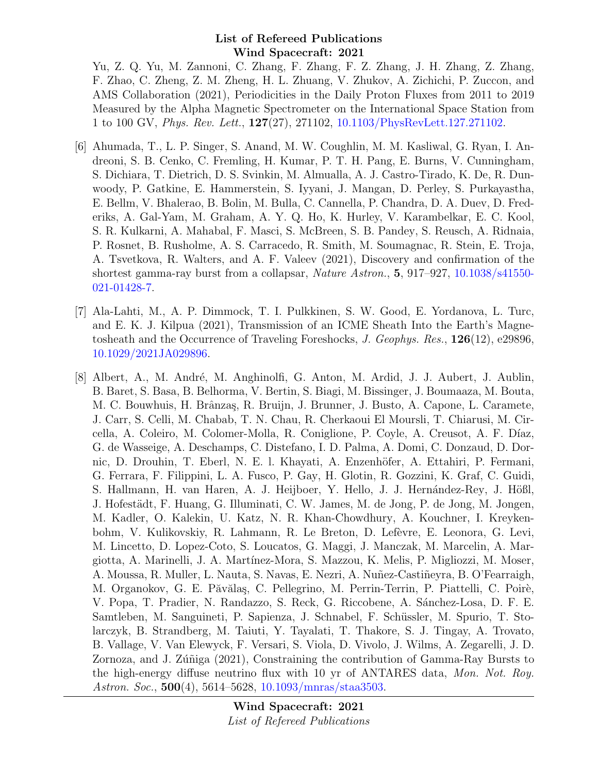Yu, Z. Q. Yu, M. Zannoni, C. Zhang, F. Zhang, F. Z. Zhang, J. H. Zhang, Z. Zhang, F. Zhao, C. Zheng, Z. M. Zheng, H. L. Zhuang, V. Zhukov, A. Zichichi, P. Zuccon, and AMS Collaboration (2021), Periodicities in the Daily Proton Fluxes from 2011 to 2019 Measured by the Alpha Magnetic Spectrometer on the International Space Station from 1 to 100 GV, Phys. Rev. Lett., 127(27), 271102, [10.1103/PhysRevLett.127.271102.](http://dx.doi.org/10.1103/PhysRevLett.127.271102)

- [6] Ahumada, T., L. P. Singer, S. Anand, M. W. Coughlin, M. M. Kasliwal, G. Ryan, I. Andreoni, S. B. Cenko, C. Fremling, H. Kumar, P. T. H. Pang, E. Burns, V. Cunningham, S. Dichiara, T. Dietrich, D. S. Svinkin, M. Almualla, A. J. Castro-Tirado, K. De, R. Dunwoody, P. Gatkine, E. Hammerstein, S. Iyyani, J. Mangan, D. Perley, S. Purkayastha, E. Bellm, V. Bhalerao, B. Bolin, M. Bulla, C. Cannella, P. Chandra, D. A. Duev, D. Frederiks, A. Gal-Yam, M. Graham, A. Y. Q. Ho, K. Hurley, V. Karambelkar, E. C. Kool, S. R. Kulkarni, A. Mahabal, F. Masci, S. McBreen, S. B. Pandey, S. Reusch, A. Ridnaia, P. Rosnet, B. Rusholme, A. S. Carracedo, R. Smith, M. Soumagnac, R. Stein, E. Troja, A. Tsvetkova, R. Walters, and A. F. Valeev (2021), Discovery and confirmation of the shortest gamma-ray burst from a collapsar, Nature Astron., 5, 917–927, [10.1038/s41550-](http://dx.doi.org/10.1038/s41550-021-01428-7) [021-01428-7.](http://dx.doi.org/10.1038/s41550-021-01428-7)
- [7] Ala-Lahti, M., A. P. Dimmock, T. I. Pulkkinen, S. W. Good, E. Yordanova, L. Turc, and E. K. J. Kilpua (2021), Transmission of an ICME Sheath Into the Earth's Magnetosheath and the Occurrence of Traveling Foreshocks, J. Geophys. Res., 126(12), e29896, [10.1029/2021JA029896.](http://dx.doi.org/10.1029/2021JA029896)
- [8] Albert, A., M. André, M. Anghinolfi, G. Anton, M. Ardid, J. J. Aubert, J. Aublin, B. Baret, S. Basa, B. Belhorma, V. Bertin, S. Biagi, M. Bissinger, J. Boumaaza, M. Bouta, M. C. Bouwhuis, H. Brânzaş, R. Bruijn, J. Brunner, J. Busto, A. Capone, L. Caramete, J. Carr, S. Celli, M. Chabab, T. N. Chau, R. Cherkaoui El Moursli, T. Chiarusi, M. Circella, A. Coleiro, M. Colomer-Molla, R. Coniglione, P. Coyle, A. Creusot, A. F. Díaz, G. de Wasseige, A. Deschamps, C. Distefano, I. D. Palma, A. Domi, C. Donzaud, D. Dornic, D. Drouhin, T. Eberl, N. E. l. Khayati, A. Enzenhöfer, A. Ettahiri, P. Fermani, G. Ferrara, F. Filippini, L. A. Fusco, P. Gay, H. Glotin, R. Gozzini, K. Graf, C. Guidi, S. Hallmann, H. van Haren, A. J. Heijboer, Y. Hello, J. J. Hernández-Rey, J. Hößl, J. Hofestädt, F. Huang, G. Illuminati, C. W. James, M. de Jong, P. de Jong, M. Jongen, M. Kadler, O. Kalekin, U. Katz, N. R. Khan-Chowdhury, A. Kouchner, I. Kreykenbohm, V. Kulikovskiy, R. Lahmann, R. Le Breton, D. Lefèvre, E. Leonora, G. Levi, M. Lincetto, D. Lopez-Coto, S. Loucatos, G. Maggi, J. Manczak, M. Marcelin, A. Margiotta, A. Marinelli, J. A. Mart´ınez-Mora, S. Mazzou, K. Melis, P. Migliozzi, M. Moser, A. Moussa, R. Muller, L. Nauta, S. Navas, E. Nezri, A. Nuñez-Castiñeyra, B. O'Fearraigh, M. Organokov, G. E. Păvălaș, C. Pellegrino, M. Perrin-Terrin, P. Piattelli, C. Poirè, V. Popa, T. Pradier, N. Randazzo, S. Reck, G. Riccobene, A. Sánchez-Losa, D. F. E. Samtleben, M. Sanguineti, P. Sapienza, J. Schnabel, F. Schüssler, M. Spurio, T. Stolarczyk, B. Strandberg, M. Taiuti, Y. Tayalati, T. Thakore, S. J. Tingay, A. Trovato, B. Vallage, V. Van Elewyck, F. Versari, S. Viola, D. Vivolo, J. Wilms, A. Zegarelli, J. D. Zornoza, and J. Zúñiga (2021), Constraining the contribution of Gamma-Ray Bursts to the high-energy diffuse neutrino flux with 10 yr of ANTARES data, Mon. Not. Roy. Astron. Soc., **500**(4), 5614–5628, [10.1093/mnras/staa3503.](http://dx.doi.org/10.1093/mnras/staa3503)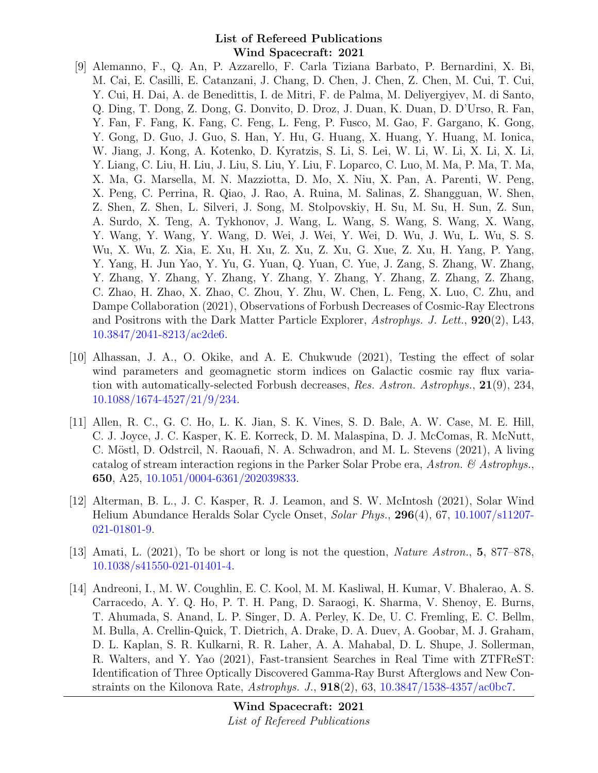- [9] Alemanno, F., Q. An, P. Azzarello, F. Carla Tiziana Barbato, P. Bernardini, X. Bi, M. Cai, E. Casilli, E. Catanzani, J. Chang, D. Chen, J. Chen, Z. Chen, M. Cui, T. Cui, Y. Cui, H. Dai, A. de Benedittis, I. de Mitri, F. de Palma, M. Deliyergiyev, M. di Santo, Q. Ding, T. Dong, Z. Dong, G. Donvito, D. Droz, J. Duan, K. Duan, D. D'Urso, R. Fan, Y. Fan, F. Fang, K. Fang, C. Feng, L. Feng, P. Fusco, M. Gao, F. Gargano, K. Gong, Y. Gong, D. Guo, J. Guo, S. Han, Y. Hu, G. Huang, X. Huang, Y. Huang, M. Ionica, W. Jiang, J. Kong, A. Kotenko, D. Kyratzis, S. Li, S. Lei, W. Li, W. Li, X. Li, X. Li, Y. Liang, C. Liu, H. Liu, J. Liu, S. Liu, Y. Liu, F. Loparco, C. Luo, M. Ma, P. Ma, T. Ma, X. Ma, G. Marsella, M. N. Mazziotta, D. Mo, X. Niu, X. Pan, A. Parenti, W. Peng, X. Peng, C. Perrina, R. Qiao, J. Rao, A. Ruina, M. Salinas, Z. Shangguan, W. Shen, Z. Shen, Z. Shen, L. Silveri, J. Song, M. Stolpovskiy, H. Su, M. Su, H. Sun, Z. Sun, A. Surdo, X. Teng, A. Tykhonov, J. Wang, L. Wang, S. Wang, S. Wang, X. Wang, Y. Wang, Y. Wang, Y. Wang, D. Wei, J. Wei, Y. Wei, D. Wu, J. Wu, L. Wu, S. S. Wu, X. Wu, Z. Xia, E. Xu, H. Xu, Z. Xu, Z. Xu, G. Xue, Z. Xu, H. Yang, P. Yang, Y. Yang, H. Jun Yao, Y. Yu, G. Yuan, Q. Yuan, C. Yue, J. Zang, S. Zhang, W. Zhang, Y. Zhang, Y. Zhang, Y. Zhang, Y. Zhang, Y. Zhang, Y. Zhang, Z. Zhang, Z. Zhang, C. Zhao, H. Zhao, X. Zhao, C. Zhou, Y. Zhu, W. Chen, L. Feng, X. Luo, C. Zhu, and Dampe Collaboration (2021), Observations of Forbush Decreases of Cosmic-Ray Electrons and Positrons with the Dark Matter Particle Explorer, Astrophys. J. Lett., 920(2), L43, [10.3847/2041-8213/ac2de6.](http://dx.doi.org/10.3847/2041-8213/ac2de6)
- [10] Alhassan, J. A., O. Okike, and A. E. Chukwude (2021), Testing the effect of solar wind parameters and geomagnetic storm indices on Galactic cosmic ray flux variation with automatically-selected Forbush decreases, Res. Astron. Astrophys., 21(9), 234, [10.1088/1674-4527/21/9/234.](http://dx.doi.org/10.1088/1674-4527/21/9/234)
- [11] Allen, R. C., G. C. Ho, L. K. Jian, S. K. Vines, S. D. Bale, A. W. Case, M. E. Hill, C. J. Joyce, J. C. Kasper, K. E. Korreck, D. M. Malaspina, D. J. McComas, R. McNutt, C. Möstl, D. Odstrcil, N. Raouafi, N. A. Schwadron, and M. L. Stevens (2021), A living catalog of stream interaction regions in the Parker Solar Probe era, Astron.  $\mathcal{C}$  Astrophys. 650, A25, [10.1051/0004-6361/202039833.](http://dx.doi.org/10.1051/0004-6361/202039833)
- [12] Alterman, B. L., J. C. Kasper, R. J. Leamon, and S. W. McIntosh (2021), Solar Wind Helium Abundance Heralds Solar Cycle Onset, Solar Phys., 296(4), 67, [10.1007/s11207-](http://dx.doi.org/10.1007/s11207-021-01801-9) [021-01801-9.](http://dx.doi.org/10.1007/s11207-021-01801-9)
- [13] Amati, L. (2021), To be short or long is not the question, Nature Astron., 5, 877–878, [10.1038/s41550-021-01401-4.](http://dx.doi.org/10.1038/s41550-021-01401-4)
- [14] Andreoni, I., M. W. Coughlin, E. C. Kool, M. M. Kasliwal, H. Kumar, V. Bhalerao, A. S. Carracedo, A. Y. Q. Ho, P. T. H. Pang, D. Saraogi, K. Sharma, V. Shenoy, E. Burns, T. Ahumada, S. Anand, L. P. Singer, D. A. Perley, K. De, U. C. Fremling, E. C. Bellm, M. Bulla, A. Crellin-Quick, T. Dietrich, A. Drake, D. A. Duev, A. Goobar, M. J. Graham, D. L. Kaplan, S. R. Kulkarni, R. R. Laher, A. A. Mahabal, D. L. Shupe, J. Sollerman, R. Walters, and Y. Yao (2021), Fast-transient Searches in Real Time with ZTFReST: Identification of Three Optically Discovered Gamma-Ray Burst Afterglows and New Constraints on the Kilonova Rate, Astrophys. J., 918(2), 63, [10.3847/1538-4357/ac0bc7.](http://dx.doi.org/10.3847/1538-4357/ac0bc7)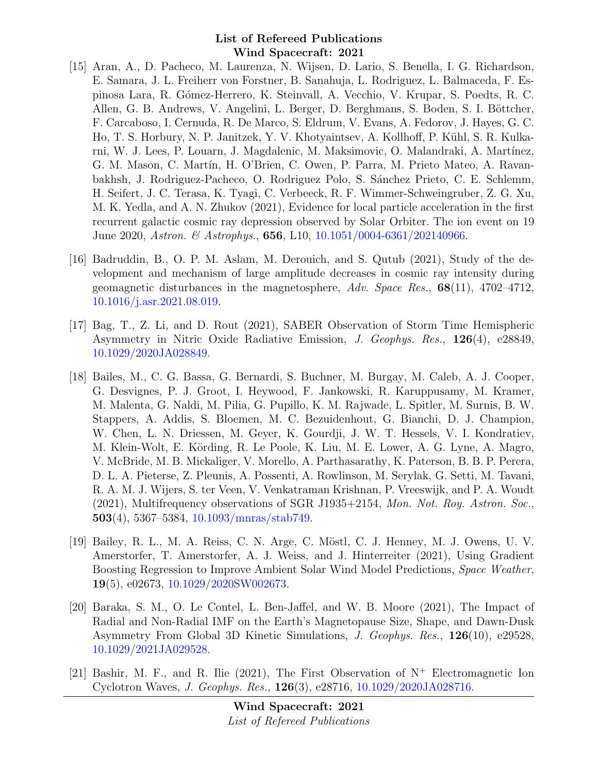- [15] Aran, A., D. Pacheco, M. Laurenza, N. Wijsen, D. Lario, S. Benella, I. G. Richardson, E. Samara, J. L. Freiherr von Forstner, B. Sanahuja, L. Rodriguez, L. Balmaceda, F. Espinosa Lara, R. G´omez-Herrero, K. Steinvall, A. Vecchio, V. Krupar, S. Poedts, R. C. Allen, G. B. Andrews, V. Angelini, L. Berger, D. Berghmans, S. Boden, S. I. Böttcher, F. Carcaboso, I. Cernuda, R. De Marco, S. Eldrum, V. Evans, A. Fedorov, J. Hayes, G. C. Ho, T. S. Horbury, N. P. Janitzek, Y. V. Khotyaintsev, A. Kollhoff, P. Kühl, S. R. Kulkarni, W. J. Lees, P. Louarn, J. Magdalenic, M. Maksimovic, O. Malandraki, A. Martínez, G. M. Mason, C. Martín, H. O'Brien, C. Owen, P. Parra, M. Prieto Mateo, A. Ravanbakhsh, J. Rodriguez-Pacheco, O. Rodriguez Polo, S. S´anchez Prieto, C. E. Schlemm, H. Seifert, J. C. Terasa, K. Tyagi, C. Verbeeck, R. F. Wimmer-Schweingruber, Z. G. Xu, M. K. Yedla, and A. N. Zhukov (2021), Evidence for local particle acceleration in the first recurrent galactic cosmic ray depression observed by Solar Orbiter. The ion event on 19 June 2020, Astron. & Astrophys., **656**, L10, [10.1051/0004-6361/202140966.](http://dx.doi.org/10.1051/0004-6361/202140966)
- [16] Badruddin, B., O. P. M. Aslam, M. Derouich, and S. Qutub (2021), Study of the development and mechanism of large amplitude decreases in cosmic ray intensity during geomagnetic disturbances in the magnetosphere,  $Adv. Space Res., 68(11), 4702-4712,$ [10.1016/j.asr.2021.08.019.](http://dx.doi.org/10.1016/j.asr.2021.08.019)
- [17] Bag, T., Z. Li, and D. Rout (2021), SABER Observation of Storm Time Hemispheric Asymmetry in Nitric Oxide Radiative Emission, J. Geophys. Res., 126(4), e28849, [10.1029/2020JA028849.](http://dx.doi.org/10.1029/2020JA028849)
- [18] Bailes, M., C. G. Bassa, G. Bernardi, S. Buchner, M. Burgay, M. Caleb, A. J. Cooper, G. Desvignes, P. J. Groot, I. Heywood, F. Jankowski, R. Karuppusamy, M. Kramer, M. Malenta, G. Naldi, M. Pilia, G. Pupillo, K. M. Rajwade, L. Spitler, M. Surnis, B. W. Stappers, A. Addis, S. Bloemen, M. C. Bezuidenhout, G. Bianchi, D. J. Champion, W. Chen, L. N. Driessen, M. Geyer, K. Gourdji, J. W. T. Hessels, V. I. Kondratiev, M. Klein-Wolt, E. Körding, R. Le Poole, K. Liu, M. E. Lower, A. G. Lyne, A. Magro, V. McBride, M. B. Mickaliger, V. Morello, A. Parthasarathy, K. Paterson, B. B. P. Perera, D. L. A. Pieterse, Z. Pleunis, A. Possenti, A. Rowlinson, M. Serylak, G. Setti, M. Tavani, R. A. M. J. Wijers, S. ter Veen, V. Venkatraman Krishnan, P. Vreeswijk, and P. A. Woudt (2021), Multifrequency observations of SGR J1935+2154, Mon. Not. Roy. Astron. Soc., 503(4), 5367–5384, [10.1093/mnras/stab749.](http://dx.doi.org/10.1093/mnras/stab749)
- [19] Bailey, R. L., M. A. Reiss, C. N. Arge, C. Möstl, C. J. Henney, M. J. Owens, U. V. Amerstorfer, T. Amerstorfer, A. J. Weiss, and J. Hinterreiter (2021), Using Gradient Boosting Regression to Improve Ambient Solar Wind Model Predictions, Space Weather, 19(5), e02673, [10.1029/2020SW002673.](http://dx.doi.org/10.1029/2020SW002673)
- [20] Baraka, S. M., O. Le Contel, L. Ben-Jaffel, and W. B. Moore (2021), The Impact of Radial and Non-Radial IMF on the Earth's Magnetopause Size, Shape, and Dawn-Dusk Asymmetry From Global 3D Kinetic Simulations, J. Geophys. Res., 126(10), e29528, [10.1029/2021JA029528.](http://dx.doi.org/10.1029/2021JA029528)
- [21] Bashir, M. F., and R. Ilie (2021), The First Observation of  $N^+$  Electromagnetic Ion Cyclotron Waves, J. Geophys. Res., 126(3), e28716, [10.1029/2020JA028716.](http://dx.doi.org/10.1029/2020JA028716)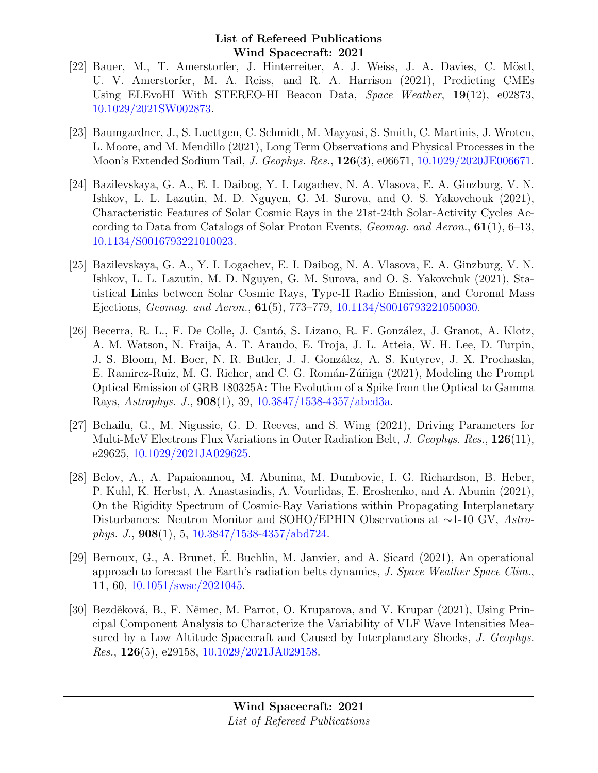- [22] Bauer, M., T. Amerstorfer, J. Hinterreiter, A. J. Weiss, J. A. Davies, C. Möstl, U. V. Amerstorfer, M. A. Reiss, and R. A. Harrison (2021), Predicting CMEs Using ELEvoHI With STEREO-HI Beacon Data, Space Weather, 19(12), e02873, [10.1029/2021SW002873.](http://dx.doi.org/10.1029/2021SW002873)
- [23] Baumgardner, J., S. Luettgen, C. Schmidt, M. Mayyasi, S. Smith, C. Martinis, J. Wroten, L. Moore, and M. Mendillo (2021), Long Term Observations and Physical Processes in the Moon's Extended Sodium Tail, J. Geophys. Res., 126(3), e06671, [10.1029/2020JE006671.](http://dx.doi.org/10.1029/2020JE006671)
- [24] Bazilevskaya, G. A., E. I. Daibog, Y. I. Logachev, N. A. Vlasova, E. A. Ginzburg, V. N. Ishkov, L. L. Lazutin, M. D. Nguyen, G. M. Surova, and O. S. Yakovchouk (2021), Characteristic Features of Solar Cosmic Rays in the 21st-24th Solar-Activity Cycles According to Data from Catalogs of Solar Proton Events, *Geomag. and Aeron.*,  $61(1)$ ,  $6-13$ , [10.1134/S0016793221010023.](http://dx.doi.org/10.1134/S0016793221010023)
- [25] Bazilevskaya, G. A., Y. I. Logachev, E. I. Daibog, N. A. Vlasova, E. A. Ginzburg, V. N. Ishkov, L. L. Lazutin, M. D. Nguyen, G. M. Surova, and O. S. Yakovchuk (2021), Statistical Links between Solar Cosmic Rays, Type-II Radio Emission, and Coronal Mass Ejections, Geomag. and Aeron., 61(5), 773–779, [10.1134/S0016793221050030.](http://dx.doi.org/10.1134/S0016793221050030)
- [26] Becerra, R. L., F. De Colle, J. Cantó, S. Lizano, R. F. González, J. Granot, A. Klotz, A. M. Watson, N. Fraija, A. T. Araudo, E. Troja, J. L. Atteia, W. H. Lee, D. Turpin, J. S. Bloom, M. Boer, N. R. Butler, J. J. González, A. S. Kutyrev, J. X. Prochaska, E. Ramirez-Ruiz, M. G. Richer, and C. G. Román-Zúñiga (2021), Modeling the Prompt Optical Emission of GRB 180325A: The Evolution of a Spike from the Optical to Gamma Rays, Astrophys. J., 908(1), 39, [10.3847/1538-4357/abcd3a.](http://dx.doi.org/10.3847/1538-4357/abcd3a)
- [27] Behailu, G., M. Nigussie, G. D. Reeves, and S. Wing (2021), Driving Parameters for Multi-MeV Electrons Flux Variations in Outer Radiation Belt, J. Geophys. Res., 126(11), e29625, [10.1029/2021JA029625.](http://dx.doi.org/10.1029/2021JA029625)
- [28] Belov, A., A. Papaioannou, M. Abunina, M. Dumbovic, I. G. Richardson, B. Heber, P. Kuhl, K. Herbst, A. Anastasiadis, A. Vourlidas, E. Eroshenko, and A. Abunin (2021), On the Rigidity Spectrum of Cosmic-Ray Variations within Propagating Interplanetary Disturbances: Neutron Monitor and SOHO/EPHIN Observations at ∼1-10 GV, Astrophys. J., 908(1), 5, [10.3847/1538-4357/abd724.](http://dx.doi.org/10.3847/1538-4357/abd724)
- [29] Bernoux, G., A. Brunet, E. Buchlin, M. Janvier, and A. Sicard (2021), An operational ´ approach to forecast the Earth's radiation belts dynamics, J. Space Weather Space Clim., 11, 60, [10.1051/swsc/2021045.](http://dx.doi.org/10.1051/swsc/2021045)
- [30] Bezděková, B., F. Němec, M. Parrot, O. Kruparova, and V. Krupar (2021), Using Principal Component Analysis to Characterize the Variability of VLF Wave Intensities Measured by a Low Altitude Spacecraft and Caused by Interplanetary Shocks, J. Geophys. *Res.*,  $126(5)$ , e29158,  $10.1029/2021JA029158$ .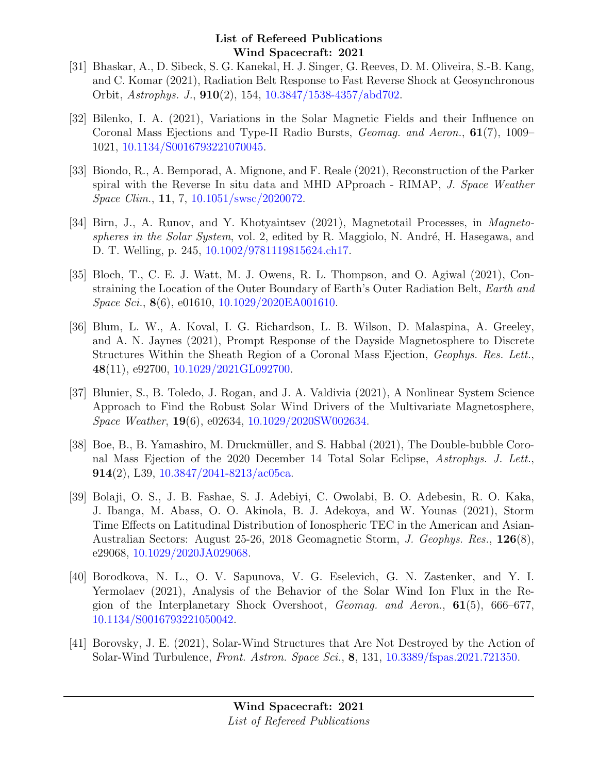- [31] Bhaskar, A., D. Sibeck, S. G. Kanekal, H. J. Singer, G. Reeves, D. M. Oliveira, S.-B. Kang, and C. Komar (2021), Radiation Belt Response to Fast Reverse Shock at Geosynchronous Orbit, Astrophys. J., 910(2), 154, [10.3847/1538-4357/abd702.](http://dx.doi.org/10.3847/1538-4357/abd702)
- [32] Bilenko, I. A. (2021), Variations in the Solar Magnetic Fields and their Influence on Coronal Mass Ejections and Type-II Radio Bursts, Geomag. and Aeron., 61(7), 1009– 1021, [10.1134/S0016793221070045.](http://dx.doi.org/10.1134/S0016793221070045)
- [33] Biondo, R., A. Bemporad, A. Mignone, and F. Reale (2021), Reconstruction of the Parker spiral with the Reverse In situ data and MHD APproach - RIMAP, J. Space Weather Space Clim., 11, 7, [10.1051/swsc/2020072.](http://dx.doi.org/10.1051/swsc/2020072)
- [34] Birn, J., A. Runov, and Y. Khotyaintsev (2021), Magnetotail Processes, in *Magneto*spheres in the Solar System, vol. 2, edited by R. Maggiolo, N. André, H. Hasegawa, and D. T. Welling, p. 245, [10.1002/9781119815624.ch17.](http://dx.doi.org/10.1002/9781119815624.ch17)
- [35] Bloch, T., C. E. J. Watt, M. J. Owens, R. L. Thompson, and O. Agiwal (2021), Constraining the Location of the Outer Boundary of Earth's Outer Radiation Belt, Earth and Space Sci., **8**(6), e01610, [10.1029/2020EA001610.](http://dx.doi.org/10.1029/2020EA001610)
- [36] Blum, L. W., A. Koval, I. G. Richardson, L. B. Wilson, D. Malaspina, A. Greeley, and A. N. Jaynes (2021), Prompt Response of the Dayside Magnetosphere to Discrete Structures Within the Sheath Region of a Coronal Mass Ejection, Geophys. Res. Lett., 48(11), e92700, [10.1029/2021GL092700.](http://dx.doi.org/10.1029/2021GL092700)
- [37] Blunier, S., B. Toledo, J. Rogan, and J. A. Valdivia (2021), A Nonlinear System Science Approach to Find the Robust Solar Wind Drivers of the Multivariate Magnetosphere, Space Weather, 19(6), e02634, [10.1029/2020SW002634.](http://dx.doi.org/10.1029/2020SW002634)
- [38] Boe, B., B. Yamashiro, M. Druckm¨uller, and S. Habbal (2021), The Double-bubble Coronal Mass Ejection of the 2020 December 14 Total Solar Eclipse, Astrophys. J. Lett., 914(2), L39, [10.3847/2041-8213/ac05ca.](http://dx.doi.org/10.3847/2041-8213/ac05ca)
- [39] Bolaji, O. S., J. B. Fashae, S. J. Adebiyi, C. Owolabi, B. O. Adebesin, R. O. Kaka, J. Ibanga, M. Abass, O. O. Akinola, B. J. Adekoya, and W. Younas (2021), Storm Time Effects on Latitudinal Distribution of Ionospheric TEC in the American and Asian-Australian Sectors: August 25-26, 2018 Geomagnetic Storm, J. Geophys. Res., 126(8), e29068, [10.1029/2020JA029068.](http://dx.doi.org/10.1029/2020JA029068)
- [40] Borodkova, N. L., O. V. Sapunova, V. G. Eselevich, G. N. Zastenker, and Y. I. Yermolaev (2021), Analysis of the Behavior of the Solar Wind Ion Flux in the Region of the Interplanetary Shock Overshoot, Geomag. and Aeron., 61(5), 666–677, [10.1134/S0016793221050042.](http://dx.doi.org/10.1134/S0016793221050042)
- [41] Borovsky, J. E. (2021), Solar-Wind Structures that Are Not Destroyed by the Action of Solar-Wind Turbulence, Front. Astron. Space Sci., 8, 131, [10.3389/fspas.2021.721350.](http://dx.doi.org/10.3389/fspas.2021.721350)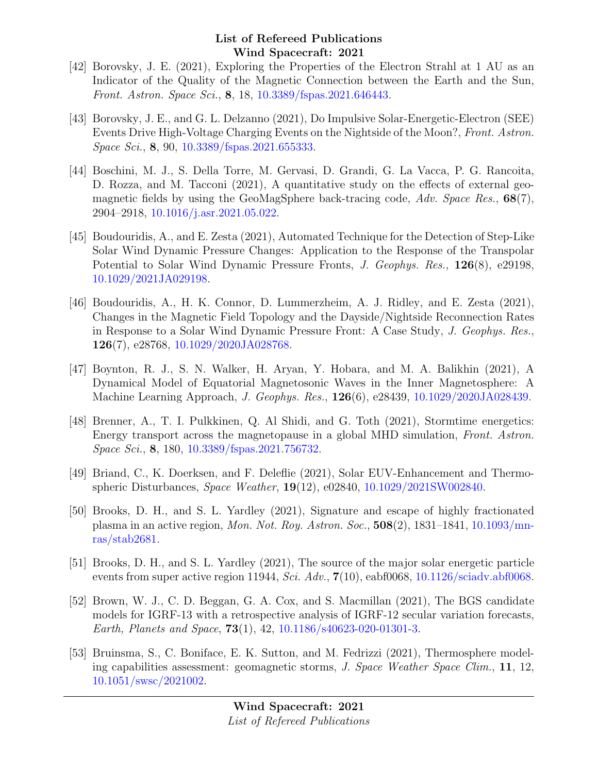- [42] Borovsky, J. E. (2021), Exploring the Properties of the Electron Strahl at 1 AU as an Indicator of the Quality of the Magnetic Connection between the Earth and the Sun, Front. Astron. Space Sci., 8, 18, [10.3389/fspas.2021.646443.](http://dx.doi.org/10.3389/fspas.2021.646443)
- [43] Borovsky, J. E., and G. L. Delzanno (2021), Do Impulsive Solar-Energetic-Electron (SEE) Events Drive High-Voltage Charging Events on the Nightside of the Moon?, Front. Astron. Space Sci., 8, 90, [10.3389/fspas.2021.655333.](http://dx.doi.org/10.3389/fspas.2021.655333)
- [44] Boschini, M. J., S. Della Torre, M. Gervasi, D. Grandi, G. La Vacca, P. G. Rancoita, D. Rozza, and M. Tacconi (2021), A quantitative study on the effects of external geomagnetic fields by using the GeoMagSphere back-tracing code,  $Adv. Space Res., 68(7),$ 2904–2918, [10.1016/j.asr.2021.05.022.](http://dx.doi.org/10.1016/j.asr.2021.05.022)
- [45] Boudouridis, A., and E. Zesta (2021), Automated Technique for the Detection of Step-Like Solar Wind Dynamic Pressure Changes: Application to the Response of the Transpolar Potential to Solar Wind Dynamic Pressure Fronts, J. Geophys. Res., 126(8), e29198, [10.1029/2021JA029198.](http://dx.doi.org/10.1029/2021JA029198)
- [46] Boudouridis, A., H. K. Connor, D. Lummerzheim, A. J. Ridley, and E. Zesta (2021), Changes in the Magnetic Field Topology and the Dayside/Nightside Reconnection Rates in Response to a Solar Wind Dynamic Pressure Front: A Case Study, J. Geophys. Res., 126(7), e28768, [10.1029/2020JA028768.](http://dx.doi.org/10.1029/2020JA028768)
- [47] Boynton, R. J., S. N. Walker, H. Aryan, Y. Hobara, and M. A. Balikhin (2021), A Dynamical Model of Equatorial Magnetosonic Waves in the Inner Magnetosphere: A Machine Learning Approach, J. Geophys. Res., 126(6), e28439, [10.1029/2020JA028439.](http://dx.doi.org/10.1029/2020JA028439)
- [48] Brenner, A., T. I. Pulkkinen, Q. Al Shidi, and G. Toth (2021), Stormtime energetics: Energy transport across the magnetopause in a global MHD simulation, Front. Astron. Space Sci., 8, 180, [10.3389/fspas.2021.756732.](http://dx.doi.org/10.3389/fspas.2021.756732)
- [49] Briand, C., K. Doerksen, and F. Deleflie (2021), Solar EUV-Enhancement and Thermospheric Disturbances, Space Weather, 19(12), e02840, [10.1029/2021SW002840.](http://dx.doi.org/10.1029/2021SW002840)
- [50] Brooks, D. H., and S. L. Yardley (2021), Signature and escape of highly fractionated plasma in an active region, Mon. Not. Roy. Astron. Soc., 508(2), 1831–1841, [10.1093/mn](http://dx.doi.org/10.1093/mnras/stab2681)[ras/stab2681.](http://dx.doi.org/10.1093/mnras/stab2681)
- [51] Brooks, D. H., and S. L. Yardley (2021), The source of the major solar energetic particle events from super active region 11944, Sci. Adv.,  $7(10)$ , eabf0068, [10.1126/sciadv.abf0068.](http://dx.doi.org/10.1126/sciadv.abf0068)
- [52] Brown, W. J., C. D. Beggan, G. A. Cox, and S. Macmillan (2021), The BGS candidate models for IGRF-13 with a retrospective analysis of IGRF-12 secular variation forecasts, Earth, Planets and Space, 73(1), 42, [10.1186/s40623-020-01301-3.](http://dx.doi.org/10.1186/s40623-020-01301-3)
- [53] Bruinsma, S., C. Boniface, E. K. Sutton, and M. Fedrizzi (2021), Thermosphere modeling capabilities assessment: geomagnetic storms, J. Space Weather Space Clim., 11, 12, [10.1051/swsc/2021002.](http://dx.doi.org/10.1051/swsc/2021002)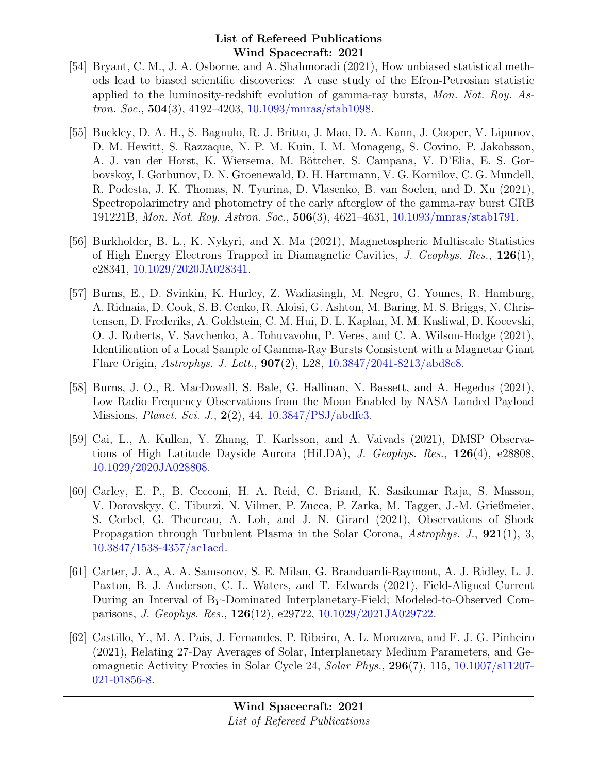- [54] Bryant, C. M., J. A. Osborne, and A. Shahmoradi (2021), How unbiased statistical methods lead to biased scientific discoveries: A case study of the Efron-Petrosian statistic applied to the luminosity-redshift evolution of gamma-ray bursts, Mon. Not. Roy. Astron. Soc., 504(3), 4192–4203, [10.1093/mnras/stab1098.](http://dx.doi.org/10.1093/mnras/stab1098)
- [55] Buckley, D. A. H., S. Bagnulo, R. J. Britto, J. Mao, D. A. Kann, J. Cooper, V. Lipunov, D. M. Hewitt, S. Razzaque, N. P. M. Kuin, I. M. Monageng, S. Covino, P. Jakobsson, A. J. van der Horst, K. Wiersema, M. Böttcher, S. Campana, V. D'Elia, E. S. Gorbovskoy, I. Gorbunov, D. N. Groenewald, D. H. Hartmann, V. G. Kornilov, C. G. Mundell, R. Podesta, J. K. Thomas, N. Tyurina, D. Vlasenko, B. van Soelen, and D. Xu (2021), Spectropolarimetry and photometry of the early afterglow of the gamma-ray burst GRB 191221B, Mon. Not. Roy. Astron. Soc., 506(3), 4621–4631, [10.1093/mnras/stab1791.](http://dx.doi.org/10.1093/mnras/stab1791)
- [56] Burkholder, B. L., K. Nykyri, and X. Ma (2021), Magnetospheric Multiscale Statistics of High Energy Electrons Trapped in Diamagnetic Cavities, J. Geophys. Res.,  $126(1)$ , e28341, [10.1029/2020JA028341.](http://dx.doi.org/10.1029/2020JA028341)
- [57] Burns, E., D. Svinkin, K. Hurley, Z. Wadiasingh, M. Negro, G. Younes, R. Hamburg, A. Ridnaia, D. Cook, S. B. Cenko, R. Aloisi, G. Ashton, M. Baring, M. S. Briggs, N. Christensen, D. Frederiks, A. Goldstein, C. M. Hui, D. L. Kaplan, M. M. Kasliwal, D. Kocevski, O. J. Roberts, V. Savchenko, A. Tohuvavohu, P. Veres, and C. A. Wilson-Hodge (2021), Identification of a Local Sample of Gamma-Ray Bursts Consistent with a Magnetar Giant Flare Origin, Astrophys. J. Lett., 907(2), L28, [10.3847/2041-8213/abd8c8.](http://dx.doi.org/10.3847/2041-8213/abd8c8)
- [58] Burns, J. O., R. MacDowall, S. Bale, G. Hallinan, N. Bassett, and A. Hegedus (2021), Low Radio Frequency Observations from the Moon Enabled by NASA Landed Payload Missions, Planet. Sci. J., 2(2), 44, [10.3847/PSJ/abdfc3.](http://dx.doi.org/10.3847/PSJ/abdfc3)
- [59] Cai, L., A. Kullen, Y. Zhang, T. Karlsson, and A. Vaivads (2021), DMSP Observations of High Latitude Dayside Aurora (HiLDA), J. Geophys. Res.,  $126(4)$ , e28808, [10.1029/2020JA028808.](http://dx.doi.org/10.1029/2020JA028808)
- [60] Carley, E. P., B. Cecconi, H. A. Reid, C. Briand, K. Sasikumar Raja, S. Masson, V. Dorovskyy, C. Tiburzi, N. Vilmer, P. Zucca, P. Zarka, M. Tagger, J.-M. Grießmeier, S. Corbel, G. Theureau, A. Loh, and J. N. Girard (2021), Observations of Shock Propagation through Turbulent Plasma in the Solar Corona, Astrophys. J., 921(1), 3, [10.3847/1538-4357/ac1acd.](http://dx.doi.org/10.3847/1538-4357/ac1acd)
- [61] Carter, J. A., A. A. Samsonov, S. E. Milan, G. Branduardi-Raymont, A. J. Ridley, L. J. Paxton, B. J. Anderson, C. L. Waters, and T. Edwards (2021), Field-Aligned Current During an Interval of  $B<sub>Y</sub>$ -Dominated Interplanetary-Field; Modeled-to-Observed Comparisons, J. Geophys. Res., 126(12), e29722, [10.1029/2021JA029722.](http://dx.doi.org/10.1029/2021JA029722)
- [62] Castillo, Y., M. A. Pais, J. Fernandes, P. Ribeiro, A. L. Morozova, and F. J. G. Pinheiro (2021), Relating 27-Day Averages of Solar, Interplanetary Medium Parameters, and Geomagnetic Activity Proxies in Solar Cycle 24, Solar Phys., 296(7), 115, [10.1007/s11207-](http://dx.doi.org/10.1007/s11207-021-01856-8) [021-01856-8.](http://dx.doi.org/10.1007/s11207-021-01856-8)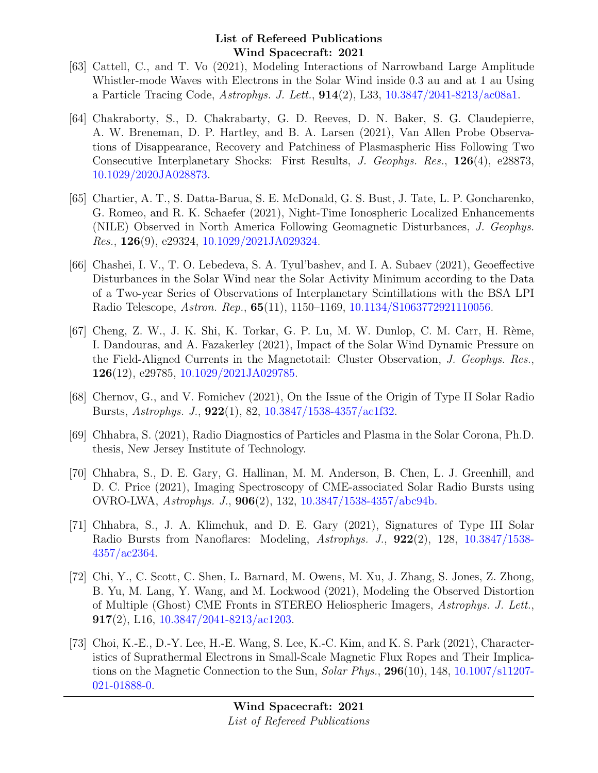- [63] Cattell, C., and T. Vo (2021), Modeling Interactions of Narrowband Large Amplitude Whistler-mode Waves with Electrons in the Solar Wind inside 0.3 au and at 1 au Using a Particle Tracing Code, Astrophys. J. Lett., 914(2), L33, [10.3847/2041-8213/ac08a1.](http://dx.doi.org/10.3847/2041-8213/ac08a1)
- [64] Chakraborty, S., D. Chakrabarty, G. D. Reeves, D. N. Baker, S. G. Claudepierre, A. W. Breneman, D. P. Hartley, and B. A. Larsen (2021), Van Allen Probe Observations of Disappearance, Recovery and Patchiness of Plasmaspheric Hiss Following Two Consecutive Interplanetary Shocks: First Results, J. Geophys. Res., 126(4), e28873, [10.1029/2020JA028873.](http://dx.doi.org/10.1029/2020JA028873)
- [65] Chartier, A. T., S. Datta-Barua, S. E. McDonald, G. S. Bust, J. Tate, L. P. Goncharenko, G. Romeo, and R. K. Schaefer (2021), Night-Time Ionospheric Localized Enhancements (NILE) Observed in North America Following Geomagnetic Disturbances, J. Geophys. Res.,  $126(9)$ , e29324,  $10.1029/2021JA029324$ .
- [66] Chashei, I. V., T. O. Lebedeva, S. A. Tyul'bashev, and I. A. Subaev (2021), Geoeffective Disturbances in the Solar Wind near the Solar Activity Minimum according to the Data of a Two-year Series of Observations of Interplanetary Scintillations with the BSA LPI Radio Telescope, Astron. Rep., 65(11), 1150–1169, [10.1134/S1063772921110056.](http://dx.doi.org/10.1134/S1063772921110056)
- [67] Cheng, Z. W., J. K. Shi, K. Torkar, G. P. Lu, M. W. Dunlop, C. M. Carr, H. Rème, I. Dandouras, and A. Fazakerley (2021), Impact of the Solar Wind Dynamic Pressure on the Field-Aligned Currents in the Magnetotail: Cluster Observation, J. Geophys. Res., 126(12), e29785, [10.1029/2021JA029785.](http://dx.doi.org/10.1029/2021JA029785)
- [68] Chernov, G., and V. Fomichev (2021), On the Issue of the Origin of Type II Solar Radio Bursts, Astrophys. J., 922(1), 82, [10.3847/1538-4357/ac1f32.](http://dx.doi.org/10.3847/1538-4357/ac1f32)
- [69] Chhabra, S. (2021), Radio Diagnostics of Particles and Plasma in the Solar Corona, Ph.D. thesis, New Jersey Institute of Technology.
- [70] Chhabra, S., D. E. Gary, G. Hallinan, M. M. Anderson, B. Chen, L. J. Greenhill, and D. C. Price (2021), Imaging Spectroscopy of CME-associated Solar Radio Bursts using OVRO-LWA, Astrophys. J., 906(2), 132, [10.3847/1538-4357/abc94b.](http://dx.doi.org/10.3847/1538-4357/abc94b)
- [71] Chhabra, S., J. A. Klimchuk, and D. E. Gary (2021), Signatures of Type III Solar Radio Bursts from Nanoflares: Modeling, Astrophys. J., 922(2), 128, [10.3847/1538-](http://dx.doi.org/10.3847/1538-4357/ac2364) [4357/ac2364.](http://dx.doi.org/10.3847/1538-4357/ac2364)
- [72] Chi, Y., C. Scott, C. Shen, L. Barnard, M. Owens, M. Xu, J. Zhang, S. Jones, Z. Zhong, B. Yu, M. Lang, Y. Wang, and M. Lockwood (2021), Modeling the Observed Distortion of Multiple (Ghost) CME Fronts in STEREO Heliospheric Imagers, Astrophys. J. Lett., 917(2), L16,  $10.3847/2041 - 8213/\text{ac}1203$ .
- [73] Choi, K.-E., D.-Y. Lee, H.-E. Wang, S. Lee, K.-C. Kim, and K. S. Park (2021), Characteristics of Suprathermal Electrons in Small-Scale Magnetic Flux Ropes and Their Implications on the Magnetic Connection to the Sun, *Solar Phys.*, **296**(10), 148, [10.1007/s11207-](http://dx.doi.org/10.1007/s11207-021-01888-0) [021-01888-0.](http://dx.doi.org/10.1007/s11207-021-01888-0)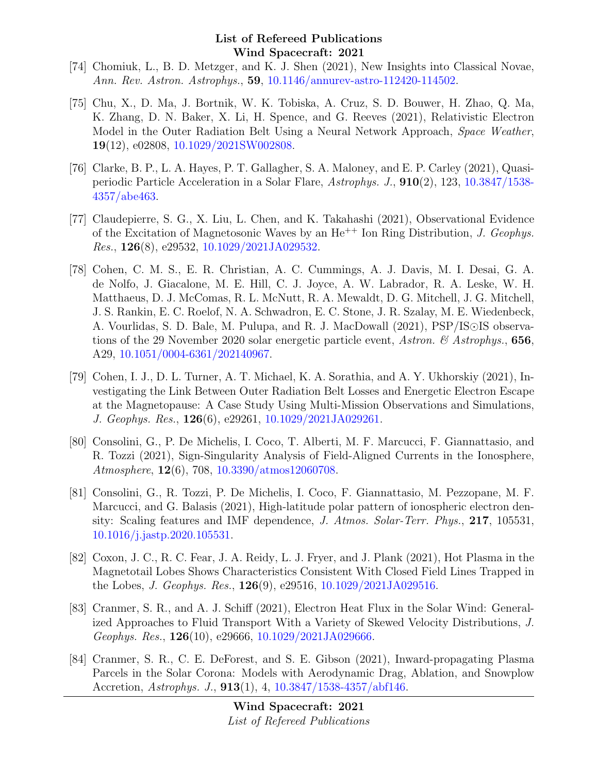- [74] Chomiuk, L., B. D. Metzger, and K. J. Shen (2021), New Insights into Classical Novae, Ann. Rev. Astron. Astrophys., 59, [10.1146/annurev-astro-112420-114502.](http://dx.doi.org/10.1146/annurev-astro-112420-114502)
- [75] Chu, X., D. Ma, J. Bortnik, W. K. Tobiska, A. Cruz, S. D. Bouwer, H. Zhao, Q. Ma, K. Zhang, D. N. Baker, X. Li, H. Spence, and G. Reeves (2021), Relativistic Electron Model in the Outer Radiation Belt Using a Neural Network Approach, Space Weather, 19(12), e02808, [10.1029/2021SW002808.](http://dx.doi.org/10.1029/2021SW002808)
- [76] Clarke, B. P., L. A. Hayes, P. T. Gallagher, S. A. Maloney, and E. P. Carley (2021), Quasiperiodic Particle Acceleration in a Solar Flare, Astrophys. J., 910(2), 123, [10.3847/1538-](http://dx.doi.org/10.3847/1538-4357/abe463) [4357/abe463.](http://dx.doi.org/10.3847/1538-4357/abe463)
- [77] Claudepierre, S. G., X. Liu, L. Chen, and K. Takahashi (2021), Observational Evidence of the Excitation of Magnetosonic Waves by an  $He^{++}$  Ion Ring Distribution, *J. Geophys.* Res., 126(8), e29532, [10.1029/2021JA029532.](http://dx.doi.org/10.1029/2021JA029532)
- [78] Cohen, C. M. S., E. R. Christian, A. C. Cummings, A. J. Davis, M. I. Desai, G. A. de Nolfo, J. Giacalone, M. E. Hill, C. J. Joyce, A. W. Labrador, R. A. Leske, W. H. Matthaeus, D. J. McComas, R. L. McNutt, R. A. Mewaldt, D. G. Mitchell, J. G. Mitchell, J. S. Rankin, E. C. Roelof, N. A. Schwadron, E. C. Stone, J. R. Szalay, M. E. Wiedenbeck, A. Vourlidas, S. D. Bale, M. Pulupa, and R. J. MacDowall (2021), PSP/IS observations of the 29 November 2020 solar energetic particle event, Astron. & Astrophys., 656, A29, [10.1051/0004-6361/202140967.](http://dx.doi.org/10.1051/0004-6361/202140967)
- [79] Cohen, I. J., D. L. Turner, A. T. Michael, K. A. Sorathia, and A. Y. Ukhorskiy (2021), Investigating the Link Between Outer Radiation Belt Losses and Energetic Electron Escape at the Magnetopause: A Case Study Using Multi-Mission Observations and Simulations, J. Geophys. Res., 126(6), e29261, [10.1029/2021JA029261.](http://dx.doi.org/10.1029/2021JA029261)
- [80] Consolini, G., P. De Michelis, I. Coco, T. Alberti, M. F. Marcucci, F. Giannattasio, and R. Tozzi (2021), Sign-Singularity Analysis of Field-Aligned Currents in the Ionosphere, Atmosphere, 12(6), 708, [10.3390/atmos12060708.](http://dx.doi.org/10.3390/atmos12060708)
- [81] Consolini, G., R. Tozzi, P. De Michelis, I. Coco, F. Giannattasio, M. Pezzopane, M. F. Marcucci, and G. Balasis (2021), High-latitude polar pattern of ionospheric electron density: Scaling features and IMF dependence, J. Atmos. Solar-Terr. Phys., 217, 105531, [10.1016/j.jastp.2020.105531.](http://dx.doi.org/10.1016/j.jastp.2020.105531)
- [82] Coxon, J. C., R. C. Fear, J. A. Reidy, L. J. Fryer, and J. Plank (2021), Hot Plasma in the Magnetotail Lobes Shows Characteristics Consistent With Closed Field Lines Trapped in the Lobes, J. Geophys. Res., 126(9), e29516, [10.1029/2021JA029516.](http://dx.doi.org/10.1029/2021JA029516)
- [83] Cranmer, S. R., and A. J. Schiff (2021), Electron Heat Flux in the Solar Wind: Generalized Approaches to Fluid Transport With a Variety of Skewed Velocity Distributions, J. Geophys. Res.,  $126(10)$ , e29666,  $10.1029/2021JA029666$ .
- [84] Cranmer, S. R., C. E. DeForest, and S. E. Gibson (2021), Inward-propagating Plasma Parcels in the Solar Corona: Models with Aerodynamic Drag, Ablation, and Snowplow Accretion, *Astrophys. J.*, **913**(1), 4, [10.3847/1538-4357/abf146.](http://dx.doi.org/10.3847/1538-4357/abf146)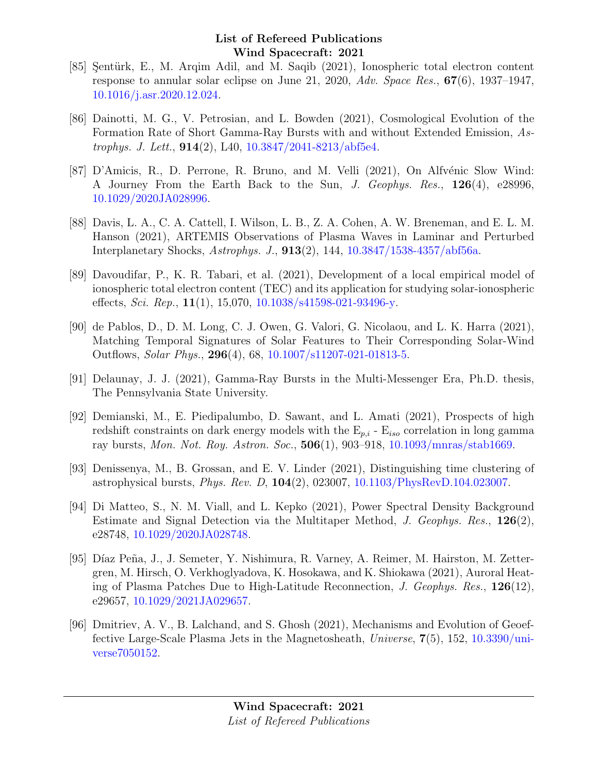- [85] Sentürk, E., M. Arqim Adil, and M. Saqib (2021), Ionospheric total electron content response to annular solar eclipse on June 21, 2020, Adv. Space Res., 67(6), 1937–1947, [10.1016/j.asr.2020.12.024.](http://dx.doi.org/10.1016/j.asr.2020.12.024)
- [86] Dainotti, M. G., V. Petrosian, and L. Bowden (2021), Cosmological Evolution of the Formation Rate of Short Gamma-Ray Bursts with and without Extended Emission, Astrophys. J. Lett., 914(2), L40, [10.3847/2041-8213/abf5e4.](http://dx.doi.org/10.3847/2041-8213/abf5e4)
- [87] D'Amicis, R., D. Perrone, R. Bruno, and M. Velli  $(2021)$ , On Alfvénic Slow Wind: A Journey From the Earth Back to the Sun, J. Geophys. Res., 126(4), e28996, [10.1029/2020JA028996.](http://dx.doi.org/10.1029/2020JA028996)
- [88] Davis, L. A., C. A. Cattell, I. Wilson, L. B., Z. A. Cohen, A. W. Breneman, and E. L. M. Hanson (2021), ARTEMIS Observations of Plasma Waves in Laminar and Perturbed Interplanetary Shocks, Astrophys. J., 913(2), 144, [10.3847/1538-4357/abf56a.](http://dx.doi.org/10.3847/1538-4357/abf56a)
- [89] Davoudifar, P., K. R. Tabari, et al. (2021), Development of a local empirical model of ionospheric total electron content (TEC) and its application for studying solar-ionospheric effects, Sci. Rep.,  $11(1)$ ,  $15,070$ ,  $10.1038/s41598-021-93496-y$ .
- [90] de Pablos, D., D. M. Long, C. J. Owen, G. Valori, G. Nicolaou, and L. K. Harra (2021), Matching Temporal Signatures of Solar Features to Their Corresponding Solar-Wind Outflows, Solar Phys., 296(4), 68, [10.1007/s11207-021-01813-5.](http://dx.doi.org/10.1007/s11207-021-01813-5)
- [91] Delaunay, J. J. (2021), Gamma-Ray Bursts in the Multi-Messenger Era, Ph.D. thesis, The Pennsylvania State University.
- [92] Demianski, M., E. Piedipalumbo, D. Sawant, and L. Amati (2021), Prospects of high redshift constraints on dark energy models with the  $E_{p,i}$  -  $E_{iso}$  correlation in long gamma ray bursts, Mon. Not. Roy. Astron. Soc., 506(1), 903–918, [10.1093/mnras/stab1669.](http://dx.doi.org/10.1093/mnras/stab1669)
- [93] Denissenya, M., B. Grossan, and E. V. Linder (2021), Distinguishing time clustering of astrophysical bursts, Phys. Rev. D, 104(2), 023007, [10.1103/PhysRevD.104.023007.](http://dx.doi.org/10.1103/PhysRevD.104.023007)
- [94] Di Matteo, S., N. M. Viall, and L. Kepko (2021), Power Spectral Density Background Estimate and Signal Detection via the Multitaper Method, J. Geophys. Res.,  $126(2)$ , e28748, [10.1029/2020JA028748.](http://dx.doi.org/10.1029/2020JA028748)
- [95] Díaz Peña, J., J. Semeter, Y. Nishimura, R. Varney, A. Reimer, M. Hairston, M. Zettergren, M. Hirsch, O. Verkhoglyadova, K. Hosokawa, and K. Shiokawa (2021), Auroral Heating of Plasma Patches Due to High-Latitude Reconnection, J. Geophys. Res., 126(12), e29657, [10.1029/2021JA029657.](http://dx.doi.org/10.1029/2021JA029657)
- [96] Dmitriev, A. V., B. Lalchand, and S. Ghosh (2021), Mechanisms and Evolution of Geoeffective Large-Scale Plasma Jets in the Magnetosheath, Universe, 7(5), 152, [10.3390/uni](http://dx.doi.org/10.3390/universe7050152)[verse7050152.](http://dx.doi.org/10.3390/universe7050152)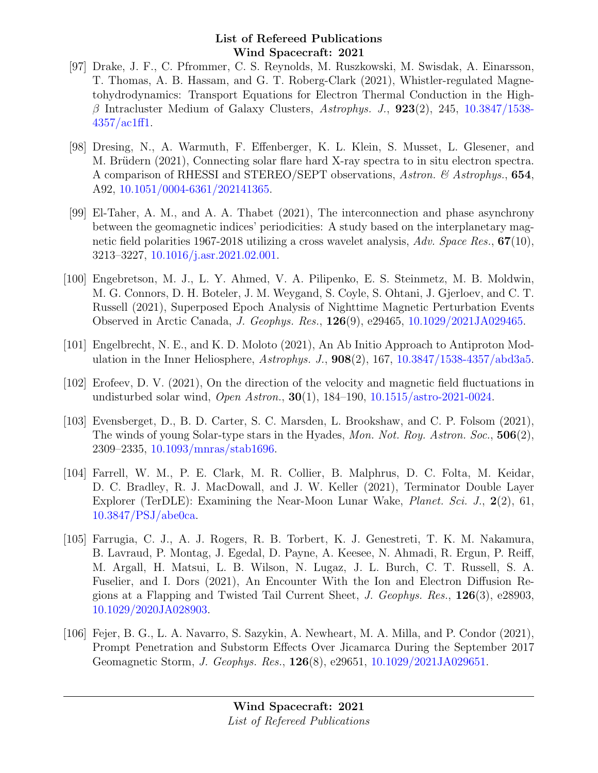- [97] Drake, J. F., C. Pfrommer, C. S. Reynolds, M. Ruszkowski, M. Swisdak, A. Einarsson, T. Thomas, A. B. Hassam, and G. T. Roberg-Clark (2021), Whistler-regulated Magnetohydrodynamics: Transport Equations for Electron Thermal Conduction in the High- $\beta$  Intracluster Medium of Galaxy Clusters, Astrophys. J., **923**(2), 245, [10.3847/1538-](http://dx.doi.org/10.3847/1538-4357/ac1ff1) [4357/ac1ff1.](http://dx.doi.org/10.3847/1538-4357/ac1ff1)
- [98] Dresing, N., A. Warmuth, F. Effenberger, K. L. Klein, S. Musset, L. Glesener, and M. Brüdern (2021), Connecting solar flare hard X-ray spectra to in situ electron spectra. A comparison of RHESSI and STEREO/SEPT observations, Astron. & Astrophys., 654, A92, [10.1051/0004-6361/202141365.](http://dx.doi.org/10.1051/0004-6361/202141365)
- [99] El-Taher, A. M., and A. A. Thabet (2021), The interconnection and phase asynchrony between the geomagnetic indices' periodicities: A study based on the interplanetary magnetic field polarities 1967-2018 utilizing a cross wavelet analysis, Adv. Space Res., 67(10), 3213–3227, [10.1016/j.asr.2021.02.001.](http://dx.doi.org/10.1016/j.asr.2021.02.001)
- [100] Engebretson, M. J., L. Y. Ahmed, V. A. Pilipenko, E. S. Steinmetz, M. B. Moldwin, M. G. Connors, D. H. Boteler, J. M. Weygand, S. Coyle, S. Ohtani, J. Gjerloev, and C. T. Russell (2021), Superposed Epoch Analysis of Nighttime Magnetic Perturbation Events Observed in Arctic Canada, J. Geophys. Res., 126(9), e29465, [10.1029/2021JA029465.](http://dx.doi.org/10.1029/2021JA029465)
- [101] Engelbrecht, N. E., and K. D. Moloto (2021), An Ab Initio Approach to Antiproton Modulation in the Inner Heliosphere, Astrophys. J., 908(2), 167, [10.3847/1538-4357/abd3a5.](http://dx.doi.org/10.3847/1538-4357/abd3a5)
- [102] Erofeev, D. V. (2021), On the direction of the velocity and magnetic field fluctuations in undisturbed solar wind, Open Astron., 30(1), 184–190, [10.1515/astro-2021-0024.](http://dx.doi.org/10.1515/astro-2021-0024)
- [103] Evensberget, D., B. D. Carter, S. C. Marsden, L. Brookshaw, and C. P. Folsom (2021), The winds of young Solar-type stars in the Hyades, Mon. Not. Roy. Astron. Soc., 506(2), 2309–2335, [10.1093/mnras/stab1696.](http://dx.doi.org/10.1093/mnras/stab1696)
- [104] Farrell, W. M., P. E. Clark, M. R. Collier, B. Malphrus, D. C. Folta, M. Keidar, D. C. Bradley, R. J. MacDowall, and J. W. Keller (2021), Terminator Double Layer Explorer (TerDLE): Examining the Near-Moon Lunar Wake, Planet. Sci. J., 2(2), 61, [10.3847/PSJ/abe0ca.](http://dx.doi.org/10.3847/PSJ/abe0ca)
- [105] Farrugia, C. J., A. J. Rogers, R. B. Torbert, K. J. Genestreti, T. K. M. Nakamura, B. Lavraud, P. Montag, J. Egedal, D. Payne, A. Keesee, N. Ahmadi, R. Ergun, P. Reiff, M. Argall, H. Matsui, L. B. Wilson, N. Lugaz, J. L. Burch, C. T. Russell, S. A. Fuselier, and I. Dors (2021), An Encounter With the Ion and Electron Diffusion Regions at a Flapping and Twisted Tail Current Sheet, J. Geophys. Res., 126(3), e28903, [10.1029/2020JA028903.](http://dx.doi.org/10.1029/2020JA028903)
- [106] Fejer, B. G., L. A. Navarro, S. Sazykin, A. Newheart, M. A. Milla, and P. Condor (2021), Prompt Penetration and Substorm Effects Over Jicamarca During the September 2017 Geomagnetic Storm, J. Geophys. Res., 126(8), e29651, [10.1029/2021JA029651.](http://dx.doi.org/10.1029/2021JA029651)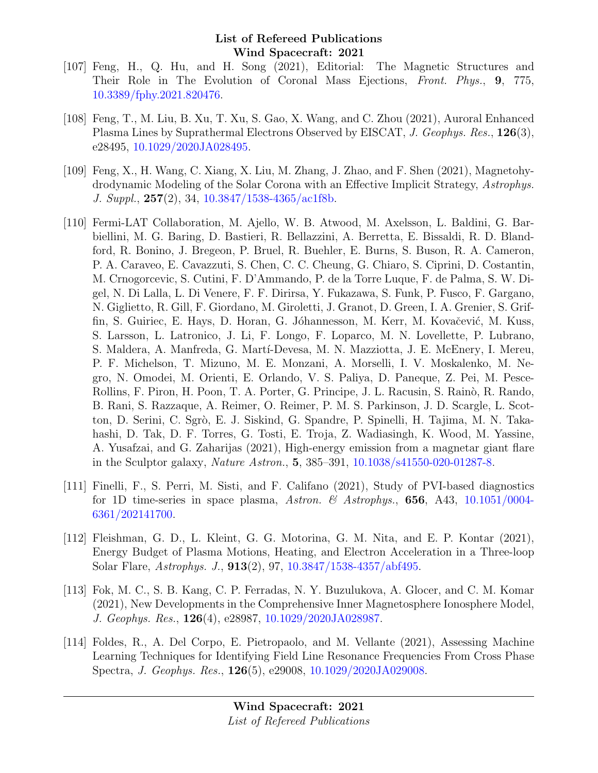- [107] Feng, H., Q. Hu, and H. Song (2021), Editorial: The Magnetic Structures and Their Role in The Evolution of Coronal Mass Ejections, Front. Phys., 9, 775, [10.3389/fphy.2021.820476.](http://dx.doi.org/10.3389/fphy.2021.820476)
- [108] Feng, T., M. Liu, B. Xu, T. Xu, S. Gao, X. Wang, and C. Zhou (2021), Auroral Enhanced Plasma Lines by Suprathermal Electrons Observed by EISCAT, J. Geophys. Res., 126(3), e28495, [10.1029/2020JA028495.](http://dx.doi.org/10.1029/2020JA028495)
- [109] Feng, X., H. Wang, C. Xiang, X. Liu, M. Zhang, J. Zhao, and F. Shen (2021), Magnetohydrodynamic Modeling of the Solar Corona with an Effective Implicit Strategy, Astrophys. J. Suppl., 257(2), 34, [10.3847/1538-4365/ac1f8b.](http://dx.doi.org/10.3847/1538-4365/ac1f8b)
- [110] Fermi-LAT Collaboration, M. Ajello, W. B. Atwood, M. Axelsson, L. Baldini, G. Barbiellini, M. G. Baring, D. Bastieri, R. Bellazzini, A. Berretta, E. Bissaldi, R. D. Blandford, R. Bonino, J. Bregeon, P. Bruel, R. Buehler, E. Burns, S. Buson, R. A. Cameron, P. A. Caraveo, E. Cavazzuti, S. Chen, C. C. Cheung, G. Chiaro, S. Ciprini, D. Costantin, M. Crnogorcevic, S. Cutini, F. D'Ammando, P. de la Torre Luque, F. de Palma, S. W. Digel, N. Di Lalla, L. Di Venere, F. F. Dirirsa, Y. Fukazawa, S. Funk, P. Fusco, F. Gargano, N. Giglietto, R. Gill, F. Giordano, M. Giroletti, J. Granot, D. Green, I. A. Grenier, S. Griffin, S. Guiriec, E. Hays, D. Horan, G. Jóhannesson, M. Kerr, M. Kovačević, M. Kuss, S. Larsson, L. Latronico, J. Li, F. Longo, F. Loparco, M. N. Lovellette, P. Lubrano, S. Maldera, A. Manfreda, G. Martí-Devesa, M. N. Mazziotta, J. E. McEnery, I. Mereu, P. F. Michelson, T. Mizuno, M. E. Monzani, A. Morselli, I. V. Moskalenko, M. Negro, N. Omodei, M. Orienti, E. Orlando, V. S. Paliya, D. Paneque, Z. Pei, M. Pesce-Rollins, F. Piron, H. Poon, T. A. Porter, G. Principe, J. L. Racusin, S. Rainò, R. Rando, B. Rani, S. Razzaque, A. Reimer, O. Reimer, P. M. S. Parkinson, J. D. Scargle, L. Scotton, D. Serini, C. Sgrò, E. J. Siskind, G. Spandre, P. Spinelli, H. Tajima, M. N. Takahashi, D. Tak, D. F. Torres, G. Tosti, E. Troja, Z. Wadiasingh, K. Wood, M. Yassine, A. Yusafzai, and G. Zaharijas (2021), High-energy emission from a magnetar giant flare in the Sculptor galaxy, Nature Astron., 5, 385–391, [10.1038/s41550-020-01287-8.](http://dx.doi.org/10.1038/s41550-020-01287-8)
- [111] Finelli, F., S. Perri, M. Sisti, and F. Califano (2021), Study of PVI-based diagnostics for 1D time-series in space plasma, Astron. & Astrophys., 656, A43,  $10.1051/0004$ -[6361/202141700.](http://dx.doi.org/10.1051/0004-6361/202141700)
- [112] Fleishman, G. D., L. Kleint, G. G. Motorina, G. M. Nita, and E. P. Kontar (2021), Energy Budget of Plasma Motions, Heating, and Electron Acceleration in a Three-loop Solar Flare, Astrophys. J., 913(2), 97, [10.3847/1538-4357/abf495.](http://dx.doi.org/10.3847/1538-4357/abf495)
- [113] Fok, M. C., S. B. Kang, C. P. Ferradas, N. Y. Buzulukova, A. Glocer, and C. M. Komar (2021), New Developments in the Comprehensive Inner Magnetosphere Ionosphere Model, J. Geophys. Res., 126(4), e28987, [10.1029/2020JA028987.](http://dx.doi.org/10.1029/2020JA028987)
- [114] Foldes, R., A. Del Corpo, E. Pietropaolo, and M. Vellante (2021), Assessing Machine Learning Techniques for Identifying Field Line Resonance Frequencies From Cross Phase Spectra, J. Geophys. Res., 126(5), e29008, [10.1029/2020JA029008.](http://dx.doi.org/10.1029/2020JA029008)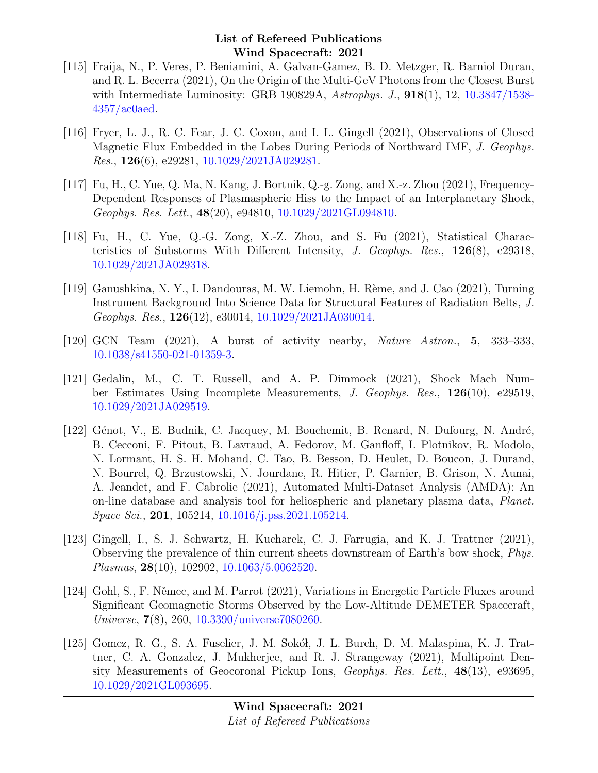- [115] Fraija, N., P. Veres, P. Beniamini, A. Galvan-Gamez, B. D. Metzger, R. Barniol Duran, and R. L. Becerra (2021), On the Origin of the Multi-GeV Photons from the Closest Burst with Intermediate Luminosity: GRB 190829A, Astrophys. J., **918**(1), 12, [10.3847/1538-](http://dx.doi.org/10.3847/1538-4357/ac0aed) [4357/ac0aed.](http://dx.doi.org/10.3847/1538-4357/ac0aed)
- [116] Fryer, L. J., R. C. Fear, J. C. Coxon, and I. L. Gingell (2021), Observations of Closed Magnetic Flux Embedded in the Lobes During Periods of Northward IMF, J. Geophys. Res., 126(6), e29281, [10.1029/2021JA029281.](http://dx.doi.org/10.1029/2021JA029281)
- [117] Fu, H., C. Yue, Q. Ma, N. Kang, J. Bortnik, Q.-g. Zong, and X.-z. Zhou (2021), Frequency-Dependent Responses of Plasmaspheric Hiss to the Impact of an Interplanetary Shock, Geophys. Res. Lett., 48(20), e94810, [10.1029/2021GL094810.](http://dx.doi.org/10.1029/2021GL094810)
- [118] Fu, H., C. Yue, Q.-G. Zong, X.-Z. Zhou, and S. Fu (2021), Statistical Characteristics of Substorms With Different Intensity, J. Geophys. Res., 126(8), e29318, [10.1029/2021JA029318.](http://dx.doi.org/10.1029/2021JA029318)
- [119] Ganushkina, N. Y., I. Dandouras, M. W. Liemohn, H. Rème, and J. Cao (2021), Turning Instrument Background Into Science Data for Structural Features of Radiation Belts, J. Geophys. Res., 126(12), e30014, [10.1029/2021JA030014.](http://dx.doi.org/10.1029/2021JA030014)
- [120] GCN Team (2021), A burst of activity nearby, Nature Astron., 5, 333–333, [10.1038/s41550-021-01359-3.](http://dx.doi.org/10.1038/s41550-021-01359-3)
- [121] Gedalin, M., C. T. Russell, and A. P. Dimmock (2021), Shock Mach Number Estimates Using Incomplete Measurements, J. Geophys. Res., 126(10), e29519, [10.1029/2021JA029519.](http://dx.doi.org/10.1029/2021JA029519)
- [122] Génot, V., E. Budnik, C. Jacquey, M. Bouchemit, B. Renard, N. Dufourg, N. André, B. Cecconi, F. Pitout, B. Lavraud, A. Fedorov, M. Ganfloff, I. Plotnikov, R. Modolo, N. Lormant, H. S. H. Mohand, C. Tao, B. Besson, D. Heulet, D. Boucon, J. Durand, N. Bourrel, Q. Brzustowski, N. Jourdane, R. Hitier, P. Garnier, B. Grison, N. Aunai, A. Jeandet, and F. Cabrolie (2021), Automated Multi-Dataset Analysis (AMDA): An on-line database and analysis tool for heliospheric and planetary plasma data, Planet. Space Sci., 201, 105214, [10.1016/j.pss.2021.105214.](http://dx.doi.org/10.1016/j.pss.2021.105214)
- [123] Gingell, I., S. J. Schwartz, H. Kucharek, C. J. Farrugia, and K. J. Trattner (2021), Observing the prevalence of thin current sheets downstream of Earth's bow shock, Phys. Plasmas, 28(10), 102902, [10.1063/5.0062520.](http://dx.doi.org/10.1063/5.0062520)
- [124] Gohl, S., F. Němec, and M. Parrot (2021), Variations in Energetic Particle Fluxes around Significant Geomagnetic Storms Observed by the Low-Altitude DEMETER Spacecraft, Universe, 7(8), 260, [10.3390/universe7080260.](http://dx.doi.org/10.3390/universe7080260)
- [125] Gomez, R. G., S. A. Fuselier, J. M. Sokół, J. L. Burch, D. M. Malaspina, K. J. Trattner, C. A. Gonzalez, J. Mukherjee, and R. J. Strangeway (2021), Multipoint Density Measurements of Geocoronal Pickup Ions, Geophys. Res. Lett., 48(13), e93695, [10.1029/2021GL093695.](http://dx.doi.org/10.1029/2021GL093695)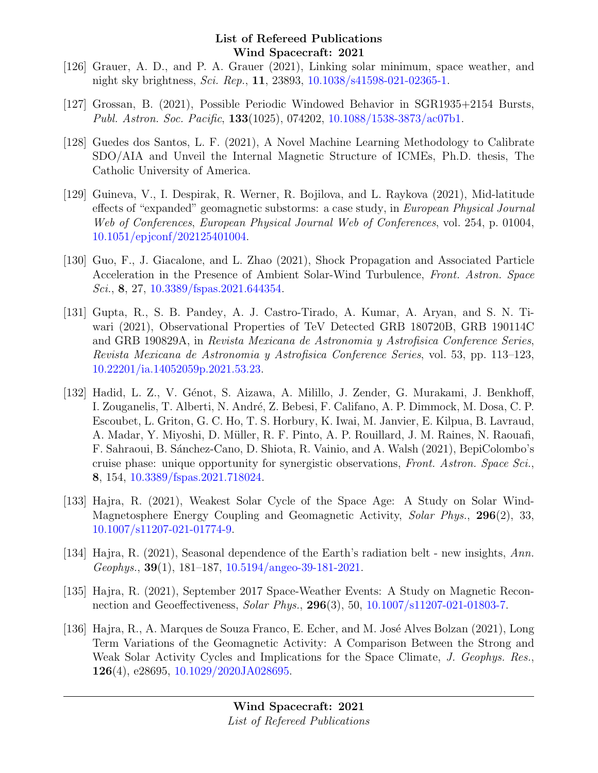- [126] Grauer, A. D., and P. A. Grauer (2021), Linking solar minimum, space weather, and night sky brightness, Sci. Rep., 11, 23893, [10.1038/s41598-021-02365-1.](http://dx.doi.org/10.1038/s41598-021-02365-1)
- [127] Grossan, B. (2021), Possible Periodic Windowed Behavior in SGR1935+2154 Bursts, Publ. Astron. Soc. Pacific, 133(1025), 074202, [10.1088/1538-3873/ac07b1.](http://dx.doi.org/10.1088/1538-3873/ac07b1)
- [128] Guedes dos Santos, L. F. (2021), A Novel Machine Learning Methodology to Calibrate SDO/AIA and Unveil the Internal Magnetic Structure of ICMEs, Ph.D. thesis, The Catholic University of America.
- [129] Guineva, V., I. Despirak, R. Werner, R. Bojilova, and L. Raykova (2021), Mid-latitude effects of "expanded" geomagnetic substorms: a case study, in European Physical Journal Web of Conferences, European Physical Journal Web of Conferences, vol. 254, p. 01004, [10.1051/epjconf/202125401004.](http://dx.doi.org/10.1051/epjconf/202125401004)
- [130] Guo, F., J. Giacalone, and L. Zhao (2021), Shock Propagation and Associated Particle Acceleration in the Presence of Ambient Solar-Wind Turbulence, Front. Astron. Space Sci., 8, 27, [10.3389/fspas.2021.644354.](http://dx.doi.org/10.3389/fspas.2021.644354)
- [131] Gupta, R., S. B. Pandey, A. J. Castro-Tirado, A. Kumar, A. Aryan, and S. N. Tiwari (2021), Observational Properties of TeV Detected GRB 180720B, GRB 190114C and GRB 190829A, in Revista Mexicana de Astronomia y Astrofisica Conference Series, Revista Mexicana de Astronomia y Astrofisica Conference Series, vol. 53, pp. 113–123, [10.22201/ia.14052059p.2021.53.23.](http://dx.doi.org/10.22201/ia.14052059p.2021.53.23)
- [132] Hadid, L. Z., V. Génot, S. Aizawa, A. Milillo, J. Zender, G. Murakami, J. Benkhoff, I. Zouganelis, T. Alberti, N. André, Z. Bebesi, F. Califano, A. P. Dimmock, M. Dosa, C. P. Escoubet, L. Griton, G. C. Ho, T. S. Horbury, K. Iwai, M. Janvier, E. Kilpua, B. Lavraud, A. Madar, Y. Miyoshi, D. Müller, R. F. Pinto, A. P. Rouillard, J. M. Raines, N. Raouafi, F. Sahraoui, B. S´anchez-Cano, D. Shiota, R. Vainio, and A. Walsh (2021), BepiColombo's cruise phase: unique opportunity for synergistic observations, Front. Astron. Space Sci., 8, 154, [10.3389/fspas.2021.718024.](http://dx.doi.org/10.3389/fspas.2021.718024)
- [133] Hajra, R. (2021), Weakest Solar Cycle of the Space Age: A Study on Solar Wind-Magnetosphere Energy Coupling and Geomagnetic Activity, Solar Phys., 296(2), 33, [10.1007/s11207-021-01774-9.](http://dx.doi.org/10.1007/s11207-021-01774-9)
- [134] Hajra, R. (2021), Seasonal dependence of the Earth's radiation belt new insights, Ann. Geophys.,  $39(1)$ , 181–187, [10.5194/angeo-39-181-2021.](http://dx.doi.org/10.5194/angeo-39-181-2021)
- [135] Hajra, R. (2021), September 2017 Space-Weather Events: A Study on Magnetic Reconnection and Geoeffectiveness, Solar Phys., 296(3), 50, [10.1007/s11207-021-01803-7.](http://dx.doi.org/10.1007/s11207-021-01803-7)
- [136] Hajra, R., A. Marques de Souza Franco, E. Echer, and M. José Alves Bolzan (2021), Long Term Variations of the Geomagnetic Activity: A Comparison Between the Strong and Weak Solar Activity Cycles and Implications for the Space Climate, J. Geophys. Res., 126(4), e28695, [10.1029/2020JA028695.](http://dx.doi.org/10.1029/2020JA028695)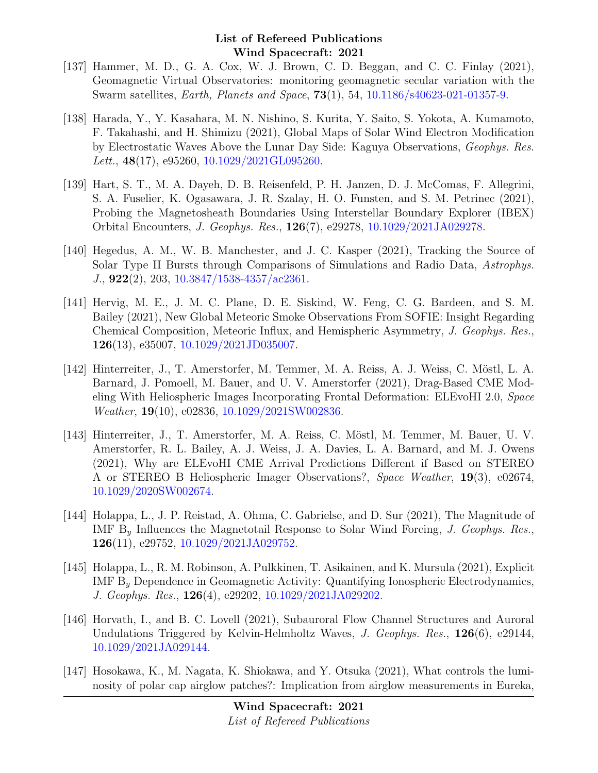- [137] Hammer, M. D., G. A. Cox, W. J. Brown, C. D. Beggan, and C. C. Finlay (2021), Geomagnetic Virtual Observatories: monitoring geomagnetic secular variation with the Swarm satellites, Earth, Planets and Space, 73(1), 54, [10.1186/s40623-021-01357-9.](http://dx.doi.org/10.1186/s40623-021-01357-9)
- [138] Harada, Y., Y. Kasahara, M. N. Nishino, S. Kurita, Y. Saito, S. Yokota, A. Kumamoto, F. Takahashi, and H. Shimizu (2021), Global Maps of Solar Wind Electron Modification by Electrostatic Waves Above the Lunar Day Side: Kaguya Observations, Geophys. Res. Lett.,  $48(17)$ , e95260,  $10.1029/2021$ GL095260.
- [139] Hart, S. T., M. A. Dayeh, D. B. Reisenfeld, P. H. Janzen, D. J. McComas, F. Allegrini, S. A. Fuselier, K. Ogasawara, J. R. Szalay, H. O. Funsten, and S. M. Petrinec (2021), Probing the Magnetosheath Boundaries Using Interstellar Boundary Explorer (IBEX) Orbital Encounters, J. Geophys. Res., 126(7), e29278, [10.1029/2021JA029278.](http://dx.doi.org/10.1029/2021JA029278)
- [140] Hegedus, A. M., W. B. Manchester, and J. C. Kasper (2021), Tracking the Source of Solar Type II Bursts through Comparisons of Simulations and Radio Data, Astrophys. J., 922(2), 203, [10.3847/1538-4357/ac2361.](http://dx.doi.org/10.3847/1538-4357/ac2361)
- [141] Hervig, M. E., J. M. C. Plane, D. E. Siskind, W. Feng, C. G. Bardeen, and S. M. Bailey (2021), New Global Meteoric Smoke Observations From SOFIE: Insight Regarding Chemical Composition, Meteoric Influx, and Hemispheric Asymmetry, J. Geophys. Res., 126(13), e35007, [10.1029/2021JD035007.](http://dx.doi.org/10.1029/2021JD035007)
- [142] Hinterreiter, J., T. Amerstorfer, M. Temmer, M. A. Reiss, A. J. Weiss, C. Möstl, L. A. Barnard, J. Pomoell, M. Bauer, and U. V. Amerstorfer (2021), Drag-Based CME Modeling With Heliospheric Images Incorporating Frontal Deformation: ELEvoHI 2.0, Space Weather, 19(10), e02836, [10.1029/2021SW002836.](http://dx.doi.org/10.1029/2021SW002836)
- [143] Hinterreiter, J., T. Amerstorfer, M. A. Reiss, C. Möstl, M. Temmer, M. Bauer, U. V. Amerstorfer, R. L. Bailey, A. J. Weiss, J. A. Davies, L. A. Barnard, and M. J. Owens (2021), Why are ELEvoHI CME Arrival Predictions Different if Based on STEREO A or STEREO B Heliospheric Imager Observations?, Space Weather, 19(3), e02674, [10.1029/2020SW002674.](http://dx.doi.org/10.1029/2020SW002674)
- [144] Holappa, L., J. P. Reistad, A. Ohma, C. Gabrielse, and D. Sur (2021), The Magnitude of IMF  $B<sub>y</sub>$  Influences the Magnetotail Response to Solar Wind Forcing, *J. Geophys. Res.*, 126(11), e29752, [10.1029/2021JA029752.](http://dx.doi.org/10.1029/2021JA029752)
- [145] Holappa, L., R. M. Robinson, A. Pulkkinen, T. Asikainen, and K. Mursula (2021), Explicit IMF B<sup>y</sup> Dependence in Geomagnetic Activity: Quantifying Ionospheric Electrodynamics, J. Geophys. Res., 126(4), e29202, [10.1029/2021JA029202.](http://dx.doi.org/10.1029/2021JA029202)
- [146] Horvath, I., and B. C. Lovell (2021), Subauroral Flow Channel Structures and Auroral Undulations Triggered by Kelvin-Helmholtz Waves, J. Geophys. Res.,  $126(6)$ , e29144, [10.1029/2021JA029144.](http://dx.doi.org/10.1029/2021JA029144)
- [147] Hosokawa, K., M. Nagata, K. Shiokawa, and Y. Otsuka (2021), What controls the luminosity of polar cap airglow patches?: Implication from airglow measurements in Eureka,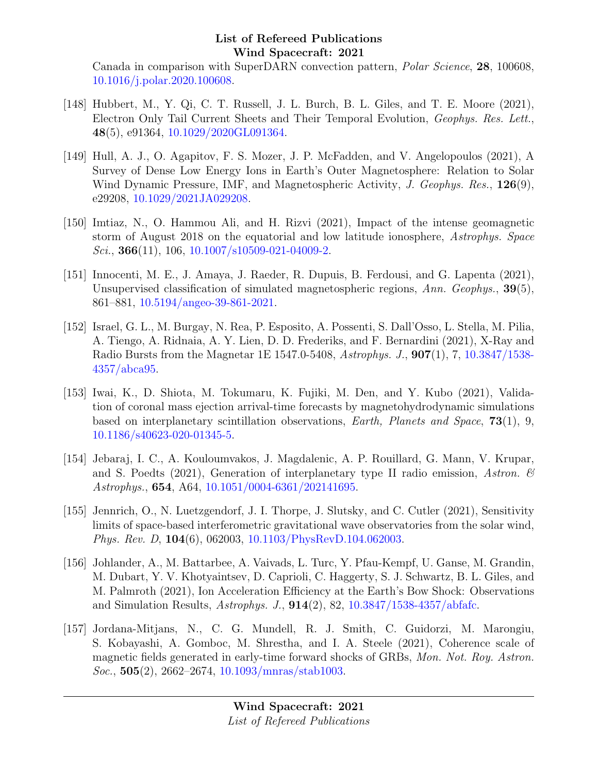Canada in comparison with SuperDARN convection pattern, Polar Science, 28, 100608, [10.1016/j.polar.2020.100608.](http://dx.doi.org/10.1016/j.polar.2020.100608)

- [148] Hubbert, M., Y. Qi, C. T. Russell, J. L. Burch, B. L. Giles, and T. E. Moore (2021), Electron Only Tail Current Sheets and Their Temporal Evolution, Geophys. Res. Lett., 48(5), e91364, [10.1029/2020GL091364.](http://dx.doi.org/10.1029/2020GL091364)
- [149] Hull, A. J., O. Agapitov, F. S. Mozer, J. P. McFadden, and V. Angelopoulos (2021), A Survey of Dense Low Energy Ions in Earth's Outer Magnetosphere: Relation to Solar Wind Dynamic Pressure, IMF, and Magnetospheric Activity, J. Geophys. Res., 126(9), e29208, [10.1029/2021JA029208.](http://dx.doi.org/10.1029/2021JA029208)
- [150] Imtiaz, N., O. Hammou Ali, and H. Rizvi (2021), Impact of the intense geomagnetic storm of August 2018 on the equatorial and low latitude ionosphere, Astrophys. Space Sci., **366**(11), 106, [10.1007/s10509-021-04009-2.](http://dx.doi.org/10.1007/s10509-021-04009-2)
- [151] Innocenti, M. E., J. Amaya, J. Raeder, R. Dupuis, B. Ferdousi, and G. Lapenta (2021), Unsupervised classification of simulated magnetospheric regions, Ann. Geophys., 39(5), 861–881, [10.5194/angeo-39-861-2021.](http://dx.doi.org/10.5194/angeo-39-861-2021)
- [152] Israel, G. L., M. Burgay, N. Rea, P. Esposito, A. Possenti, S. Dall'Osso, L. Stella, M. Pilia, A. Tiengo, A. Ridnaia, A. Y. Lien, D. D. Frederiks, and F. Bernardini (2021), X-Ray and Radio Bursts from the Magnetar 1E 1547.0-5408, Astrophys. J., 907(1), 7, [10.3847/1538-](http://dx.doi.org/10.3847/1538-4357/abca95) [4357/abca95.](http://dx.doi.org/10.3847/1538-4357/abca95)
- [153] Iwai, K., D. Shiota, M. Tokumaru, K. Fujiki, M. Den, and Y. Kubo (2021), Validation of coronal mass ejection arrival-time forecasts by magnetohydrodynamic simulations based on interplanetary scintillation observations, Earth, Planets and Space, 73(1), 9, [10.1186/s40623-020-01345-5.](http://dx.doi.org/10.1186/s40623-020-01345-5)
- [154] Jebaraj, I. C., A. Kouloumvakos, J. Magdalenic, A. P. Rouillard, G. Mann, V. Krupar, and S. Poedts (2021), Generation of interplanetary type II radio emission, Astron.  $\mathscr B$ Astrophys., 654, A64, [10.1051/0004-6361/202141695.](http://dx.doi.org/10.1051/0004-6361/202141695)
- [155] Jennrich, O., N. Luetzgendorf, J. I. Thorpe, J. Slutsky, and C. Cutler (2021), Sensitivity limits of space-based interferometric gravitational wave observatories from the solar wind, Phys. Rev. D, 104(6), 062003, [10.1103/PhysRevD.104.062003.](http://dx.doi.org/10.1103/PhysRevD.104.062003)
- [156] Johlander, A., M. Battarbee, A. Vaivads, L. Turc, Y. Pfau-Kempf, U. Ganse, M. Grandin, M. Dubart, Y. V. Khotyaintsev, D. Caprioli, C. Haggerty, S. J. Schwartz, B. L. Giles, and M. Palmroth (2021), Ion Acceleration Efficiency at the Earth's Bow Shock: Observations and Simulation Results,  $A \, stronglys. J., 914(2), 82, 10.3847/1538-4357/abf$ afc.
- [157] Jordana-Mitjans, N., C. G. Mundell, R. J. Smith, C. Guidorzi, M. Marongiu, S. Kobayashi, A. Gomboc, M. Shrestha, and I. A. Steele (2021), Coherence scale of magnetic fields generated in early-time forward shocks of GRBs, Mon. Not. Roy. Astron.  $Soc., 505(2), 2662-2674, 10.1093/mnrs/stab1003.$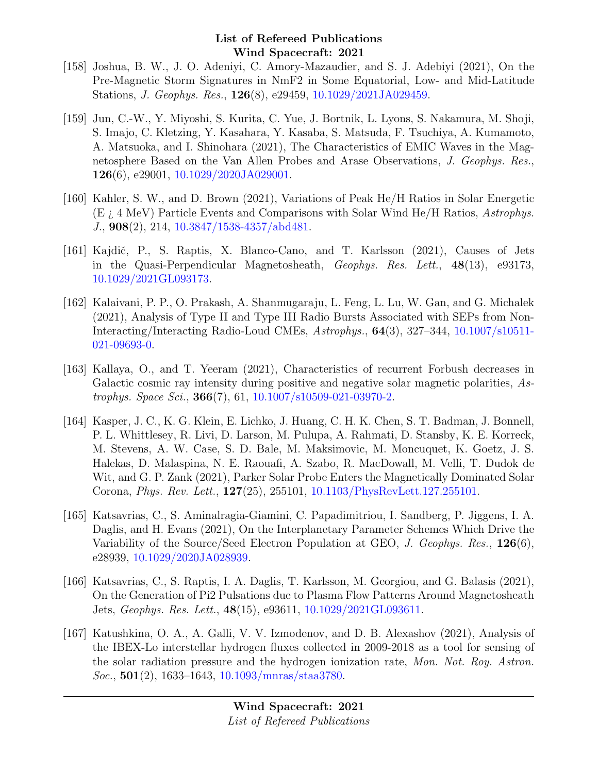- [158] Joshua, B. W., J. O. Adeniyi, C. Amory-Mazaudier, and S. J. Adebiyi (2021), On the Pre-Magnetic Storm Signatures in NmF2 in Some Equatorial, Low- and Mid-Latitude Stations, J. Geophys. Res., 126(8), e29459, [10.1029/2021JA029459.](http://dx.doi.org/10.1029/2021JA029459)
- [159] Jun, C.-W., Y. Miyoshi, S. Kurita, C. Yue, J. Bortnik, L. Lyons, S. Nakamura, M. Shoji, S. Imajo, C. Kletzing, Y. Kasahara, Y. Kasaba, S. Matsuda, F. Tsuchiya, A. Kumamoto, A. Matsuoka, and I. Shinohara (2021), The Characteristics of EMIC Waves in the Magnetosphere Based on the Van Allen Probes and Arase Observations, J. Geophys. Res., 126(6), e29001, [10.1029/2020JA029001.](http://dx.doi.org/10.1029/2020JA029001)
- [160] Kahler, S. W., and D. Brown (2021), Variations of Peak He/H Ratios in Solar Energetic  $(E_i, 4 \text{ MeV})$  Particle Events and Comparisons with Solar Wind He/H Ratios, Astrophys. J., 908(2), 214, [10.3847/1538-4357/abd481.](http://dx.doi.org/10.3847/1538-4357/abd481)
- [161] Kajdič, P., S. Raptis, X. Blanco-Cano, and T. Karlsson (2021), Causes of Jets in the Quasi-Perpendicular Magnetosheath, Geophys. Res. Lett., 48(13), e93173, [10.1029/2021GL093173.](http://dx.doi.org/10.1029/2021GL093173)
- [162] Kalaivani, P. P., O. Prakash, A. Shanmugaraju, L. Feng, L. Lu, W. Gan, and G. Michalek (2021), Analysis of Type II and Type III Radio Bursts Associated with SEPs from Non-Interacting/Interacting Radio-Loud CMEs, Astrophys., 64(3), 327–344, [10.1007/s10511-](http://dx.doi.org/10.1007/s10511-021-09693-0) [021-09693-0.](http://dx.doi.org/10.1007/s10511-021-09693-0)
- [163] Kallaya, O., and T. Yeeram (2021), Characteristics of recurrent Forbush decreases in Galactic cosmic ray intensity during positive and negative solar magnetic polarities, Astrophys. Space Sci., 366(7), 61, [10.1007/s10509-021-03970-2.](http://dx.doi.org/10.1007/s10509-021-03970-2)
- [164] Kasper, J. C., K. G. Klein, E. Lichko, J. Huang, C. H. K. Chen, S. T. Badman, J. Bonnell, P. L. Whittlesey, R. Livi, D. Larson, M. Pulupa, A. Rahmati, D. Stansby, K. E. Korreck, M. Stevens, A. W. Case, S. D. Bale, M. Maksimovic, M. Moncuquet, K. Goetz, J. S. Halekas, D. Malaspina, N. E. Raouafi, A. Szabo, R. MacDowall, M. Velli, T. Dudok de Wit, and G. P. Zank (2021), Parker Solar Probe Enters the Magnetically Dominated Solar Corona, Phys. Rev. Lett., 127(25), 255101, [10.1103/PhysRevLett.127.255101.](http://dx.doi.org/10.1103/PhysRevLett.127.255101)
- [165] Katsavrias, C., S. Aminalragia-Giamini, C. Papadimitriou, I. Sandberg, P. Jiggens, I. A. Daglis, and H. Evans (2021), On the Interplanetary Parameter Schemes Which Drive the Variability of the Source/Seed Electron Population at GEO, J. Geophys. Res., 126(6), e28939, [10.1029/2020JA028939.](http://dx.doi.org/10.1029/2020JA028939)
- [166] Katsavrias, C., S. Raptis, I. A. Daglis, T. Karlsson, M. Georgiou, and G. Balasis (2021), On the Generation of Pi2 Pulsations due to Plasma Flow Patterns Around Magnetosheath Jets, Geophys. Res. Lett., 48(15), e93611, [10.1029/2021GL093611.](http://dx.doi.org/10.1029/2021GL093611)
- [167] Katushkina, O. A., A. Galli, V. V. Izmodenov, and D. B. Alexashov (2021), Analysis of the IBEX-Lo interstellar hydrogen fluxes collected in 2009-2018 as a tool for sensing of the solar radiation pressure and the hydrogen ionization rate, Mon. Not. Roy. Astron. Soc., 501(2), 1633–1643, [10.1093/mnras/staa3780.](http://dx.doi.org/10.1093/mnras/staa3780)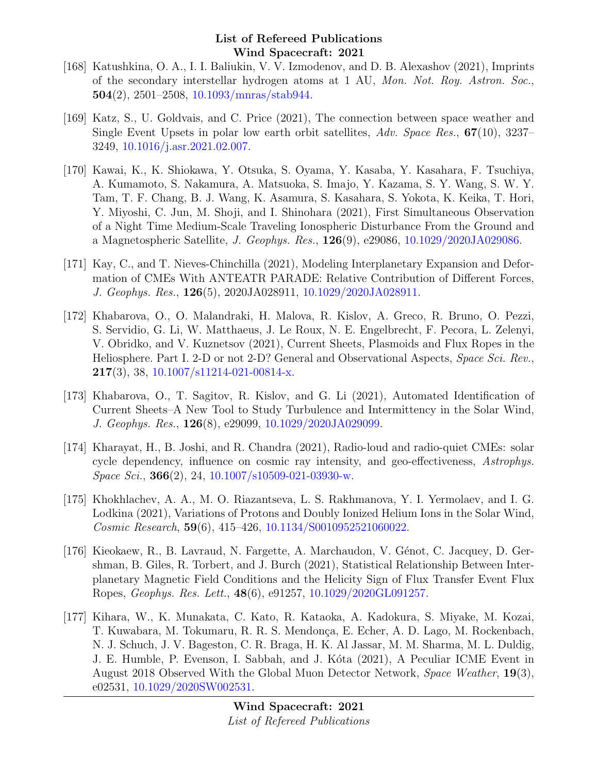- [168] Katushkina, O. A., I. I. Baliukin, V. V. Izmodenov, and D. B. Alexashov (2021), Imprints of the secondary interstellar hydrogen atoms at 1 AU, Mon. Not. Roy. Astron. Soc.,  $504(2)$ , 2501–2508, [10.1093/mnras/stab944.](http://dx.doi.org/10.1093/mnras/stab944)
- [169] Katz, S., U. Goldvais, and C. Price (2021), The connection between space weather and Single Event Upsets in polar low earth orbit satellites, Adv. Space Res., 67(10), 3237– 3249, [10.1016/j.asr.2021.02.007.](http://dx.doi.org/10.1016/j.asr.2021.02.007)
- [170] Kawai, K., K. Shiokawa, Y. Otsuka, S. Oyama, Y. Kasaba, Y. Kasahara, F. Tsuchiya, A. Kumamoto, S. Nakamura, A. Matsuoka, S. Imajo, Y. Kazama, S. Y. Wang, S. W. Y. Tam, T. F. Chang, B. J. Wang, K. Asamura, S. Kasahara, S. Yokota, K. Keika, T. Hori, Y. Miyoshi, C. Jun, M. Shoji, and I. Shinohara (2021), First Simultaneous Observation of a Night Time Medium-Scale Traveling Ionospheric Disturbance From the Ground and a Magnetospheric Satellite, J. Geophys. Res., 126(9), e29086, [10.1029/2020JA029086.](http://dx.doi.org/10.1029/2020JA029086)
- [171] Kay, C., and T. Nieves-Chinchilla (2021), Modeling Interplanetary Expansion and Deformation of CMEs With ANTEATR PARADE: Relative Contribution of Different Forces, J. Geophys. Res., 126(5), 2020JA028911, [10.1029/2020JA028911.](http://dx.doi.org/10.1029/2020JA028911)
- [172] Khabarova, O., O. Malandraki, H. Malova, R. Kislov, A. Greco, R. Bruno, O. Pezzi, S. Servidio, G. Li, W. Matthaeus, J. Le Roux, N. E. Engelbrecht, F. Pecora, L. Zelenyi, V. Obridko, and V. Kuznetsov (2021), Current Sheets, Plasmoids and Flux Ropes in the Heliosphere. Part I. 2-D or not 2-D? General and Observational Aspects, Space Sci. Rev.,  $217(3)$ , 38, [10.1007/s11214-021-00814-x.](http://dx.doi.org/10.1007/s11214-021-00814-x)
- [173] Khabarova, O., T. Sagitov, R. Kislov, and G. Li (2021), Automated Identification of Current Sheets–A New Tool to Study Turbulence and Intermittency in the Solar Wind, J. Geophys. Res., 126(8), e29099, [10.1029/2020JA029099.](http://dx.doi.org/10.1029/2020JA029099)
- [174] Kharayat, H., B. Joshi, and R. Chandra (2021), Radio-loud and radio-quiet CMEs: solar cycle dependency, influence on cosmic ray intensity, and geo-effectiveness, Astrophys.  $Space\; Sci., 366(2), 24, 10.1007/s10509-021-03930-w.$  $Space\; Sci., 366(2), 24, 10.1007/s10509-021-03930-w.$
- [175] Khokhlachev, A. A., M. O. Riazantseva, L. S. Rakhmanova, Y. I. Yermolaev, and I. G. Lodkina (2021), Variations of Protons and Doubly Ionized Helium Ions in the Solar Wind, Cosmic Research, 59(6), 415–426, [10.1134/S0010952521060022.](http://dx.doi.org/10.1134/S0010952521060022)
- [176] Kieokaew, R., B. Lavraud, N. Fargette, A. Marchaudon, V. Génot, C. Jacquey, D. Gershman, B. Giles, R. Torbert, and J. Burch (2021), Statistical Relationship Between Interplanetary Magnetic Field Conditions and the Helicity Sign of Flux Transfer Event Flux Ropes, Geophys. Res. Lett., 48(6), e91257, [10.1029/2020GL091257.](http://dx.doi.org/10.1029/2020GL091257)
- [177] Kihara, W., K. Munakata, C. Kato, R. Kataoka, A. Kadokura, S. Miyake, M. Kozai, T. Kuwabara, M. Tokumaru, R. R. S. Mendonça, E. Echer, A. D. Lago, M. Rockenbach, N. J. Schuch, J. V. Bageston, C. R. Braga, H. K. Al Jassar, M. M. Sharma, M. L. Duldig, J. E. Humble, P. Evenson, I. Sabbah, and J. Kóta (2021), A Peculiar ICME Event in August 2018 Observed With the Global Muon Detector Network, Space Weather, 19(3), e02531, [10.1029/2020SW002531.](http://dx.doi.org/10.1029/2020SW002531)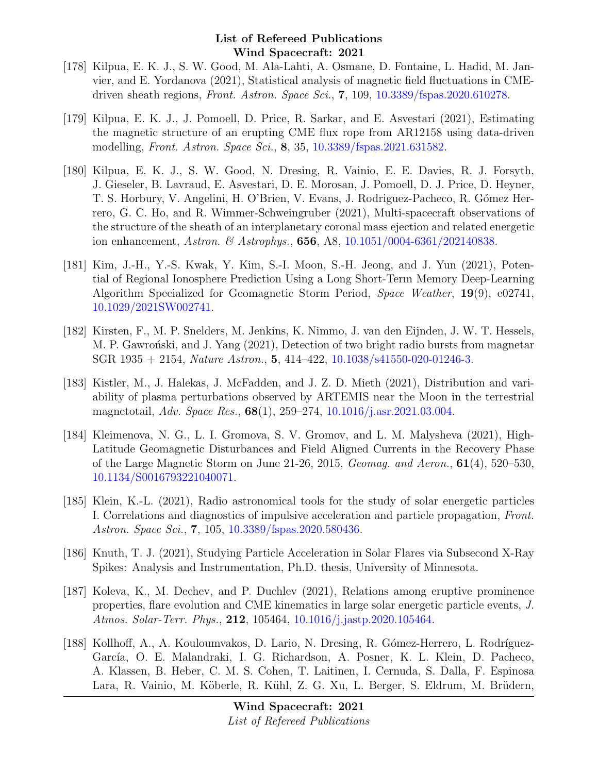- [178] Kilpua, E. K. J., S. W. Good, M. Ala-Lahti, A. Osmane, D. Fontaine, L. Hadid, M. Janvier, and E. Yordanova (2021), Statistical analysis of magnetic field fluctuations in CMEdriven sheath regions, Front. Astron. Space Sci., 7, 109, [10.3389/fspas.2020.610278.](http://dx.doi.org/10.3389/fspas.2020.610278)
- [179] Kilpua, E. K. J., J. Pomoell, D. Price, R. Sarkar, and E. Asvestari (2021), Estimating the magnetic structure of an erupting CME flux rope from AR12158 using data-driven modelling, Front. Astron. Space Sci., 8, 35, [10.3389/fspas.2021.631582.](http://dx.doi.org/10.3389/fspas.2021.631582)
- [180] Kilpua, E. K. J., S. W. Good, N. Dresing, R. Vainio, E. E. Davies, R. J. Forsyth, J. Gieseler, B. Lavraud, E. Asvestari, D. E. Morosan, J. Pomoell, D. J. Price, D. Heyner, T. S. Horbury, V. Angelini, H. O'Brien, V. Evans, J. Rodriguez-Pacheco, R. Gómez Herrero, G. C. Ho, and R. Wimmer-Schweingruber (2021), Multi-spacecraft observations of the structure of the sheath of an interplanetary coronal mass ejection and related energetic ion enhancement, Astron. & Astrophys., **656**, A8, [10.1051/0004-6361/202140838.](http://dx.doi.org/10.1051/0004-6361/202140838)
- [181] Kim, J.-H., Y.-S. Kwak, Y. Kim, S.-I. Moon, S.-H. Jeong, and J. Yun (2021), Potential of Regional Ionosphere Prediction Using a Long Short-Term Memory Deep-Learning Algorithm Specialized for Geomagnetic Storm Period, Space Weather, 19(9), e02741, [10.1029/2021SW002741.](http://dx.doi.org/10.1029/2021SW002741)
- [182] Kirsten, F., M. P. Snelders, M. Jenkins, K. Nimmo, J. van den Eijnden, J. W. T. Hessels, M. P. Gawron'ski, and J. Yang (2021), Detection of two bright radio bursts from magnetar SGR 1935 + 2154, Nature Astron., 5, 414–422, [10.1038/s41550-020-01246-3.](http://dx.doi.org/10.1038/s41550-020-01246-3)
- [183] Kistler, M., J. Halekas, J. McFadden, and J. Z. D. Mieth (2021), Distribution and variability of plasma perturbations observed by ARTEMIS near the Moon in the terrestrial magnetotail, Adv. Space Res., 68(1), 259–274, [10.1016/j.asr.2021.03.004.](http://dx.doi.org/10.1016/j.asr.2021.03.004)
- [184] Kleimenova, N. G., L. I. Gromova, S. V. Gromov, and L. M. Malysheva (2021), High-Latitude Geomagnetic Disturbances and Field Aligned Currents in the Recovery Phase of the Large Magnetic Storm on June 21-26, 2015, *Geomag. and Aeron.*,  $61(4)$ , 520–530, [10.1134/S0016793221040071.](http://dx.doi.org/10.1134/S0016793221040071)
- [185] Klein, K.-L. (2021), Radio astronomical tools for the study of solar energetic particles I. Correlations and diagnostics of impulsive acceleration and particle propagation, Front. Astron. Space Sci., 7, 105, [10.3389/fspas.2020.580436.](http://dx.doi.org/10.3389/fspas.2020.580436)
- [186] Knuth, T. J. (2021), Studying Particle Acceleration in Solar Flares via Subsecond X-Ray Spikes: Analysis and Instrumentation, Ph.D. thesis, University of Minnesota.
- [187] Koleva, K., M. Dechev, and P. Duchlev (2021), Relations among eruptive prominence properties, flare evolution and CME kinematics in large solar energetic particle events, J. Atmos. Solar-Terr. Phys., 212, 105464, [10.1016/j.jastp.2020.105464.](http://dx.doi.org/10.1016/j.jastp.2020.105464)
- [188] Kollhoff, A., A. Kouloumvakos, D. Lario, N. Dresing, R. Gómez-Herrero, L. Rodríguez-García, O. E. Malandraki, I. G. Richardson, A. Posner, K. L. Klein, D. Pacheco, A. Klassen, B. Heber, C. M. S. Cohen, T. Laitinen, I. Cernuda, S. Dalla, F. Espinosa Lara, R. Vainio, M. Köberle, R. Kühl, Z. G. Xu, L. Berger, S. Eldrum, M. Brüdern,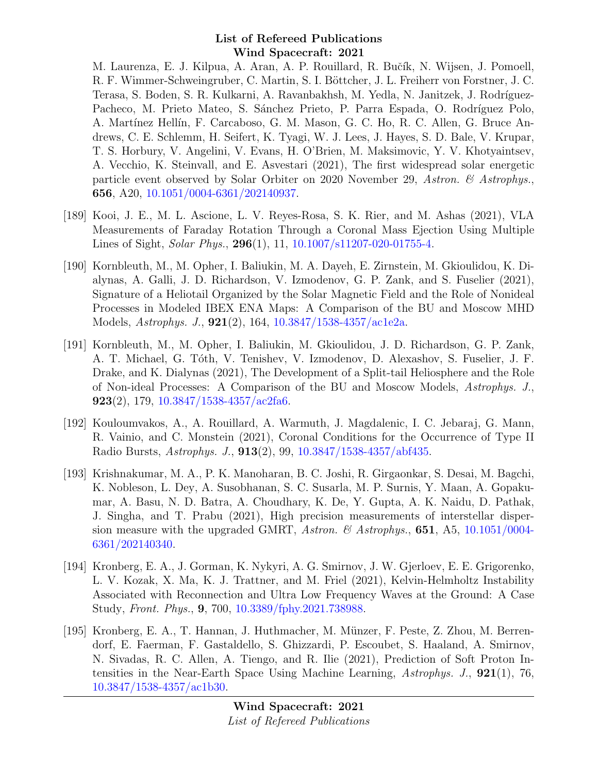M. Laurenza, E. J. Kilpua, A. Aran, A. P. Rouillard, R. Bučík, N. Wijsen, J. Pomoell, R. F. Wimmer-Schweingruber, C. Martin, S. I. Böttcher, J. L. Freiherr von Forstner, J. C. Terasa, S. Boden, S. R. Kulkarni, A. Ravanbakhsh, M. Yedla, N. Janitzek, J. Rodríguez-Pacheco, M. Prieto Mateo, S. Sánchez Prieto, P. Parra Espada, O. Rodríguez Polo, A. Martínez Hellín, F. Carcaboso, G. M. Mason, G. C. Ho, R. C. Allen, G. Bruce Andrews, C. E. Schlemm, H. Seifert, K. Tyagi, W. J. Lees, J. Hayes, S. D. Bale, V. Krupar, T. S. Horbury, V. Angelini, V. Evans, H. O'Brien, M. Maksimovic, Y. V. Khotyaintsev, A. Vecchio, K. Steinvall, and E. Asvestari (2021), The first widespread solar energetic particle event observed by Solar Orbiter on 2020 November 29, Astron. & Astrophys., 656, A20, [10.1051/0004-6361/202140937.](http://dx.doi.org/10.1051/0004-6361/202140937)

- [189] Kooi, J. E., M. L. Ascione, L. V. Reyes-Rosa, S. K. Rier, and M. Ashas (2021), VLA Measurements of Faraday Rotation Through a Coronal Mass Ejection Using Multiple Lines of Sight, *Solar Phys.*, **296**(1), 11, [10.1007/s11207-020-01755-4.](http://dx.doi.org/10.1007/s11207-020-01755-4)
- [190] Kornbleuth, M., M. Opher, I. Baliukin, M. A. Dayeh, E. Zirnstein, M. Gkioulidou, K. Dialynas, A. Galli, J. D. Richardson, V. Izmodenov, G. P. Zank, and S. Fuselier (2021), Signature of a Heliotail Organized by the Solar Magnetic Field and the Role of Nonideal Processes in Modeled IBEX ENA Maps: A Comparison of the BU and Moscow MHD Models, Astrophys. J., 921(2), 164, [10.3847/1538-4357/ac1e2a.](http://dx.doi.org/10.3847/1538-4357/ac1e2a)
- [191] Kornbleuth, M., M. Opher, I. Baliukin, M. Gkioulidou, J. D. Richardson, G. P. Zank, A. T. Michael, G. T´oth, V. Tenishev, V. Izmodenov, D. Alexashov, S. Fuselier, J. F. Drake, and K. Dialynas (2021), The Development of a Split-tail Heliosphere and the Role of Non-ideal Processes: A Comparison of the BU and Moscow Models, Astrophys. J., 923(2), 179,  $10.3847/1538-4357/\text{ac}2fa6$ .
- [192] Kouloumvakos, A., A. Rouillard, A. Warmuth, J. Magdalenic, I. C. Jebaraj, G. Mann, R. Vainio, and C. Monstein (2021), Coronal Conditions for the Occurrence of Type II Radio Bursts, Astrophys. J., 913(2), 99, [10.3847/1538-4357/abf435.](http://dx.doi.org/10.3847/1538-4357/abf435)
- [193] Krishnakumar, M. A., P. K. Manoharan, B. C. Joshi, R. Girgaonkar, S. Desai, M. Bagchi, K. Nobleson, L. Dey, A. Susobhanan, S. C. Susarla, M. P. Surnis, Y. Maan, A. Gopakumar, A. Basu, N. D. Batra, A. Choudhary, K. De, Y. Gupta, A. K. Naidu, D. Pathak, J. Singha, and T. Prabu (2021), High precision measurements of interstellar dispersion measure with the upgraded GMRT, Astron. & Astrophys.,  $651$ , A5,  $10.1051/0004$ -[6361/202140340.](http://dx.doi.org/10.1051/0004-6361/202140340)
- [194] Kronberg, E. A., J. Gorman, K. Nykyri, A. G. Smirnov, J. W. Gjerloev, E. E. Grigorenko, L. V. Kozak, X. Ma, K. J. Trattner, and M. Friel (2021), Kelvin-Helmholtz Instability Associated with Reconnection and Ultra Low Frequency Waves at the Ground: A Case Study, Front. Phys., 9, 700, [10.3389/fphy.2021.738988.](http://dx.doi.org/10.3389/fphy.2021.738988)
- [195] Kronberg, E. A., T. Hannan, J. Huthmacher, M. Münzer, F. Peste, Z. Zhou, M. Berrendorf, E. Faerman, F. Gastaldello, S. Ghizzardi, P. Escoubet, S. Haaland, A. Smirnov, N. Sivadas, R. C. Allen, A. Tiengo, and R. Ilie (2021), Prediction of Soft Proton Intensities in the Near-Earth Space Using Machine Learning, Astrophys. J., 921(1), 76, [10.3847/1538-4357/ac1b30.](http://dx.doi.org/10.3847/1538-4357/ac1b30)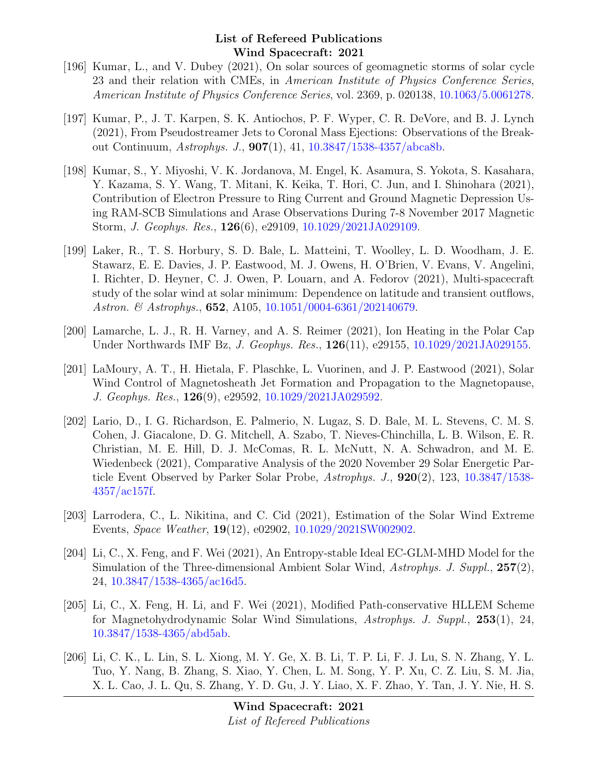- [196] Kumar, L., and V. Dubey (2021), On solar sources of geomagnetic storms of solar cycle 23 and their relation with CMEs, in American Institute of Physics Conference Series, American Institute of Physics Conference Series, vol. 2369, p. 020138, [10.1063/5.0061278.](http://dx.doi.org/10.1063/5.0061278)
- [197] Kumar, P., J. T. Karpen, S. K. Antiochos, P. F. Wyper, C. R. DeVore, and B. J. Lynch (2021), From Pseudostreamer Jets to Coronal Mass Ejections: Observations of the Breakout Continuum, Astrophys. J., 907(1), 41, [10.3847/1538-4357/abca8b.](http://dx.doi.org/10.3847/1538-4357/abca8b)
- [198] Kumar, S., Y. Miyoshi, V. K. Jordanova, M. Engel, K. Asamura, S. Yokota, S. Kasahara, Y. Kazama, S. Y. Wang, T. Mitani, K. Keika, T. Hori, C. Jun, and I. Shinohara (2021), Contribution of Electron Pressure to Ring Current and Ground Magnetic Depression Using RAM-SCB Simulations and Arase Observations During 7-8 November 2017 Magnetic Storm, J. Geophys. Res., 126(6), e29109, [10.1029/2021JA029109.](http://dx.doi.org/10.1029/2021JA029109)
- [199] Laker, R., T. S. Horbury, S. D. Bale, L. Matteini, T. Woolley, L. D. Woodham, J. E. Stawarz, E. E. Davies, J. P. Eastwood, M. J. Owens, H. O'Brien, V. Evans, V. Angelini, I. Richter, D. Heyner, C. J. Owen, P. Louarn, and A. Fedorov (2021), Multi-spacecraft study of the solar wind at solar minimum: Dependence on latitude and transient outflows, Astron. & Astrophys., **652**, A105, [10.1051/0004-6361/202140679.](http://dx.doi.org/10.1051/0004-6361/202140679)
- [200] Lamarche, L. J., R. H. Varney, and A. S. Reimer (2021), Ion Heating in the Polar Cap Under Northwards IMF Bz, *J. Geophys. Res.*, **126**(11), e29155, [10.1029/2021JA029155.](http://dx.doi.org/10.1029/2021JA029155)
- [201] LaMoury, A. T., H. Hietala, F. Plaschke, L. Vuorinen, and J. P. Eastwood (2021), Solar Wind Control of Magnetosheath Jet Formation and Propagation to the Magnetopause, J. Geophys. Res., 126(9), e29592, [10.1029/2021JA029592.](http://dx.doi.org/10.1029/2021JA029592)
- [202] Lario, D., I. G. Richardson, E. Palmerio, N. Lugaz, S. D. Bale, M. L. Stevens, C. M. S. Cohen, J. Giacalone, D. G. Mitchell, A. Szabo, T. Nieves-Chinchilla, L. B. Wilson, E. R. Christian, M. E. Hill, D. J. McComas, R. L. McNutt, N. A. Schwadron, and M. E. Wiedenbeck (2021), Comparative Analysis of the 2020 November 29 Solar Energetic Particle Event Observed by Parker Solar Probe, Astrophys. J., 920(2), 123, [10.3847/1538-](http://dx.doi.org/10.3847/1538-4357/ac157f) [4357/ac157f.](http://dx.doi.org/10.3847/1538-4357/ac157f)
- [203] Larrodera, C., L. Nikitina, and C. Cid (2021), Estimation of the Solar Wind Extreme Events, Space Weather, 19(12), e02902, [10.1029/2021SW002902.](http://dx.doi.org/10.1029/2021SW002902)
- [204] Li, C., X. Feng, and F. Wei (2021), An Entropy-stable Ideal EC-GLM-MHD Model for the Simulation of the Three-dimensional Ambient Solar Wind, Astrophys. J. Suppl., 257(2), 24, [10.3847/1538-4365/ac16d5.](http://dx.doi.org/10.3847/1538-4365/ac16d5)
- [205] Li, C., X. Feng, H. Li, and F. Wei (2021), Modified Path-conservative HLLEM Scheme for Magnetohydrodynamic Solar Wind Simulations, Astrophys. J. Suppl., 253(1), 24, [10.3847/1538-4365/abd5ab.](http://dx.doi.org/10.3847/1538-4365/abd5ab)
- [206] Li, C. K., L. Lin, S. L. Xiong, M. Y. Ge, X. B. Li, T. P. Li, F. J. Lu, S. N. Zhang, Y. L. Tuo, Y. Nang, B. Zhang, S. Xiao, Y. Chen, L. M. Song, Y. P. Xu, C. Z. Liu, S. M. Jia, X. L. Cao, J. L. Qu, S. Zhang, Y. D. Gu, J. Y. Liao, X. F. Zhao, Y. Tan, J. Y. Nie, H. S.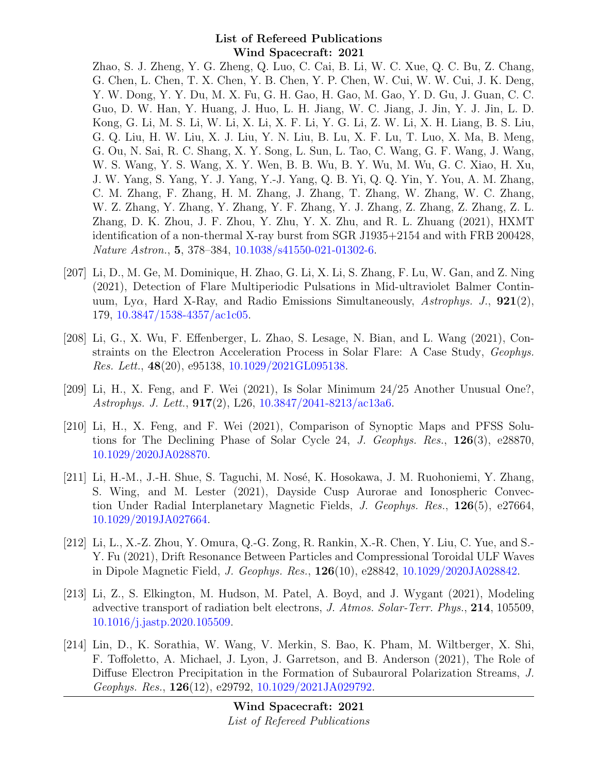Zhao, S. J. Zheng, Y. G. Zheng, Q. Luo, C. Cai, B. Li, W. C. Xue, Q. C. Bu, Z. Chang, G. Chen, L. Chen, T. X. Chen, Y. B. Chen, Y. P. Chen, W. Cui, W. W. Cui, J. K. Deng, Y. W. Dong, Y. Y. Du, M. X. Fu, G. H. Gao, H. Gao, M. Gao, Y. D. Gu, J. Guan, C. C. Guo, D. W. Han, Y. Huang, J. Huo, L. H. Jiang, W. C. Jiang, J. Jin, Y. J. Jin, L. D. Kong, G. Li, M. S. Li, W. Li, X. Li, X. F. Li, Y. G. Li, Z. W. Li, X. H. Liang, B. S. Liu, G. Q. Liu, H. W. Liu, X. J. Liu, Y. N. Liu, B. Lu, X. F. Lu, T. Luo, X. Ma, B. Meng, G. Ou, N. Sai, R. C. Shang, X. Y. Song, L. Sun, L. Tao, C. Wang, G. F. Wang, J. Wang, W. S. Wang, Y. S. Wang, X. Y. Wen, B. B. Wu, B. Y. Wu, M. Wu, G. C. Xiao, H. Xu, J. W. Yang, S. Yang, Y. J. Yang, Y.-J. Yang, Q. B. Yi, Q. Q. Yin, Y. You, A. M. Zhang, C. M. Zhang, F. Zhang, H. M. Zhang, J. Zhang, T. Zhang, W. Zhang, W. C. Zhang, W. Z. Zhang, Y. Zhang, Y. Zhang, Y. F. Zhang, Y. J. Zhang, Z. Zhang, Z. Zhang, Z. L. Zhang, D. K. Zhou, J. F. Zhou, Y. Zhu, Y. X. Zhu, and R. L. Zhuang (2021), HXMT identification of a non-thermal X-ray burst from SGR J1935+2154 and with FRB 200428, Nature Astron., 5, 378–384, [10.1038/s41550-021-01302-6.](http://dx.doi.org/10.1038/s41550-021-01302-6)

- [207] Li, D., M. Ge, M. Dominique, H. Zhao, G. Li, X. Li, S. Zhang, F. Lu, W. Gan, and Z. Ning (2021), Detection of Flare Multiperiodic Pulsations in Mid-ultraviolet Balmer Continuum, Ly $\alpha$ , Hard X-Ray, and Radio Emissions Simultaneously, Astrophys. J.,  $921(2)$ , 179, [10.3847/1538-4357/ac1c05.](http://dx.doi.org/10.3847/1538-4357/ac1c05)
- [208] Li, G., X. Wu, F. Effenberger, L. Zhao, S. Lesage, N. Bian, and L. Wang (2021), Constraints on the Electron Acceleration Process in Solar Flare: A Case Study, Geophys. Res. Lett., 48(20), e95138, [10.1029/2021GL095138.](http://dx.doi.org/10.1029/2021GL095138)
- [209] Li, H., X. Feng, and F. Wei (2021), Is Solar Minimum 24/25 Another Unusual One?, Astrophys. J. Lett., 917(2), L26, [10.3847/2041-8213/ac13a6.](http://dx.doi.org/10.3847/2041-8213/ac13a6)
- [210] Li, H., X. Feng, and F. Wei (2021), Comparison of Synoptic Maps and PFSS Solutions for The Declining Phase of Solar Cycle 24, J. Geophys. Res., 126(3), e28870, [10.1029/2020JA028870.](http://dx.doi.org/10.1029/2020JA028870)
- [211] Li, H.-M., J.-H. Shue, S. Taguchi, M. Nosé, K. Hosokawa, J. M. Ruohoniemi, Y. Zhang, S. Wing, and M. Lester (2021), Dayside Cusp Aurorae and Ionospheric Convection Under Radial Interplanetary Magnetic Fields, J. Geophys. Res., 126(5), e27664, [10.1029/2019JA027664.](http://dx.doi.org/10.1029/2019JA027664)
- [212] Li, L., X.-Z. Zhou, Y. Omura, Q.-G. Zong, R. Rankin, X.-R. Chen, Y. Liu, C. Yue, and S.- Y. Fu (2021), Drift Resonance Between Particles and Compressional Toroidal ULF Waves in Dipole Magnetic Field, J. Geophys. Res., 126(10), e28842, [10.1029/2020JA028842.](http://dx.doi.org/10.1029/2020JA028842)
- [213] Li, Z., S. Elkington, M. Hudson, M. Patel, A. Boyd, and J. Wygant (2021), Modeling advective transport of radiation belt electrons, J. Atmos. Solar-Terr. Phys., 214, 105509, [10.1016/j.jastp.2020.105509.](http://dx.doi.org/10.1016/j.jastp.2020.105509)
- [214] Lin, D., K. Sorathia, W. Wang, V. Merkin, S. Bao, K. Pham, M. Wiltberger, X. Shi, F. Toffoletto, A. Michael, J. Lyon, J. Garretson, and B. Anderson (2021), The Role of Diffuse Electron Precipitation in the Formation of Subauroral Polarization Streams, J. Geophys. Res., 126(12), e29792, [10.1029/2021JA029792.](http://dx.doi.org/10.1029/2021JA029792)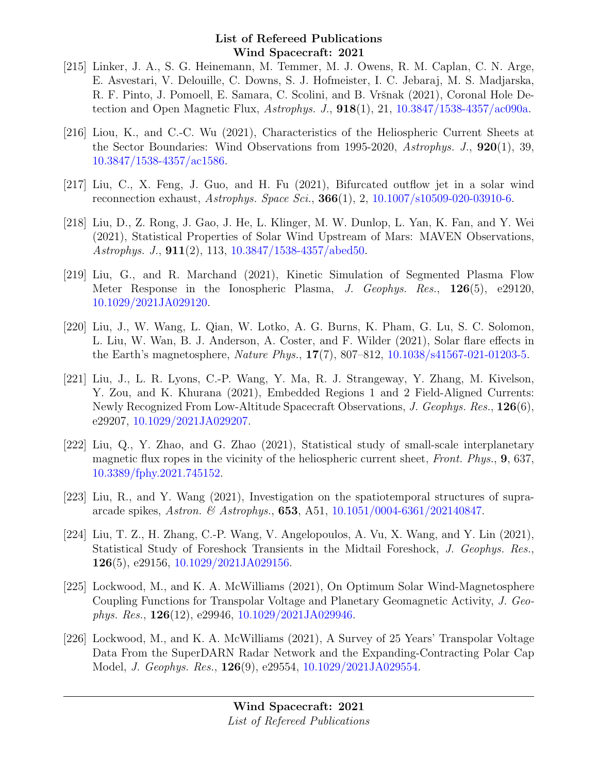- [215] Linker, J. A., S. G. Heinemann, M. Temmer, M. J. Owens, R. M. Caplan, C. N. Arge, E. Asvestari, V. Delouille, C. Downs, S. J. Hofmeister, I. C. Jebaraj, M. S. Madjarska, R. F. Pinto, J. Pomoell, E. Samara, C. Scolini, and B. Vršnak (2021), Coronal Hole Detection and Open Magnetic Flux, Astrophys. J.,  $918(1)$ , 21,  $10.3847/1538-4357/ac090a$ .
- [216] Liou, K., and C.-C. Wu (2021), Characteristics of the Heliospheric Current Sheets at the Sector Boundaries: Wind Observations from 1995-2020, Astrophys. J., 920(1), 39, [10.3847/1538-4357/ac1586.](http://dx.doi.org/10.3847/1538-4357/ac1586)
- [217] Liu, C., X. Feng, J. Guo, and H. Fu (2021), Bifurcated outflow jet in a solar wind reconnection exhaust, Astrophys. Space Sci., 366(1), 2, [10.1007/s10509-020-03910-6.](http://dx.doi.org/10.1007/s10509-020-03910-6)
- [218] Liu, D., Z. Rong, J. Gao, J. He, L. Klinger, M. W. Dunlop, L. Yan, K. Fan, and Y. Wei (2021), Statistical Properties of Solar Wind Upstream of Mars: MAVEN Observations, Astrophys. J., 911(2), 113, [10.3847/1538-4357/abed50.](http://dx.doi.org/10.3847/1538-4357/abed50)
- [219] Liu, G., and R. Marchand (2021), Kinetic Simulation of Segmented Plasma Flow Meter Response in the Ionospheric Plasma, J. Geophys. Res., 126(5), e29120, [10.1029/2021JA029120.](http://dx.doi.org/10.1029/2021JA029120)
- [220] Liu, J., W. Wang, L. Qian, W. Lotko, A. G. Burns, K. Pham, G. Lu, S. C. Solomon, L. Liu, W. Wan, B. J. Anderson, A. Coster, and F. Wilder (2021), Solar flare effects in the Earth's magnetosphere, Nature Phys., 17(7), 807–812, [10.1038/s41567-021-01203-5.](http://dx.doi.org/10.1038/s41567-021-01203-5)
- [221] Liu, J., L. R. Lyons, C.-P. Wang, Y. Ma, R. J. Strangeway, Y. Zhang, M. Kivelson, Y. Zou, and K. Khurana (2021), Embedded Regions 1 and 2 Field-Aligned Currents: Newly Recognized From Low-Altitude Spacecraft Observations, J. Geophys. Res., 126(6), e29207, [10.1029/2021JA029207.](http://dx.doi.org/10.1029/2021JA029207)
- [222] Liu, Q., Y. Zhao, and G. Zhao (2021), Statistical study of small-scale interplanetary magnetic flux ropes in the vicinity of the heliospheric current sheet, Front. Phys., 9, 637, [10.3389/fphy.2021.745152.](http://dx.doi.org/10.3389/fphy.2021.745152)
- [223] Liu, R., and Y. Wang (2021), Investigation on the spatiotemporal structures of supraarcade spikes, Astron. & Astrophys., **653**, A51,  $10.1051/0004-6361/202140847$ .
- [224] Liu, T. Z., H. Zhang, C.-P. Wang, V. Angelopoulos, A. Vu, X. Wang, and Y. Lin (2021), Statistical Study of Foreshock Transients in the Midtail Foreshock, J. Geophys. Res., 126(5), e29156, [10.1029/2021JA029156.](http://dx.doi.org/10.1029/2021JA029156)
- [225] Lockwood, M., and K. A. McWilliams (2021), On Optimum Solar Wind-Magnetosphere Coupling Functions for Transpolar Voltage and Planetary Geomagnetic Activity, J. Geophys. Res.,  $126(12)$ , e29946,  $10.1029/2021JA029946$ .
- [226] Lockwood, M., and K. A. McWilliams (2021), A Survey of 25 Years' Transpolar Voltage Data From the SuperDARN Radar Network and the Expanding-Contracting Polar Cap Model, J. Geophys. Res., 126(9), e29554, [10.1029/2021JA029554.](http://dx.doi.org/10.1029/2021JA029554)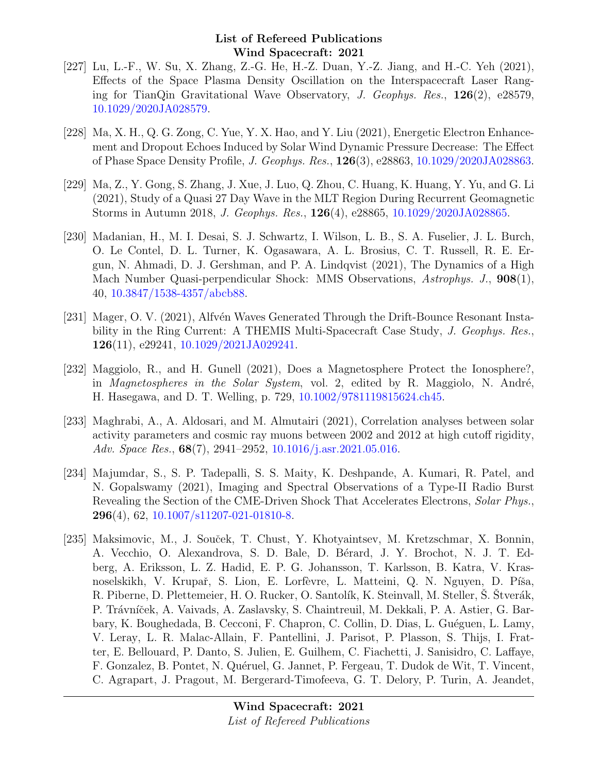- [227] Lu, L.-F., W. Su, X. Zhang, Z.-G. He, H.-Z. Duan, Y.-Z. Jiang, and H.-C. Yeh (2021), Effects of the Space Plasma Density Oscillation on the Interspacecraft Laser Ranging for TianQin Gravitational Wave Observatory, J. Geophys. Res.,  $126(2)$ , e28579, [10.1029/2020JA028579.](http://dx.doi.org/10.1029/2020JA028579)
- [228] Ma, X. H., Q. G. Zong, C. Yue, Y. X. Hao, and Y. Liu (2021), Energetic Electron Enhancement and Dropout Echoes Induced by Solar Wind Dynamic Pressure Decrease: The Effect of Phase Space Density Profile, J. Geophys. Res., 126(3), e28863, [10.1029/2020JA028863.](http://dx.doi.org/10.1029/2020JA028863)
- [229] Ma, Z., Y. Gong, S. Zhang, J. Xue, J. Luo, Q. Zhou, C. Huang, K. Huang, Y. Yu, and G. Li (2021), Study of a Quasi 27 Day Wave in the MLT Region During Recurrent Geomagnetic Storms in Autumn 2018, J. Geophys. Res., 126(4), e28865, [10.1029/2020JA028865.](http://dx.doi.org/10.1029/2020JA028865)
- [230] Madanian, H., M. I. Desai, S. J. Schwartz, I. Wilson, L. B., S. A. Fuselier, J. L. Burch, O. Le Contel, D. L. Turner, K. Ogasawara, A. L. Brosius, C. T. Russell, R. E. Ergun, N. Ahmadi, D. J. Gershman, and P. A. Lindqvist (2021), The Dynamics of a High Mach Number Quasi-perpendicular Shock: MMS Observations, Astrophys. J., 908(1), 40, [10.3847/1538-4357/abcb88.](http://dx.doi.org/10.3847/1538-4357/abcb88)
- [231] Mager, O. V. (2021), Alfvén Waves Generated Through the Drift-Bounce Resonant Instability in the Ring Current: A THEMIS Multi-Spacecraft Case Study, J. Geophys. Res., 126(11), e29241, [10.1029/2021JA029241.](http://dx.doi.org/10.1029/2021JA029241)
- [232] Maggiolo, R., and H. Gunell (2021), Does a Magnetosphere Protect the Ionosphere?, in *Magnetospheres in the Solar System*, vol. 2, edited by R. Maggiolo, N. André, H. Hasegawa, and D. T. Welling, p. 729, [10.1002/9781119815624.ch45.](http://dx.doi.org/10.1002/9781119815624.ch45)
- [233] Maghrabi, A., A. Aldosari, and M. Almutairi (2021), Correlation analyses between solar activity parameters and cosmic ray muons between 2002 and 2012 at high cutoff rigidity, Adv. Space Res., 68(7), 2941–2952, [10.1016/j.asr.2021.05.016.](http://dx.doi.org/10.1016/j.asr.2021.05.016)
- [234] Majumdar, S., S. P. Tadepalli, S. S. Maity, K. Deshpande, A. Kumari, R. Patel, and N. Gopalswamy (2021), Imaging and Spectral Observations of a Type-II Radio Burst Revealing the Section of the CME-Driven Shock That Accelerates Electrons, Solar Phys., **296**(4), 62, [10.1007/s11207-021-01810-8.](http://dx.doi.org/10.1007/s11207-021-01810-8)
- [235] Maksimovic, M., J. Souček, T. Chust, Y. Khotyaintsev, M. Kretzschmar, X. Bonnin, A. Vecchio, O. Alexandrova, S. D. Bale, D. Bérard, J. Y. Brochot, N. J. T. Edberg, A. Eriksson, L. Z. Hadid, E. P. G. Johansson, T. Karlsson, B. Katra, V. Krasnoselskikh, V. Krupař, S. Lion, E. Lorfèvre, L. Matteini, Q. N. Nguyen, D. Píša, R. Piberne, D. Plettemeier, H. O. Rucker, O. Santolík, K. Steinvall, M. Steller, S. Stverák, P. Trávníček, A. Vaivads, A. Zaslavsky, S. Chaintreuil, M. Dekkali, P. A. Astier, G. Barbary, K. Boughedada, B. Cecconi, F. Chapron, C. Collin, D. Dias, L. Guéguen, L. Lamy, V. Leray, L. R. Malac-Allain, F. Pantellini, J. Parisot, P. Plasson, S. Thijs, I. Fratter, E. Bellouard, P. Danto, S. Julien, E. Guilhem, C. Fiachetti, J. Sanisidro, C. Laffaye, F. Gonzalez, B. Pontet, N. Quéruel, G. Jannet, P. Fergeau, T. Dudok de Wit, T. Vincent, C. Agrapart, J. Pragout, M. Bergerard-Timofeeva, G. T. Delory, P. Turin, A. Jeandet,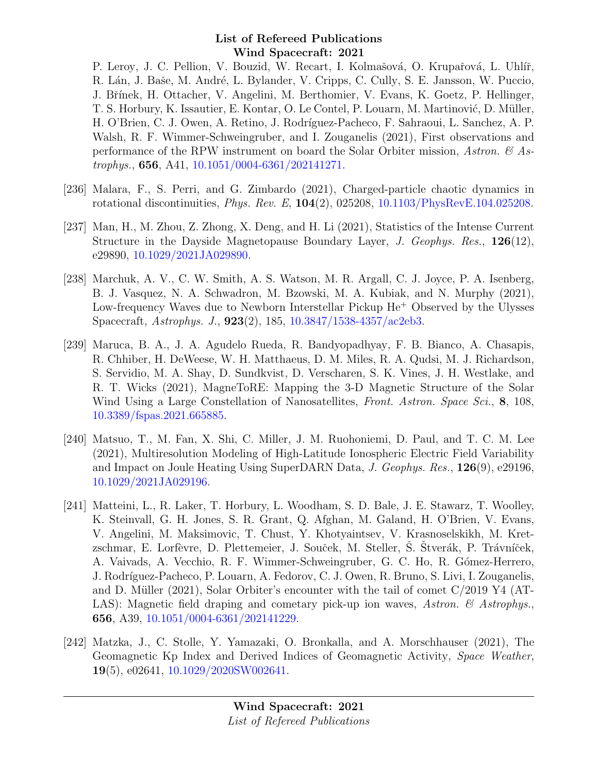P. Leroy, J. C. Pellion, V. Bouzid, W. Recart, I. Kolmašová, O. Krupařová, L. Uhlíř, R. Lán, J. Baše, M. André, L. Bylander, V. Cripps, C. Cully, S. E. Jansson, W. Puccio, J. Břínek, H. Ottacher, V. Angelini, M. Berthomier, V. Evans, K. Goetz, P. Hellinger, T. S. Horbury, K. Issautier, E. Kontar, O. Le Contel, P. Louarn, M. Martinović, D. Müller, H. O'Brien, C. J. Owen, A. Retino, J. Rodríguez-Pacheco, F. Sahraoui, L. Sanchez, A. P. Walsh, R. F. Wimmer-Schweingruber, and I. Zouganelis (2021), First observations and performance of the RPW instrument on board the Solar Orbiter mission, Astron.  $\mathcal{C}_{A}$  Astrophys., 656, A41, [10.1051/0004-6361/202141271.](http://dx.doi.org/10.1051/0004-6361/202141271)

- [236] Malara, F., S. Perri, and G. Zimbardo (2021), Charged-particle chaotic dynamics in rotational discontinuities, Phys. Rev. E, 104(2), 025208, [10.1103/PhysRevE.104.025208.](http://dx.doi.org/10.1103/PhysRevE.104.025208)
- [237] Man, H., M. Zhou, Z. Zhong, X. Deng, and H. Li (2021), Statistics of the Intense Current Structure in the Dayside Magnetopause Boundary Layer, J. Geophys. Res., 126(12), e29890, [10.1029/2021JA029890.](http://dx.doi.org/10.1029/2021JA029890)
- [238] Marchuk, A. V., C. W. Smith, A. S. Watson, M. R. Argall, C. J. Joyce, P. A. Isenberg, B. J. Vasquez, N. A. Schwadron, M. Bzowski, M. A. Kubiak, and N. Murphy (2021), Low-frequency Waves due to Newborn Interstellar Pickup He<sup>+</sup> Observed by the Ulysses Spacecraft, Astrophys. J., 923(2), 185, [10.3847/1538-4357/ac2eb3.](http://dx.doi.org/10.3847/1538-4357/ac2eb3)
- [239] Maruca, B. A., J. A. Agudelo Rueda, R. Bandyopadhyay, F. B. Bianco, A. Chasapis, R. Chhiber, H. DeWeese, W. H. Matthaeus, D. M. Miles, R. A. Qudsi, M. J. Richardson, S. Servidio, M. A. Shay, D. Sundkvist, D. Verscharen, S. K. Vines, J. H. Westlake, and R. T. Wicks (2021), MagneToRE: Mapping the 3-D Magnetic Structure of the Solar Wind Using a Large Constellation of Nanosatellites, Front. Astron. Space Sci., 8, 108, [10.3389/fspas.2021.665885.](http://dx.doi.org/10.3389/fspas.2021.665885)
- [240] Matsuo, T., M. Fan, X. Shi, C. Miller, J. M. Ruohoniemi, D. Paul, and T. C. M. Lee (2021), Multiresolution Modeling of High-Latitude Ionospheric Electric Field Variability and Impact on Joule Heating Using SuperDARN Data, J. Geophys. Res., 126(9), e29196, [10.1029/2021JA029196.](http://dx.doi.org/10.1029/2021JA029196)
- [241] Matteini, L., R. Laker, T. Horbury, L. Woodham, S. D. Bale, J. E. Stawarz, T. Woolley, K. Steinvall, G. H. Jones, S. R. Grant, Q. Afghan, M. Galand, H. O'Brien, V. Evans, V. Angelini, M. Maksimovic, T. Chust, Y. Khotyaintsev, V. Krasnoselskikh, M. Kretzschmar, E. Lorfèvre, D. Plettemeier, J. Souček, M. Steller, S. Stverák, P. Trávníček, A. Vaivads, A. Vecchio, R. F. Wimmer-Schweingruber, G. C. Ho, R. Gómez-Herrero, J. Rodríguez-Pacheco, P. Louarn, A. Fedorov, C. J. Owen, R. Bruno, S. Livi, I. Zouganelis, and D. Müller (2021), Solar Orbiter's encounter with the tail of comet  $C/2019$  Y4 (AT-LAS): Magnetic field draping and cometary pick-up ion waves, Astron.  $\mathcal{C}$  Astrophys. 656, A39, [10.1051/0004-6361/202141229.](http://dx.doi.org/10.1051/0004-6361/202141229)
- [242] Matzka, J., C. Stolle, Y. Yamazaki, O. Bronkalla, and A. Morschhauser (2021), The Geomagnetic Kp Index and Derived Indices of Geomagnetic Activity, Space Weather, 19(5), e02641, [10.1029/2020SW002641.](http://dx.doi.org/10.1029/2020SW002641)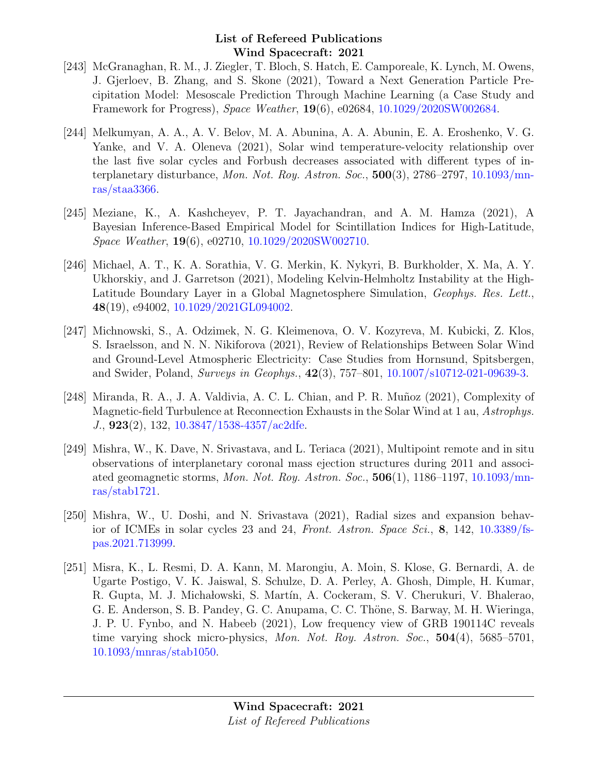- [243] McGranaghan, R. M., J. Ziegler, T. Bloch, S. Hatch, E. Camporeale, K. Lynch, M. Owens, J. Gjerloev, B. Zhang, and S. Skone (2021), Toward a Next Generation Particle Precipitation Model: Mesoscale Prediction Through Machine Learning (a Case Study and Framework for Progress), Space Weather, 19(6), e02684, [10.1029/2020SW002684.](http://dx.doi.org/10.1029/2020SW002684)
- [244] Melkumyan, A. A., A. V. Belov, M. A. Abunina, A. A. Abunin, E. A. Eroshenko, V. G. Yanke, and V. A. Oleneva (2021), Solar wind temperature-velocity relationship over the last five solar cycles and Forbush decreases associated with different types of interplanetary disturbance, Mon. Not. Roy. Astron. Soc., 500(3), 2786–2797, [10.1093/mn](http://dx.doi.org/10.1093/mnras/staa3366)[ras/staa3366.](http://dx.doi.org/10.1093/mnras/staa3366)
- [245] Meziane, K., A. Kashcheyev, P. T. Jayachandran, and A. M. Hamza (2021), A Bayesian Inference-Based Empirical Model for Scintillation Indices for High-Latitude, Space Weather, 19(6), e02710, [10.1029/2020SW002710.](http://dx.doi.org/10.1029/2020SW002710)
- [246] Michael, A. T., K. A. Sorathia, V. G. Merkin, K. Nykyri, B. Burkholder, X. Ma, A. Y. Ukhorskiy, and J. Garretson (2021), Modeling Kelvin-Helmholtz Instability at the High-Latitude Boundary Layer in a Global Magnetosphere Simulation, Geophys. Res. Lett., 48(19), e94002, [10.1029/2021GL094002.](http://dx.doi.org/10.1029/2021GL094002)
- [247] Michnowski, S., A. Odzimek, N. G. Kleimenova, O. V. Kozyreva, M. Kubicki, Z. Klos, S. Israelsson, and N. N. Nikiforova (2021), Review of Relationships Between Solar Wind and Ground-Level Atmospheric Electricity: Case Studies from Hornsund, Spitsbergen, and Swider, Poland, Surveys in Geophys., 42(3), 757–801, [10.1007/s10712-021-09639-3.](http://dx.doi.org/10.1007/s10712-021-09639-3)
- [248] Miranda, R. A., J. A. Valdivia, A. C. L. Chian, and P. R. Muñoz (2021), Complexity of Magnetic-field Turbulence at Reconnection Exhausts in the Solar Wind at 1 au, Astrophys. J., 923(2), 132, [10.3847/1538-4357/ac2dfe.](http://dx.doi.org/10.3847/1538-4357/ac2dfe)
- [249] Mishra, W., K. Dave, N. Srivastava, and L. Teriaca (2021), Multipoint remote and in situ observations of interplanetary coronal mass ejection structures during 2011 and associated geomagnetic storms, Mon. Not. Roy. Astron. Soc., 506(1), 1186–1197, [10.1093/mn](http://dx.doi.org/10.1093/mnras/stab1721)[ras/stab1721.](http://dx.doi.org/10.1093/mnras/stab1721)
- [250] Mishra, W., U. Doshi, and N. Srivastava (2021), Radial sizes and expansion behavior of ICMEs in solar cycles 23 and 24, Front. Astron. Space Sci.,  $\mathbf{8}$ , 142, [10.3389/fs](http://dx.doi.org/10.3389/fspas.2021.713999)[pas.2021.713999.](http://dx.doi.org/10.3389/fspas.2021.713999)
- [251] Misra, K., L. Resmi, D. A. Kann, M. Marongiu, A. Moin, S. Klose, G. Bernardi, A. de Ugarte Postigo, V. K. Jaiswal, S. Schulze, D. A. Perley, A. Ghosh, Dimple, H. Kumar, R. Gupta, M. J. Michałowski, S. Martín, A. Cockeram, S. V. Cherukuri, V. Bhalerao, G. E. Anderson, S. B. Pandey, G. C. Anupama, C. C. Thöne, S. Barway, M. H. Wieringa, J. P. U. Fynbo, and N. Habeeb (2021), Low frequency view of GRB 190114C reveals time varying shock micro-physics, Mon. Not. Roy. Astron. Soc., 504(4), 5685–5701, [10.1093/mnras/stab1050.](http://dx.doi.org/10.1093/mnras/stab1050)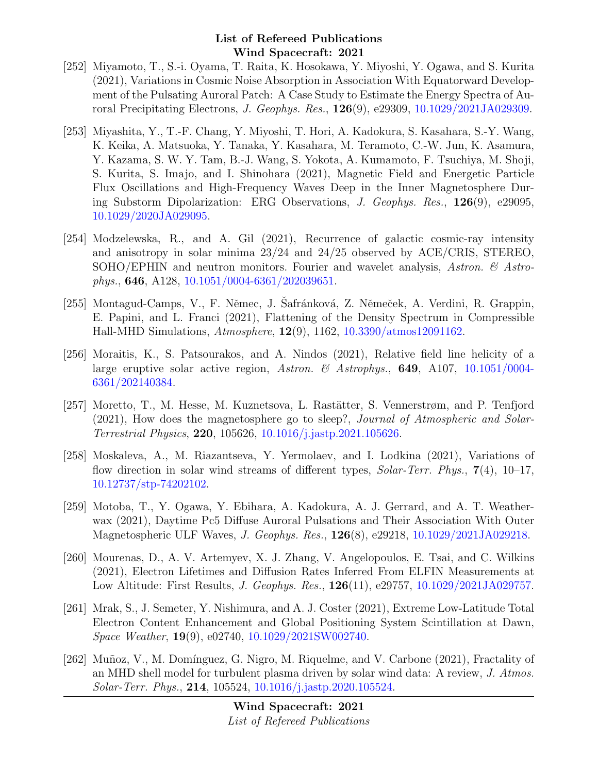- [252] Miyamoto, T., S.-i. Oyama, T. Raita, K. Hosokawa, Y. Miyoshi, Y. Ogawa, and S. Kurita (2021), Variations in Cosmic Noise Absorption in Association With Equatorward Development of the Pulsating Auroral Patch: A Case Study to Estimate the Energy Spectra of Auroral Precipitating Electrons, J. Geophys. Res., 126(9), e29309, [10.1029/2021JA029309.](http://dx.doi.org/10.1029/2021JA029309)
- [253] Miyashita, Y., T.-F. Chang, Y. Miyoshi, T. Hori, A. Kadokura, S. Kasahara, S.-Y. Wang, K. Keika, A. Matsuoka, Y. Tanaka, Y. Kasahara, M. Teramoto, C.-W. Jun, K. Asamura, Y. Kazama, S. W. Y. Tam, B.-J. Wang, S. Yokota, A. Kumamoto, F. Tsuchiya, M. Shoji, S. Kurita, S. Imajo, and I. Shinohara (2021), Magnetic Field and Energetic Particle Flux Oscillations and High-Frequency Waves Deep in the Inner Magnetosphere During Substorm Dipolarization: ERG Observations, J. Geophys. Res., 126(9), e29095, [10.1029/2020JA029095.](http://dx.doi.org/10.1029/2020JA029095)
- [254] Modzelewska, R., and A. Gil (2021), Recurrence of galactic cosmic-ray intensity and anisotropy in solar minima 23/24 and 24/25 observed by ACE/CRIS, STEREO, SOHO/EPHIN and neutron monitors. Fourier and wavelet analysis, Astron.  $\mathcal{C}$  Astrophys., 646, A128, [10.1051/0004-6361/202039651.](http://dx.doi.org/10.1051/0004-6361/202039651)
- [255] Montagud-Camps, V., F. Němec, J. Safránková, Z. Němeček, A. Verdini, R. Grappin, E. Papini, and L. Franci (2021), Flattening of the Density Spectrum in Compressible Hall-MHD Simulations, Atmosphere, 12(9), 1162, [10.3390/atmos12091162.](http://dx.doi.org/10.3390/atmos12091162)
- [256] Moraitis, K., S. Patsourakos, and A. Nindos (2021), Relative field line helicity of a large eruptive solar active region, Astron. & Astrophys., **649**, A107, [10.1051/0004-](http://dx.doi.org/10.1051/0004-6361/202140384) [6361/202140384.](http://dx.doi.org/10.1051/0004-6361/202140384)
- [257] Moretto, T., M. Hesse, M. Kuznetsova, L. Rastätter, S. Vennerstrøm, and P. Tenfjord (2021), How does the magnetosphere go to sleep?, Journal of Atmospheric and Solar-Terrestrial Physics, 220, 105626, [10.1016/j.jastp.2021.105626.](http://dx.doi.org/10.1016/j.jastp.2021.105626)
- [258] Moskaleva, A., M. Riazantseva, Y. Yermolaev, and I. Lodkina (2021), Variations of flow direction in solar wind streams of different types,  $Solar-Terr$ . Phys.,  $7(4)$ , 10–17, [10.12737/stp-74202102.](http://dx.doi.org/10.12737/stp-74202102)
- [259] Motoba, T., Y. Ogawa, Y. Ebihara, A. Kadokura, A. J. Gerrard, and A. T. Weatherwax (2021), Daytime Pc5 Diffuse Auroral Pulsations and Their Association With Outer Magnetospheric ULF Waves, J. Geophys. Res., 126(8), e29218, [10.1029/2021JA029218.](http://dx.doi.org/10.1029/2021JA029218)
- [260] Mourenas, D., A. V. Artemyev, X. J. Zhang, V. Angelopoulos, E. Tsai, and C. Wilkins (2021), Electron Lifetimes and Diffusion Rates Inferred From ELFIN Measurements at Low Altitude: First Results, J. Geophys. Res., 126(11), e29757, [10.1029/2021JA029757.](http://dx.doi.org/10.1029/2021JA029757)
- [261] Mrak, S., J. Semeter, Y. Nishimura, and A. J. Coster (2021), Extreme Low-Latitude Total Electron Content Enhancement and Global Positioning System Scintillation at Dawn, Space Weather, 19(9), e02740, [10.1029/2021SW002740.](http://dx.doi.org/10.1029/2021SW002740)
- [262] Muñoz, V., M. Domínguez, G. Nigro, M. Riquelme, and V. Carbone (2021), Fractality of an MHD shell model for turbulent plasma driven by solar wind data: A review, J. Atmos. Solar-Terr. Phys., 214, 105524, [10.1016/j.jastp.2020.105524.](http://dx.doi.org/10.1016/j.jastp.2020.105524)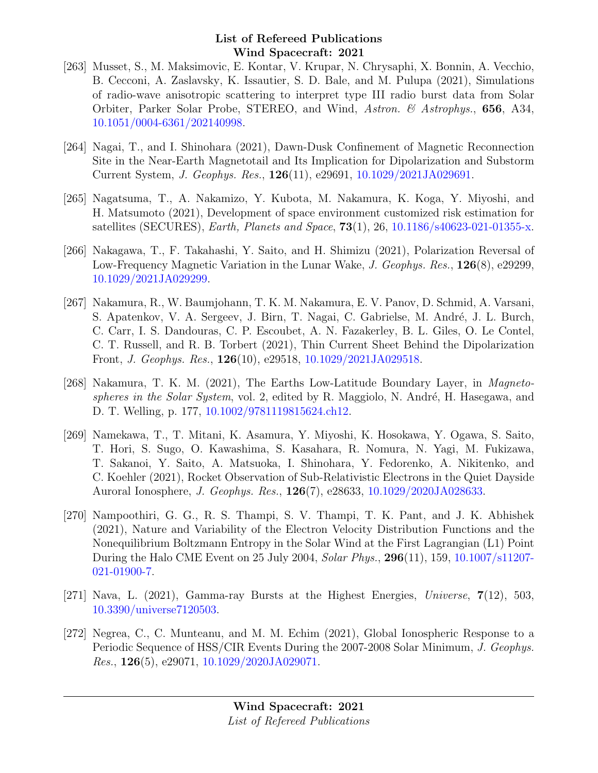- [263] Musset, S., M. Maksimovic, E. Kontar, V. Krupar, N. Chrysaphi, X. Bonnin, A. Vecchio, B. Cecconi, A. Zaslavsky, K. Issautier, S. D. Bale, and M. Pulupa (2021), Simulations of radio-wave anisotropic scattering to interpret type III radio burst data from Solar Orbiter, Parker Solar Probe, STEREO, and Wind, Astron. & Astrophys., 656, A34, [10.1051/0004-6361/202140998.](http://dx.doi.org/10.1051/0004-6361/202140998)
- [264] Nagai, T., and I. Shinohara (2021), Dawn-Dusk Confinement of Magnetic Reconnection Site in the Near-Earth Magnetotail and Its Implication for Dipolarization and Substorm Current System, J. Geophys. Res., 126(11), e29691, [10.1029/2021JA029691.](http://dx.doi.org/10.1029/2021JA029691)
- [265] Nagatsuma, T., A. Nakamizo, Y. Kubota, M. Nakamura, K. Koga, Y. Miyoshi, and H. Matsumoto (2021), Development of space environment customized risk estimation for satellites (SECURES), *Earth, Planets and Space*,  $73(1)$ , 26, [10.1186/s40623-021-01355-x.](http://dx.doi.org/10.1186/s40623-021-01355-x)
- [266] Nakagawa, T., F. Takahashi, Y. Saito, and H. Shimizu (2021), Polarization Reversal of Low-Frequency Magnetic Variation in the Lunar Wake, J. Geophys. Res., 126(8), e29299, [10.1029/2021JA029299.](http://dx.doi.org/10.1029/2021JA029299)
- [267] Nakamura, R., W. Baumjohann, T. K. M. Nakamura, E. V. Panov, D. Schmid, A. Varsani, S. Apatenkov, V. A. Sergeev, J. Birn, T. Nagai, C. Gabrielse, M. André, J. L. Burch, C. Carr, I. S. Dandouras, C. P. Escoubet, A. N. Fazakerley, B. L. Giles, O. Le Contel, C. T. Russell, and R. B. Torbert (2021), Thin Current Sheet Behind the Dipolarization Front, J. Geophys. Res., 126(10), e29518, [10.1029/2021JA029518.](http://dx.doi.org/10.1029/2021JA029518)
- [268] Nakamura, T. K. M. (2021), The Earths Low-Latitude Boundary Layer, in *Magneto*spheres in the Solar System, vol. 2, edited by R. Maggiolo, N. André, H. Hasegawa, and D. T. Welling, p. 177, [10.1002/9781119815624.ch12.](http://dx.doi.org/10.1002/9781119815624.ch12)
- [269] Namekawa, T., T. Mitani, K. Asamura, Y. Miyoshi, K. Hosokawa, Y. Ogawa, S. Saito, T. Hori, S. Sugo, O. Kawashima, S. Kasahara, R. Nomura, N. Yagi, M. Fukizawa, T. Sakanoi, Y. Saito, A. Matsuoka, I. Shinohara, Y. Fedorenko, A. Nikitenko, and C. Koehler (2021), Rocket Observation of Sub-Relativistic Electrons in the Quiet Dayside Auroral Ionosphere, J. Geophys. Res., 126(7), e28633, [10.1029/2020JA028633.](http://dx.doi.org/10.1029/2020JA028633)
- [270] Nampoothiri, G. G., R. S. Thampi, S. V. Thampi, T. K. Pant, and J. K. Abhishek (2021), Nature and Variability of the Electron Velocity Distribution Functions and the Nonequilibrium Boltzmann Entropy in the Solar Wind at the First Lagrangian (L1) Point During the Halo CME Event on 25 July 2004, Solar Phys., 296(11), 159, [10.1007/s11207-](http://dx.doi.org/10.1007/s11207-021-01900-7) [021-01900-7.](http://dx.doi.org/10.1007/s11207-021-01900-7)
- [271] Nava, L. (2021), Gamma-ray Bursts at the Highest Energies, Universe,  $7(12)$ , 503, [10.3390/universe7120503.](http://dx.doi.org/10.3390/universe7120503)
- [272] Negrea, C., C. Munteanu, and M. M. Echim (2021), Global Ionospheric Response to a Periodic Sequence of HSS/CIR Events During the 2007-2008 Solar Minimum, J. Geophys. *Res.*,  $126(5)$ ,  $e^{29071}$ ,  $10.1029/2020JA029071$ .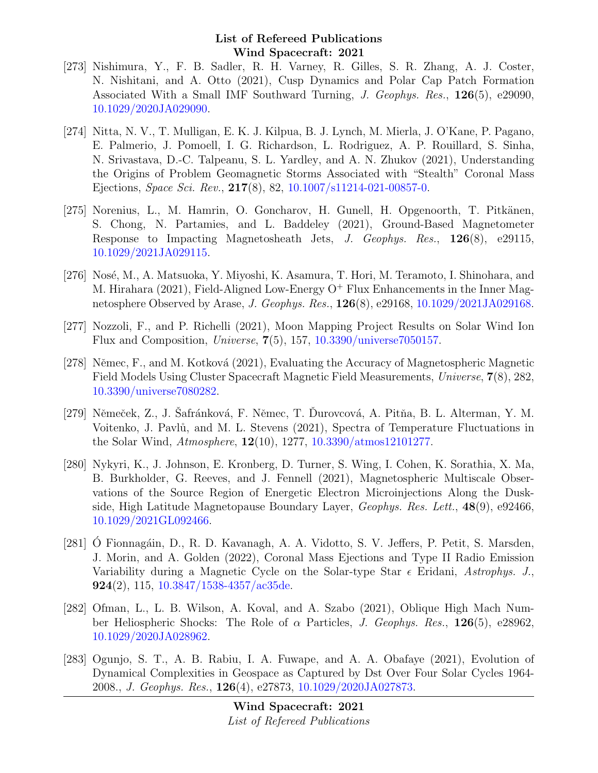- [273] Nishimura, Y., F. B. Sadler, R. H. Varney, R. Gilles, S. R. Zhang, A. J. Coster, N. Nishitani, and A. Otto (2021), Cusp Dynamics and Polar Cap Patch Formation Associated With a Small IMF Southward Turning, J. Geophys. Res., 126(5), e29090, [10.1029/2020JA029090.](http://dx.doi.org/10.1029/2020JA029090)
- [274] Nitta, N. V., T. Mulligan, E. K. J. Kilpua, B. J. Lynch, M. Mierla, J. O'Kane, P. Pagano, E. Palmerio, J. Pomoell, I. G. Richardson, L. Rodriguez, A. P. Rouillard, S. Sinha, N. Srivastava, D.-C. Talpeanu, S. L. Yardley, and A. N. Zhukov (2021), Understanding the Origins of Problem Geomagnetic Storms Associated with "Stealth" Coronal Mass Ejections, Space Sci. Rev., 217(8), 82, [10.1007/s11214-021-00857-0.](http://dx.doi.org/10.1007/s11214-021-00857-0)
- [275] Norenius, L., M. Hamrin, O. Goncharov, H. Gunell, H. Opgenoorth, T. Pitkänen, S. Chong, N. Partamies, and L. Baddeley (2021), Ground-Based Magnetometer Response to Impacting Magnetosheath Jets, J. Geophys. Res., 126(8), e29115, [10.1029/2021JA029115.](http://dx.doi.org/10.1029/2021JA029115)
- [276] Nosé, M., A. Matsuoka, Y. Miyoshi, K. Asamura, T. Hori, M. Teramoto, I. Shinohara, and M. Hirahara (2021), Field-Aligned Low-Energy  $O^+$  Flux Enhancements in the Inner Magnetosphere Observed by Arase, J. Geophys. Res., 126(8), e29168, [10.1029/2021JA029168.](http://dx.doi.org/10.1029/2021JA029168)
- [277] Nozzoli, F., and P. Richelli (2021), Moon Mapping Project Results on Solar Wind Ion Flux and Composition, Universe,  $7(5)$ , 157, [10.3390/universe7050157.](http://dx.doi.org/10.3390/universe7050157)
- [278] Němec, F., and M. Kotková (2021), Evaluating the Accuracy of Magnetospheric Magnetic Field Models Using Cluster Spacecraft Magnetic Field Measurements, Universe, 7(8), 282, [10.3390/universe7080282.](http://dx.doi.org/10.3390/universe7080282)
- [279] Němeček, Z., J. Safránková, F. Němec, T. Durovcová, A. Pitňa, B. L. Alterman, Y. M. Voitenko, J. Pavlů, and M. L. Stevens (2021), Spectra of Temperature Fluctuations in the Solar Wind, Atmosphere, 12(10), 1277, [10.3390/atmos12101277.](http://dx.doi.org/10.3390/atmos12101277)
- [280] Nykyri, K., J. Johnson, E. Kronberg, D. Turner, S. Wing, I. Cohen, K. Sorathia, X. Ma, B. Burkholder, G. Reeves, and J. Fennell (2021), Magnetospheric Multiscale Observations of the Source Region of Energetic Electron Microinjections Along the Duskside, High Latitude Magnetopause Boundary Layer, Geophys. Res. Lett., 48(9), e92466, [10.1029/2021GL092466.](http://dx.doi.org/10.1029/2021GL092466)
- [281] O Fionnagáin, D., R. D. Kavanagh, A. A. Vidotto, S. V. Jeffers, P. Petit, S. Marsden, J. Morin, and A. Golden (2022), Coronal Mass Ejections and Type II Radio Emission Variability during a Magnetic Cycle on the Solar-type Star  $\epsilon$  Eridani, Astrophys. J., 924(2), 115, [10.3847/1538-4357/ac35de.](http://dx.doi.org/10.3847/1538-4357/ac35de)
- [282] Ofman, L., L. B. Wilson, A. Koval, and A. Szabo (2021), Oblique High Mach Number Heliospheric Shocks: The Role of  $\alpha$  Particles, J. Geophys. Res., 126(5), e28962, [10.1029/2020JA028962.](http://dx.doi.org/10.1029/2020JA028962)
- [283] Ogunjo, S. T., A. B. Rabiu, I. A. Fuwape, and A. A. Obafaye (2021), Evolution of Dynamical Complexities in Geospace as Captured by Dst Over Four Solar Cycles 1964- 2008., J. Geophys. Res., 126(4), e27873, [10.1029/2020JA027873.](http://dx.doi.org/10.1029/2020JA027873)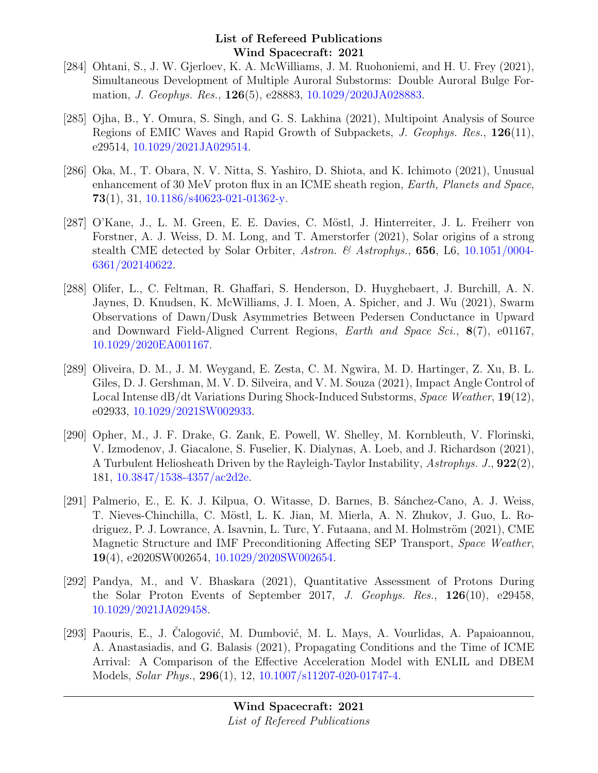- [284] Ohtani, S., J. W. Gjerloev, K. A. McWilliams, J. M. Ruohoniemi, and H. U. Frey (2021), Simultaneous Development of Multiple Auroral Substorms: Double Auroral Bulge Formation, J. Geophys. Res., 126(5), e28883, [10.1029/2020JA028883.](http://dx.doi.org/10.1029/2020JA028883)
- [285] Ojha, B., Y. Omura, S. Singh, and G. S. Lakhina (2021), Multipoint Analysis of Source Regions of EMIC Waves and Rapid Growth of Subpackets, J. Geophys. Res., 126(11), e29514, [10.1029/2021JA029514.](http://dx.doi.org/10.1029/2021JA029514)
- [286] Oka, M., T. Obara, N. V. Nitta, S. Yashiro, D. Shiota, and K. Ichimoto (2021), Unusual enhancement of 30 MeV proton flux in an ICME sheath region, Earth, Planets and Space, 73(1), 31,  $10.1186$ /s $40623-021-01362$ -y.
- [287] O'Kane, J., L. M. Green, E. E. Davies, C. Möstl, J. Hinterreiter, J. L. Freiherr von Forstner, A. J. Weiss, D. M. Long, and T. Amerstorfer (2021), Solar origins of a strong stealth CME detected by Solar Orbiter, Astron. & Astrophys., 656, L6, [10.1051/0004-](http://dx.doi.org/10.1051/0004-6361/202140622) [6361/202140622.](http://dx.doi.org/10.1051/0004-6361/202140622)
- [288] Olifer, L., C. Feltman, R. Ghaffari, S. Henderson, D. Huyghebaert, J. Burchill, A. N. Jaynes, D. Knudsen, K. McWilliams, J. I. Moen, A. Spicher, and J. Wu (2021), Swarm Observations of Dawn/Dusk Asymmetries Between Pedersen Conductance in Upward and Downward Field-Aligned Current Regions, Earth and Space Sci., 8(7), e01167, [10.1029/2020EA001167.](http://dx.doi.org/10.1029/2020EA001167)
- [289] Oliveira, D. M., J. M. Weygand, E. Zesta, C. M. Ngwira, M. D. Hartinger, Z. Xu, B. L. Giles, D. J. Gershman, M. V. D. Silveira, and V. M. Souza (2021), Impact Angle Control of Local Intense dB/dt Variations During Shock-Induced Substorms, Space Weather, 19(12), e02933, [10.1029/2021SW002933.](http://dx.doi.org/10.1029/2021SW002933)
- [290] Opher, M., J. F. Drake, G. Zank, E. Powell, W. Shelley, M. Kornbleuth, V. Florinski, V. Izmodenov, J. Giacalone, S. Fuselier, K. Dialynas, A. Loeb, and J. Richardson (2021), A Turbulent Heliosheath Driven by the Rayleigh-Taylor Instability, Astrophys. J., 922(2), 181, [10.3847/1538-4357/ac2d2e.](http://dx.doi.org/10.3847/1538-4357/ac2d2e)
- [291] Palmerio, E., E. K. J. Kilpua, O. Witasse, D. Barnes, B. Sánchez-Cano, A. J. Weiss, T. Nieves-Chinchilla, C. Möstl, L. K. Jian, M. Mierla, A. N. Zhukov, J. Guo, L. Rodriguez, P. J. Lowrance, A. Isavnin, L. Turc, Y. Futaana, and M. Holmström  $(2021)$ , CME Magnetic Structure and IMF Preconditioning Affecting SEP Transport, Space Weather, 19(4), e2020SW002654, [10.1029/2020SW002654.](http://dx.doi.org/10.1029/2020SW002654)
- [292] Pandya, M., and V. Bhaskara (2021), Quantitative Assessment of Protons During the Solar Proton Events of September 2017, J. Geophys. Res., 126(10), e29458, [10.1029/2021JA029458.](http://dx.doi.org/10.1029/2021JA029458)
- [293] Paouris, E., J. Čalogović, M. Dumbović, M. L. Mays, A. Vourlidas, A. Papaioannou, A. Anastasiadis, and G. Balasis (2021), Propagating Conditions and the Time of ICME Arrival: A Comparison of the Effective Acceleration Model with ENLIL and DBEM Models, Solar Phys., 296(1), 12, [10.1007/s11207-020-01747-4.](http://dx.doi.org/10.1007/s11207-020-01747-4)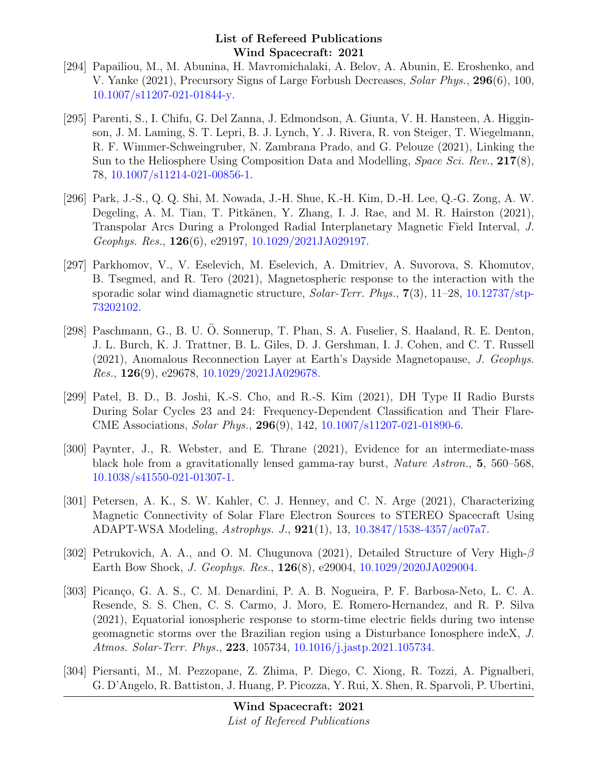- [294] Papailiou, M., M. Abunina, H. Mavromichalaki, A. Belov, A. Abunin, E. Eroshenko, and V. Yanke (2021), Precursory Signs of Large Forbush Decreases, Solar Phys., 296(6), 100, [10.1007/s11207-021-01844-y.](http://dx.doi.org/10.1007/s11207-021-01844-y)
- [295] Parenti, S., I. Chifu, G. Del Zanna, J. Edmondson, A. Giunta, V. H. Hansteen, A. Higginson, J. M. Laming, S. T. Lepri, B. J. Lynch, Y. J. Rivera, R. von Steiger, T. Wiegelmann, R. F. Wimmer-Schweingruber, N. Zambrana Prado, and G. Pelouze (2021), Linking the Sun to the Heliosphere Using Composition Data and Modelling, Space Sci. Rev., 217(8), 78, [10.1007/s11214-021-00856-1.](http://dx.doi.org/10.1007/s11214-021-00856-1)
- [296] Park, J.-S., Q. Q. Shi, M. Nowada, J.-H. Shue, K.-H. Kim, D.-H. Lee, Q.-G. Zong, A. W. Degeling, A. M. Tian, T. Pitkänen, Y. Zhang, I. J. Rae, and M. R. Hairston (2021), Transpolar Arcs During a Prolonged Radial Interplanetary Magnetic Field Interval, J. Geophys. Res., 126(6), e29197, [10.1029/2021JA029197.](http://dx.doi.org/10.1029/2021JA029197)
- [297] Parkhomov, V., V. Eselevich, M. Eselevich, A. Dmitriev, A. Suvorova, S. Khomutov, B. Tsegmed, and R. Tero (2021), Magnetospheric response to the interaction with the sporadic solar wind diamagnetic structure, *Solar-Terr. Phys.*,  $7(3)$ ,  $11-28$ ,  $10.12737/\text{stp}$ [73202102.](http://dx.doi.org/10.12737/stp-73202102)
- [298] Paschmann, G., B. U. O. Sonnerup, T. Phan, S. A. Fuselier, S. Haaland, R. E. Denton, J. L. Burch, K. J. Trattner, B. L. Giles, D. J. Gershman, I. J. Cohen, and C. T. Russell (2021), Anomalous Reconnection Layer at Earth's Dayside Magnetopause, J. Geophys. *Res.*,  $126(9)$ , e29678,  $10.1029/2021JA029678$ .
- [299] Patel, B. D., B. Joshi, K.-S. Cho, and R.-S. Kim (2021), DH Type II Radio Bursts During Solar Cycles 23 and 24: Frequency-Dependent Classification and Their Flare-CME Associations, Solar Phys., 296(9), 142, [10.1007/s11207-021-01890-6.](http://dx.doi.org/10.1007/s11207-021-01890-6)
- [300] Paynter, J., R. Webster, and E. Thrane (2021), Evidence for an intermediate-mass black hole from a gravitationally lensed gamma-ray burst, Nature Astron., 5, 560–568, [10.1038/s41550-021-01307-1.](http://dx.doi.org/10.1038/s41550-021-01307-1)
- [301] Petersen, A. K., S. W. Kahler, C. J. Henney, and C. N. Arge (2021), Characterizing Magnetic Connectivity of Solar Flare Electron Sources to STEREO Spacecraft Using ADAPT-WSA Modeling, Astrophys. J., 921(1), 13, [10.3847/1538-4357/ac07a7.](http://dx.doi.org/10.3847/1538-4357/ac07a7)
- [302] Petrukovich, A. A., and O. M. Chugunova (2021), Detailed Structure of Very High- $\beta$ Earth Bow Shock, J. Geophys. Res., 126(8), e29004, [10.1029/2020JA029004.](http://dx.doi.org/10.1029/2020JA029004)
- [303] Picanço, G. A. S., C. M. Denardini, P. A. B. Nogueira, P. F. Barbosa-Neto, L. C. A. Resende, S. S. Chen, C. S. Carmo, J. Moro, E. Romero-Hernandez, and R. P. Silva (2021), Equatorial ionospheric response to storm-time electric fields during two intense geomagnetic storms over the Brazilian region using a Disturbance Ionosphere indeX, J. Atmos. Solar-Terr. Phys., 223, 105734, [10.1016/j.jastp.2021.105734.](http://dx.doi.org/10.1016/j.jastp.2021.105734)
- [304] Piersanti, M., M. Pezzopane, Z. Zhima, P. Diego, C. Xiong, R. Tozzi, A. Pignalberi, G. D'Angelo, R. Battiston, J. Huang, P. Picozza, Y. Rui, X. Shen, R. Sparvoli, P. Ubertini,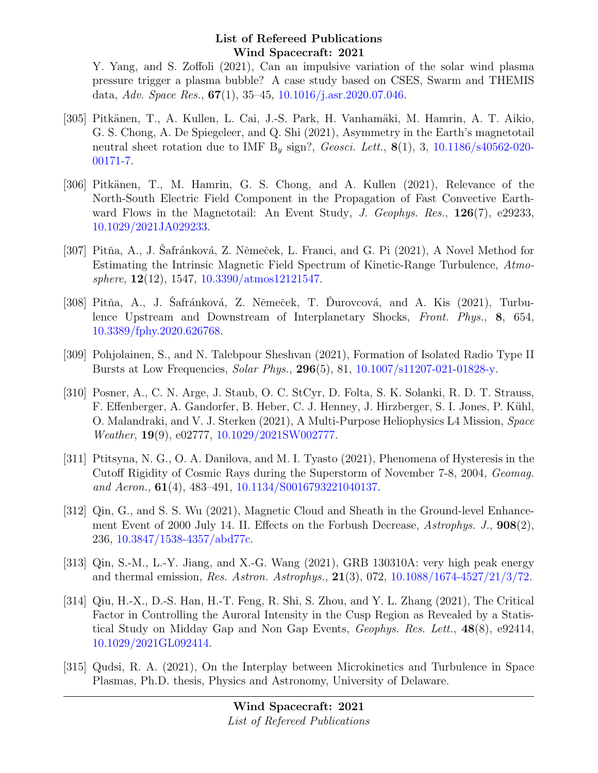Y. Yang, and S. Zoffoli (2021), Can an impulsive variation of the solar wind plasma pressure trigger a plasma bubble? A case study based on CSES, Swarm and THEMIS data, Adv. Space Res.,  $67(1)$ , 35-45, [10.1016/j.asr.2020.07.046.](http://dx.doi.org/10.1016/j.asr.2020.07.046)

- [305] Pitkänen, T., A. Kullen, L. Cai, J.-S. Park, H. Vanhamäki, M. Hamrin, A. T. Aikio, G. S. Chong, A. De Spiegeleer, and Q. Shi (2021), Asymmetry in the Earth's magnetotail neutral sheet rotation due to IMF  $B_y$  sign?, *Geosci. Lett.*,  $\mathbf{8}(1)$ , 3, [10.1186/s40562-020-](http://dx.doi.org/10.1186/s40562-020-00171-7) [00171-7.](http://dx.doi.org/10.1186/s40562-020-00171-7)
- [306] Pitkänen, T., M. Hamrin, G. S. Chong, and A. Kullen (2021), Relevance of the North-South Electric Field Component in the Propagation of Fast Convective Earthward Flows in the Magnetotail: An Event Study, J. Geophys. Res.,  $126(7)$ , e29233, [10.1029/2021JA029233.](http://dx.doi.org/10.1029/2021JA029233)
- [307] Pitňa, A., J. Safránková, Z. Němeček, L. Franci, and G. Pi (2021), A Novel Method for Estimating the Intrinsic Magnetic Field Spectrum of Kinetic-Range Turbulence, Atmosphere,  $12(12)$ , 1547,  $10.3390/ \text{atmos} 12121547$ .
- [308] Pitňa, A., J. Safránková, Z. Němeček, T. Durovcová, and A. Kis (2021), Turbulence Upstream and Downstream of Interplanetary Shocks, Front. Phys., 8, 654, [10.3389/fphy.2020.626768.](http://dx.doi.org/10.3389/fphy.2020.626768)
- [309] Pohjolainen, S., and N. Talebpour Sheshvan (2021), Formation of Isolated Radio Type II Bursts at Low Frequencies, Solar Phys., 296(5), 81, [10.1007/s11207-021-01828-y.](http://dx.doi.org/10.1007/s11207-021-01828-y)
- [310] Posner, A., C. N. Arge, J. Staub, O. C. StCyr, D. Folta, S. K. Solanki, R. D. T. Strauss, F. Effenberger, A. Gandorfer, B. Heber, C. J. Henney, J. Hirzberger, S. I. Jones, P. Kühl, O. Malandraki, and V. J. Sterken (2021), A Multi-Purpose Heliophysics L4 Mission, Space Weather, 19(9), e02777, [10.1029/2021SW002777.](http://dx.doi.org/10.1029/2021SW002777)
- [311] Ptitsyna, N. G., O. A. Danilova, and M. I. Tyasto (2021), Phenomena of Hysteresis in the Cutoff Rigidity of Cosmic Rays during the Superstorm of November 7-8, 2004, Geomag. and Aeron., 61(4), 483–491, [10.1134/S0016793221040137.](http://dx.doi.org/10.1134/S0016793221040137)
- [312] Qin, G., and S. S. Wu (2021), Magnetic Cloud and Sheath in the Ground-level Enhancement Event of 2000 July 14. II. Effects on the Forbush Decrease,  $A strongly. J., 908(2),$ 236, [10.3847/1538-4357/abd77c.](http://dx.doi.org/10.3847/1538-4357/abd77c)
- [313] Qin, S.-M., L.-Y. Jiang, and X.-G. Wang (2021), GRB 130310A: very high peak energy and thermal emission, Res. Astron. Astrophys., 21(3), 072, [10.1088/1674-4527/21/3/72.](http://dx.doi.org/10.1088/1674-4527/21/3/72)
- [314] Qiu, H.-X., D.-S. Han, H.-T. Feng, R. Shi, S. Zhou, and Y. L. Zhang (2021), The Critical Factor in Controlling the Auroral Intensity in the Cusp Region as Revealed by a Statistical Study on Midday Gap and Non Gap Events, Geophys. Res. Lett., 48(8), e92414, [10.1029/2021GL092414.](http://dx.doi.org/10.1029/2021GL092414)
- [315] Qudsi, R. A. (2021), On the Interplay between Microkinetics and Turbulence in Space Plasmas, Ph.D. thesis, Physics and Astronomy, University of Delaware.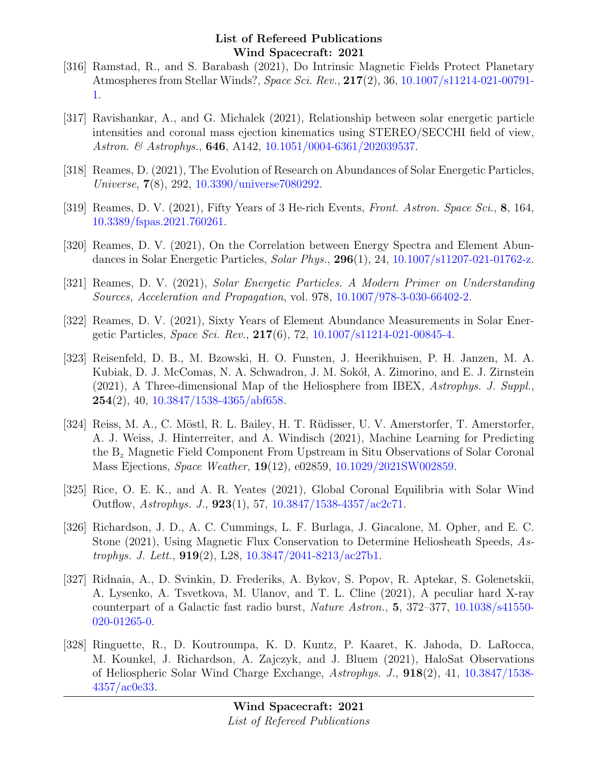- [316] Ramstad, R., and S. Barabash (2021), Do Intrinsic Magnetic Fields Protect Planetary Atmospheres from Stellar Winds?, Space Sci. Rev., 217(2), 36, [10.1007/s11214-021-00791-](http://dx.doi.org/10.1007/s11214-021-00791-1) [1.](http://dx.doi.org/10.1007/s11214-021-00791-1)
- [317] Ravishankar, A., and G. Michalek (2021), Relationship between solar energetic particle intensities and coronal mass ejection kinematics using STEREO/SECCHI field of view, Astron. & Astrophys., **646**, A142, [10.1051/0004-6361/202039537.](http://dx.doi.org/10.1051/0004-6361/202039537)
- [318] Reames, D. (2021), The Evolution of Research on Abundances of Solar Energetic Particles, Universe, 7(8), 292, [10.3390/universe7080292.](http://dx.doi.org/10.3390/universe7080292)
- [319] Reames, D. V. (2021), Fifty Years of 3 He-rich Events, Front. Astron. Space Sci., 8, 164, [10.3389/fspas.2021.760261.](http://dx.doi.org/10.3389/fspas.2021.760261)
- [320] Reames, D. V. (2021), On the Correlation between Energy Spectra and Element Abundances in Solar Energetic Particles, Solar Phys., 296(1), 24, [10.1007/s11207-021-01762-z.](http://dx.doi.org/10.1007/s11207-021-01762-z)
- [321] Reames, D. V. (2021), Solar Energetic Particles. A Modern Primer on Understanding Sources, Acceleration and Propagation, vol. 978, [10.1007/978-3-030-66402-2.](http://dx.doi.org/10.1007/978-3-030-66402-2)
- [322] Reames, D. V. (2021), Sixty Years of Element Abundance Measurements in Solar Energetic Particles, Space Sci. Rev., 217(6), 72, [10.1007/s11214-021-00845-4.](http://dx.doi.org/10.1007/s11214-021-00845-4)
- [323] Reisenfeld, D. B., M. Bzowski, H. O. Funsten, J. Heerikhuisen, P. H. Janzen, M. A. Kubiak, D. J. McComas, N. A. Schwadron, J. M. Sokół, A. Zimorino, and E. J. Zirnstein (2021), A Three-dimensional Map of the Heliosphere from IBEX, Astrophys. J. Suppl.,  $254(2)$ , 40, [10.3847/1538-4365/abf658.](http://dx.doi.org/10.3847/1538-4365/abf658)
- [324] Reiss, M. A., C. Möstl, R. L. Bailey, H. T. Rüdisser, U. V. Amerstorfer, T. Amerstorfer, A. J. Weiss, J. Hinterreiter, and A. Windisch (2021), Machine Learning for Predicting the B<sup>z</sup> Magnetic Field Component From Upstream in Situ Observations of Solar Coronal Mass Ejections, Space Weather, 19(12), e02859, [10.1029/2021SW002859.](http://dx.doi.org/10.1029/2021SW002859)
- [325] Rice, O. E. K., and A. R. Yeates (2021), Global Coronal Equilibria with Solar Wind Outflow, Astrophys. J., 923(1), 57, [10.3847/1538-4357/ac2c71.](http://dx.doi.org/10.3847/1538-4357/ac2c71)
- [326] Richardson, J. D., A. C. Cummings, L. F. Burlaga, J. Giacalone, M. Opher, and E. C. Stone (2021), Using Magnetic Flux Conservation to Determine Heliosheath Speeds, Astrophys. J. Lett., 919(2), L28, [10.3847/2041-8213/ac27b1.](http://dx.doi.org/10.3847/2041-8213/ac27b1)
- [327] Ridnaia, A., D. Svinkin, D. Frederiks, A. Bykov, S. Popov, R. Aptekar, S. Golenetskii, A. Lysenko, A. Tsvetkova, M. Ulanov, and T. L. Cline (2021), A peculiar hard X-ray counterpart of a Galactic fast radio burst, Nature Astron., 5, 372–377, [10.1038/s41550-](http://dx.doi.org/10.1038/s41550-020-01265-0) [020-01265-0.](http://dx.doi.org/10.1038/s41550-020-01265-0)
- [328] Ringuette, R., D. Koutroumpa, K. D. Kuntz, P. Kaaret, K. Jahoda, D. LaRocca, M. Kounkel, J. Richardson, A. Zajczyk, and J. Bluem (2021), HaloSat Observations of Heliospheric Solar Wind Charge Exchange, Astrophys. J., 918(2), 41, [10.3847/1538-](http://dx.doi.org/10.3847/1538-4357/ac0e33) [4357/ac0e33.](http://dx.doi.org/10.3847/1538-4357/ac0e33)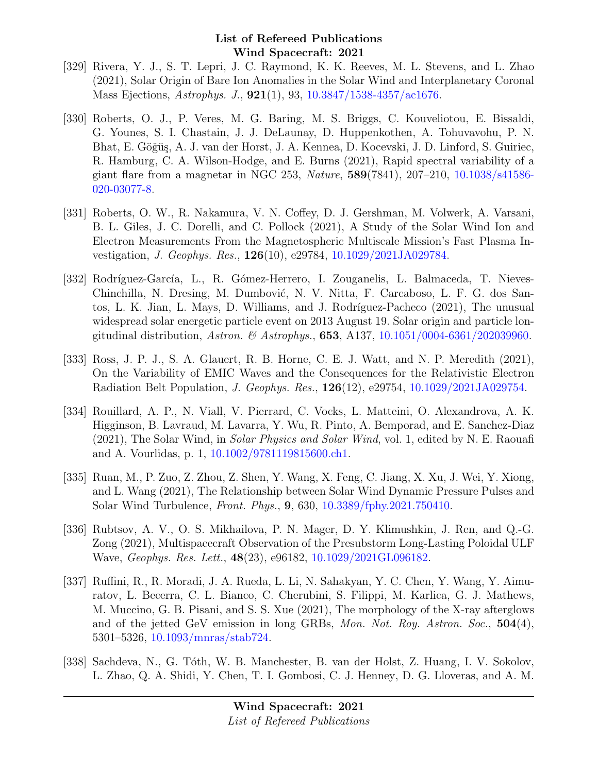- [329] Rivera, Y. J., S. T. Lepri, J. C. Raymond, K. K. Reeves, M. L. Stevens, and L. Zhao (2021), Solar Origin of Bare Ion Anomalies in the Solar Wind and Interplanetary Coronal Mass Ejections, Astrophys. J., 921(1), 93, [10.3847/1538-4357/ac1676.](http://dx.doi.org/10.3847/1538-4357/ac1676)
- [330] Roberts, O. J., P. Veres, M. G. Baring, M. S. Briggs, C. Kouveliotou, E. Bissaldi, G. Younes, S. I. Chastain, J. J. DeLaunay, D. Huppenkothen, A. Tohuvavohu, P. N. Bhat, E. Göğüş, A. J. van der Horst, J. A. Kennea, D. Kocevski, J. D. Linford, S. Guiriec, R. Hamburg, C. A. Wilson-Hodge, and E. Burns (2021), Rapid spectral variability of a giant flare from a magnetar in NGC 253, Nature, 589(7841), 207–210, [10.1038/s41586-](http://dx.doi.org/10.1038/s41586-020-03077-8) [020-03077-8.](http://dx.doi.org/10.1038/s41586-020-03077-8)
- [331] Roberts, O. W., R. Nakamura, V. N. Coffey, D. J. Gershman, M. Volwerk, A. Varsani, B. L. Giles, J. C. Dorelli, and C. Pollock (2021), A Study of the Solar Wind Ion and Electron Measurements From the Magnetospheric Multiscale Mission's Fast Plasma Investigation, J. Geophys. Res., 126(10), e29784, [10.1029/2021JA029784.](http://dx.doi.org/10.1029/2021JA029784)
- [332] Rodríguez-García, L., R. Gómez-Herrero, I. Zouganelis, L. Balmaceda, T. Nieves-Chinchilla, N. Dresing, M. Dumbović, N. V. Nitta, F. Carcaboso, L. F. G. dos Santos, L. K. Jian, L. Mays, D. Williams, and J. Rodríguez-Pacheco (2021), The unusual widespread solar energetic particle event on 2013 August 19. Solar origin and particle longitudinal distribution, Astron. & Astrophys., **653**, A137, [10.1051/0004-6361/202039960.](http://dx.doi.org/10.1051/0004-6361/202039960)
- [333] Ross, J. P. J., S. A. Glauert, R. B. Horne, C. E. J. Watt, and N. P. Meredith (2021), On the Variability of EMIC Waves and the Consequences for the Relativistic Electron Radiation Belt Population, J. Geophys. Res., 126(12), e29754, [10.1029/2021JA029754.](http://dx.doi.org/10.1029/2021JA029754)
- [334] Rouillard, A. P., N. Viall, V. Pierrard, C. Vocks, L. Matteini, O. Alexandrova, A. K. Higginson, B. Lavraud, M. Lavarra, Y. Wu, R. Pinto, A. Bemporad, and E. Sanchez-Diaz (2021), The Solar Wind, in Solar Physics and Solar Wind, vol. 1, edited by N. E. Raouafi and A. Vourlidas, p. 1, [10.1002/9781119815600.ch1.](http://dx.doi.org/10.1002/9781119815600.ch1)
- [335] Ruan, M., P. Zuo, Z. Zhou, Z. Shen, Y. Wang, X. Feng, C. Jiang, X. Xu, J. Wei, Y. Xiong, and L. Wang (2021), The Relationship between Solar Wind Dynamic Pressure Pulses and Solar Wind Turbulence, Front. Phys., 9, 630, [10.3389/fphy.2021.750410.](http://dx.doi.org/10.3389/fphy.2021.750410)
- [336] Rubtsov, A. V., O. S. Mikhailova, P. N. Mager, D. Y. Klimushkin, J. Ren, and Q.-G. Zong (2021), Multispacecraft Observation of the Presubstorm Long-Lasting Poloidal ULF Wave, Geophys. Res. Lett., 48(23), e96182, [10.1029/2021GL096182.](http://dx.doi.org/10.1029/2021GL096182)
- [337] Ruffini, R., R. Moradi, J. A. Rueda, L. Li, N. Sahakyan, Y. C. Chen, Y. Wang, Y. Aimuratov, L. Becerra, C. L. Bianco, C. Cherubini, S. Filippi, M. Karlica, G. J. Mathews, M. Muccino, G. B. Pisani, and S. S. Xue (2021), The morphology of the X-ray afterglows and of the jetted GeV emission in long GRBs, Mon. Not. Roy. Astron. Soc.,  $504(4)$ , 5301–5326, [10.1093/mnras/stab724.](http://dx.doi.org/10.1093/mnras/stab724)
- [338] Sachdeva, N., G. T´oth, W. B. Manchester, B. van der Holst, Z. Huang, I. V. Sokolov, L. Zhao, Q. A. Shidi, Y. Chen, T. I. Gombosi, C. J. Henney, D. G. Lloveras, and A. M.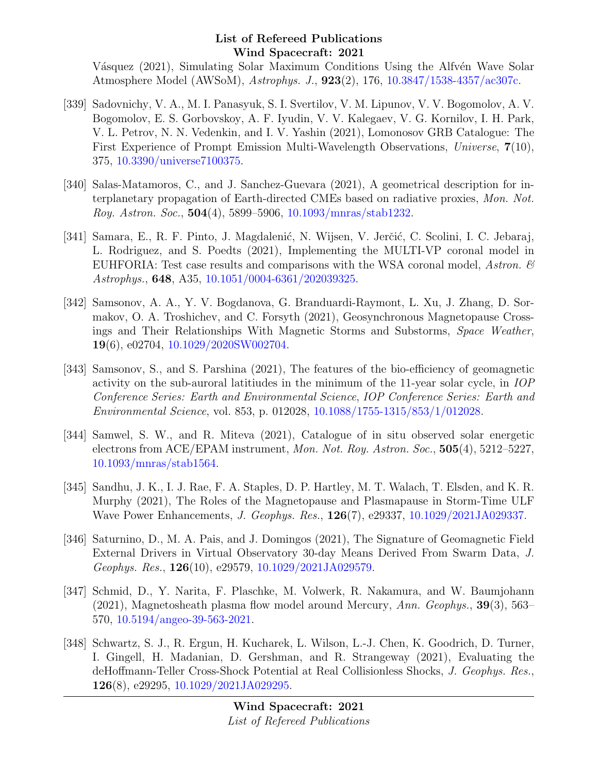Vásquez (2021), Simulating Solar Maximum Conditions Using the Alfvén Wave Solar Atmosphere Model (AWSoM), Astrophys. J., 923(2), 176, [10.3847/1538-4357/ac307c.](http://dx.doi.org/10.3847/1538-4357/ac307c)

- [339] Sadovnichy, V. A., M. I. Panasyuk, S. I. Svertilov, V. M. Lipunov, V. V. Bogomolov, A. V. Bogomolov, E. S. Gorbovskoy, A. F. Iyudin, V. V. Kalegaev, V. G. Kornilov, I. H. Park, V. L. Petrov, N. N. Vedenkin, and I. V. Yashin (2021), Lomonosov GRB Catalogue: The First Experience of Prompt Emission Multi-Wavelength Observations, Universe, 7(10), 375, [10.3390/universe7100375.](http://dx.doi.org/10.3390/universe7100375)
- [340] Salas-Matamoros, C., and J. Sanchez-Guevara (2021), A geometrical description for interplanetary propagation of Earth-directed CMEs based on radiative proxies, Mon. Not. Roy. Astron. Soc., 504(4), 5899–5906, [10.1093/mnras/stab1232.](http://dx.doi.org/10.1093/mnras/stab1232)
- [341] Samara, E., R. F. Pinto, J. Magdalenić, N. Wijsen, V. Jerčić, C. Scolini, I. C. Jebaraj, L. Rodriguez, and S. Poedts (2021), Implementing the MULTI-VP coronal model in EUHFORIA: Test case results and comparisons with the WSA coronal model, Astron.  $\mathcal{C}$ Astrophys., 648, A35, [10.1051/0004-6361/202039325.](http://dx.doi.org/10.1051/0004-6361/202039325)
- [342] Samsonov, A. A., Y. V. Bogdanova, G. Branduardi-Raymont, L. Xu, J. Zhang, D. Sormakov, O. A. Troshichev, and C. Forsyth (2021), Geosynchronous Magnetopause Crossings and Their Relationships With Magnetic Storms and Substorms, Space Weather, 19(6), e02704, [10.1029/2020SW002704.](http://dx.doi.org/10.1029/2020SW002704)
- [343] Samsonov, S., and S. Parshina (2021), The features of the bio-efficiency of geomagnetic activity on the sub-auroral latitiudes in the minimum of the 11-year solar cycle, in IOP Conference Series: Earth and Environmental Science, IOP Conference Series: Earth and Environmental Science, vol. 853, p. 012028, [10.1088/1755-1315/853/1/012028.](http://dx.doi.org/10.1088/1755-1315/853/1/012028)
- [344] Samwel, S. W., and R. Miteva (2021), Catalogue of in situ observed solar energetic electrons from ACE/EPAM instrument, Mon. Not. Roy. Astron. Soc., 505(4), 5212–5227, [10.1093/mnras/stab1564.](http://dx.doi.org/10.1093/mnras/stab1564)
- [345] Sandhu, J. K., I. J. Rae, F. A. Staples, D. P. Hartley, M. T. Walach, T. Elsden, and K. R. Murphy (2021), The Roles of the Magnetopause and Plasmapause in Storm-Time ULF Wave Power Enhancements, J. Geophys. Res., 126(7), e29337, [10.1029/2021JA029337.](http://dx.doi.org/10.1029/2021JA029337)
- [346] Saturnino, D., M. A. Pais, and J. Domingos (2021), The Signature of Geomagnetic Field External Drivers in Virtual Observatory 30-day Means Derived From Swarm Data, J. Geophys. Res., 126(10), e29579, [10.1029/2021JA029579.](http://dx.doi.org/10.1029/2021JA029579)
- [347] Schmid, D., Y. Narita, F. Plaschke, M. Volwerk, R. Nakamura, and W. Baumjohann  $(2021)$ , Magnetosheath plasma flow model around Mercury, Ann. Geophys., **39**(3), 563– 570, [10.5194/angeo-39-563-2021.](http://dx.doi.org/10.5194/angeo-39-563-2021)
- [348] Schwartz, S. J., R. Ergun, H. Kucharek, L. Wilson, L.-J. Chen, K. Goodrich, D. Turner, I. Gingell, H. Madanian, D. Gershman, and R. Strangeway (2021), Evaluating the deHoffmann-Teller Cross-Shock Potential at Real Collisionless Shocks, J. Geophys. Res., 126(8), e29295, [10.1029/2021JA029295.](http://dx.doi.org/10.1029/2021JA029295)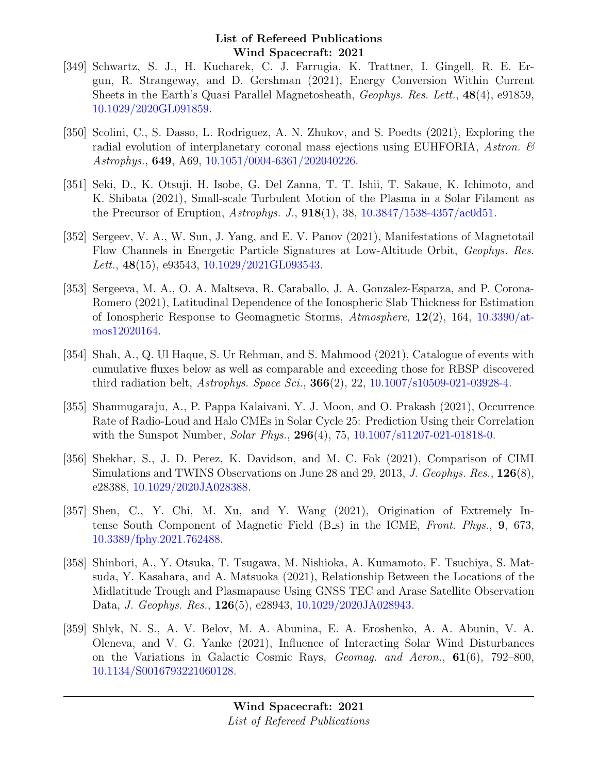- [349] Schwartz, S. J., H. Kucharek, C. J. Farrugia, K. Trattner, I. Gingell, R. E. Ergun, R. Strangeway, and D. Gershman (2021), Energy Conversion Within Current Sheets in the Earth's Quasi Parallel Magnetosheath, Geophys. Res. Lett., 48(4), e91859, [10.1029/2020GL091859.](http://dx.doi.org/10.1029/2020GL091859)
- [350] Scolini, C., S. Dasso, L. Rodriguez, A. N. Zhukov, and S. Poedts (2021), Exploring the radial evolution of interplanetary coronal mass ejections using EUHFORIA, Astron.  $\mathscr{C}$ Astrophys., 649, A69, [10.1051/0004-6361/202040226.](http://dx.doi.org/10.1051/0004-6361/202040226)
- [351] Seki, D., K. Otsuji, H. Isobe, G. Del Zanna, T. T. Ishii, T. Sakaue, K. Ichimoto, and K. Shibata (2021), Small-scale Turbulent Motion of the Plasma in a Solar Filament as the Precursor of Eruption,  $Astrophys. J., 918(1), 38, 10.3847/1538-4357/ac0d51.$  $Astrophys. J., 918(1), 38, 10.3847/1538-4357/ac0d51.$
- [352] Sergeev, V. A., W. Sun, J. Yang, and E. V. Panov (2021), Manifestations of Magnetotail Flow Channels in Energetic Particle Signatures at Low-Altitude Orbit, Geophys. Res. Lett.,  $48(15)$ , e93543,  $10.1029/2021 \text{GL}093543$ .
- [353] Sergeeva, M. A., O. A. Maltseva, R. Caraballo, J. A. Gonzalez-Esparza, and P. Corona-Romero (2021), Latitudinal Dependence of the Ionospheric Slab Thickness for Estimation of Ionospheric Response to Geomagnetic Storms,  $Atmosphere$ ,  $12(2)$ , 164,  $10.3390/at$ [mos12020164.](http://dx.doi.org/10.3390/atmos12020164)
- [354] Shah, A., Q. Ul Haque, S. Ur Rehman, and S. Mahmood (2021), Catalogue of events with cumulative fluxes below as well as comparable and exceeding those for RBSP discovered third radiation belt,  $Astrophys. Space Sci., 366(2), 22, 10.1007/s10509-021-03928-4.$  $Astrophys. Space Sci., 366(2), 22, 10.1007/s10509-021-03928-4.$
- [355] Shanmugaraju, A., P. Pappa Kalaivani, Y. J. Moon, and O. Prakash (2021), Occurrence Rate of Radio-Loud and Halo CMEs in Solar Cycle 25: Prediction Using their Correlation with the Sunspot Number, *Solar Phys.*, **296**(4), 75, [10.1007/s11207-021-01818-0.](http://dx.doi.org/10.1007/s11207-021-01818-0)
- [356] Shekhar, S., J. D. Perez, K. Davidson, and M. C. Fok (2021), Comparison of CIMI Simulations and TWINS Observations on June 28 and 29, 2013, J. Geophys. Res., 126(8), e28388, [10.1029/2020JA028388.](http://dx.doi.org/10.1029/2020JA028388)
- [357] Shen, C., Y. Chi, M. Xu, and Y. Wang (2021), Origination of Extremely Intense South Component of Magnetic Field (B\_s) in the ICME, Front. Phys., 9, 673, [10.3389/fphy.2021.762488.](http://dx.doi.org/10.3389/fphy.2021.762488)
- [358] Shinbori, A., Y. Otsuka, T. Tsugawa, M. Nishioka, A. Kumamoto, F. Tsuchiya, S. Matsuda, Y. Kasahara, and A. Matsuoka (2021), Relationship Between the Locations of the Midlatitude Trough and Plasmapause Using GNSS TEC and Arase Satellite Observation Data, J. Geophys. Res., 126(5), e28943, [10.1029/2020JA028943.](http://dx.doi.org/10.1029/2020JA028943)
- [359] Shlyk, N. S., A. V. Belov, M. A. Abunina, E. A. Eroshenko, A. A. Abunin, V. A. Oleneva, and V. G. Yanke (2021), Influence of Interacting Solar Wind Disturbances on the Variations in Galactic Cosmic Rays, Geomag. and Aeron., 61(6), 792–800, [10.1134/S0016793221060128.](http://dx.doi.org/10.1134/S0016793221060128)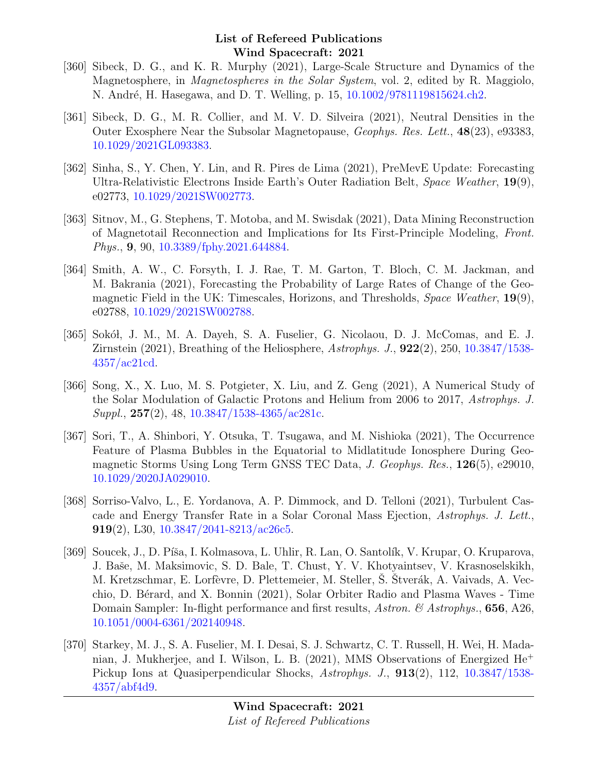- [360] Sibeck, D. G., and K. R. Murphy (2021), Large-Scale Structure and Dynamics of the Magnetosphere, in Magnetospheres in the Solar System, vol. 2, edited by R. Maggiolo, N. André, H. Hasegawa, and D. T. Welling, p. 15, [10.1002/9781119815624.ch2.](http://dx.doi.org/10.1002/9781119815624.ch2)
- [361] Sibeck, D. G., M. R. Collier, and M. V. D. Silveira (2021), Neutral Densities in the Outer Exosphere Near the Subsolar Magnetopause, Geophys. Res. Lett., 48(23), e93383, [10.1029/2021GL093383.](http://dx.doi.org/10.1029/2021GL093383)
- [362] Sinha, S., Y. Chen, Y. Lin, and R. Pires de Lima (2021), PreMevE Update: Forecasting Ultra-Relativistic Electrons Inside Earth's Outer Radiation Belt, Space Weather, 19(9), e02773, [10.1029/2021SW002773.](http://dx.doi.org/10.1029/2021SW002773)
- [363] Sitnov, M., G. Stephens, T. Motoba, and M. Swisdak (2021), Data Mining Reconstruction of Magnetotail Reconnection and Implications for Its First-Principle Modeling, Front. Phys., 9, 90, [10.3389/fphy.2021.644884.](http://dx.doi.org/10.3389/fphy.2021.644884)
- [364] Smith, A. W., C. Forsyth, I. J. Rae, T. M. Garton, T. Bloch, C. M. Jackman, and M. Bakrania (2021), Forecasting the Probability of Large Rates of Change of the Geomagnetic Field in the UK: Timescales, Horizons, and Thresholds, Space Weather, 19(9), e02788, [10.1029/2021SW002788.](http://dx.doi.org/10.1029/2021SW002788)
- [365] Sokół, J. M., M. A. Dayeh, S. A. Fuselier, G. Nicolaou, D. J. McComas, and E. J. Zirnstein (2021), Breathing of the Heliosphere, Astrophys. J., 922(2), 250, [10.3847/1538-](http://dx.doi.org/10.3847/1538-4357/ac21cd) [4357/ac21cd.](http://dx.doi.org/10.3847/1538-4357/ac21cd)
- [366] Song, X., X. Luo, M. S. Potgieter, X. Liu, and Z. Geng (2021), A Numerical Study of the Solar Modulation of Galactic Protons and Helium from 2006 to 2017, Astrophys. J.  $Suppl., 257(2), 48, 10.3847/1538-4365/\text{ac}281c.$
- [367] Sori, T., A. Shinbori, Y. Otsuka, T. Tsugawa, and M. Nishioka (2021), The Occurrence Feature of Plasma Bubbles in the Equatorial to Midlatitude Ionosphere During Geomagnetic Storms Using Long Term GNSS TEC Data, J. Geophys. Res., 126(5), e29010, [10.1029/2020JA029010.](http://dx.doi.org/10.1029/2020JA029010)
- [368] Sorriso-Valvo, L., E. Yordanova, A. P. Dimmock, and D. Telloni (2021), Turbulent Cascade and Energy Transfer Rate in a Solar Coronal Mass Ejection, Astrophys. J. Lett., 919(2), L30,  $10.3847/2041 - 8213/\text{ac}26c5$ .
- [369] Soucek, J., D. Píša, I. Kolmasova, L. Uhlir, R. Lan, O. Santolík, V. Krupar, O. Kruparova, J. Baše, M. Maksimovic, S. D. Bale, T. Chust, Y. V. Khotyaintsev, V. Krasnoselskikh, M. Kretzschmar, E. Lorfèvre, D. Plettemeier, M. Steller, S. Stverák, A. Vaivads, A. Vecchio, D. B´erard, and X. Bonnin (2021), Solar Orbiter Radio and Plasma Waves - Time Domain Sampler: In-flight performance and first results, Astron. & Astrophys., **656**, A26, [10.1051/0004-6361/202140948.](http://dx.doi.org/10.1051/0004-6361/202140948)
- [370] Starkey, M. J., S. A. Fuselier, M. I. Desai, S. J. Schwartz, C. T. Russell, H. Wei, H. Madanian, J. Mukherjee, and I. Wilson, L. B. (2021), MMS Observations of Energized He<sup>+</sup> Pickup Ions at Quasiperpendicular Shocks, Astrophys. J., 913(2), 112, [10.3847/1538-](http://dx.doi.org/10.3847/1538-4357/abf4d9) [4357/abf4d9.](http://dx.doi.org/10.3847/1538-4357/abf4d9)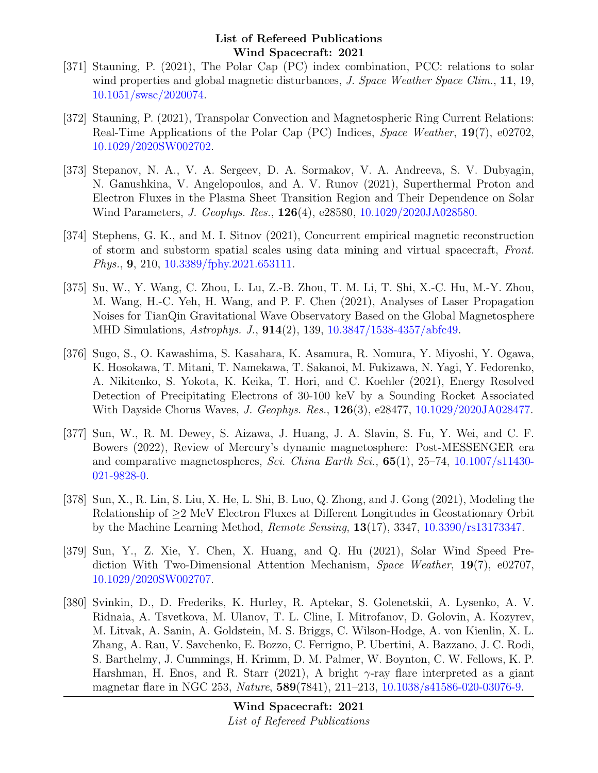- [371] Stauning, P. (2021), The Polar Cap (PC) index combination, PCC: relations to solar wind properties and global magnetic disturbances, J. Space Weather Space Clim., 11, 19, [10.1051/swsc/2020074.](http://dx.doi.org/10.1051/swsc/2020074)
- [372] Stauning, P. (2021), Transpolar Convection and Magnetospheric Ring Current Relations: Real-Time Applications of the Polar Cap (PC) Indices, Space Weather, 19(7), e02702, [10.1029/2020SW002702.](http://dx.doi.org/10.1029/2020SW002702)
- [373] Stepanov, N. A., V. A. Sergeev, D. A. Sormakov, V. A. Andreeva, S. V. Dubyagin, N. Ganushkina, V. Angelopoulos, and A. V. Runov (2021), Superthermal Proton and Electron Fluxes in the Plasma Sheet Transition Region and Their Dependence on Solar Wind Parameters, J. Geophys. Res., 126(4), e28580, [10.1029/2020JA028580.](http://dx.doi.org/10.1029/2020JA028580)
- [374] Stephens, G. K., and M. I. Sitnov (2021), Concurrent empirical magnetic reconstruction of storm and substorm spatial scales using data mining and virtual spacecraft, Front. Phys., 9, 210, [10.3389/fphy.2021.653111.](http://dx.doi.org/10.3389/fphy.2021.653111)
- [375] Su, W., Y. Wang, C. Zhou, L. Lu, Z.-B. Zhou, T. M. Li, T. Shi, X.-C. Hu, M.-Y. Zhou, M. Wang, H.-C. Yeh, H. Wang, and P. F. Chen (2021), Analyses of Laser Propagation Noises for TianQin Gravitational Wave Observatory Based on the Global Magnetosphere MHD Simulations, Astrophys. J., 914(2), 139, [10.3847/1538-4357/abfc49.](http://dx.doi.org/10.3847/1538-4357/abfc49)
- [376] Sugo, S., O. Kawashima, S. Kasahara, K. Asamura, R. Nomura, Y. Miyoshi, Y. Ogawa, K. Hosokawa, T. Mitani, T. Namekawa, T. Sakanoi, M. Fukizawa, N. Yagi, Y. Fedorenko, A. Nikitenko, S. Yokota, K. Keika, T. Hori, and C. Koehler (2021), Energy Resolved Detection of Precipitating Electrons of 30-100 keV by a Sounding Rocket Associated With Dayside Chorus Waves, *J. Geophys. Res.*, **126**(3), e28477, [10.1029/2020JA028477.](http://dx.doi.org/10.1029/2020JA028477)
- [377] Sun, W., R. M. Dewey, S. Aizawa, J. Huang, J. A. Slavin, S. Fu, Y. Wei, and C. F. Bowers (2022), Review of Mercury's dynamic magnetosphere: Post-MESSENGER era and comparative magnetospheres, Sci. China Earth Sci., **65**(1), 25–74, [10.1007/s11430-](http://dx.doi.org/10.1007/s11430-021-9828-0) [021-9828-0.](http://dx.doi.org/10.1007/s11430-021-9828-0)
- [378] Sun, X., R. Lin, S. Liu, X. He, L. Shi, B. Luo, Q. Zhong, and J. Gong (2021), Modeling the Relationship of ≥2 MeV Electron Fluxes at Different Longitudes in Geostationary Orbit by the Machine Learning Method, Remote Sensing, 13(17), 3347, [10.3390/rs13173347.](http://dx.doi.org/10.3390/rs13173347)
- [379] Sun, Y., Z. Xie, Y. Chen, X. Huang, and Q. Hu (2021), Solar Wind Speed Prediction With Two-Dimensional Attention Mechanism, Space Weather, 19(7), e02707, [10.1029/2020SW002707.](http://dx.doi.org/10.1029/2020SW002707)
- [380] Svinkin, D., D. Frederiks, K. Hurley, R. Aptekar, S. Golenetskii, A. Lysenko, A. V. Ridnaia, A. Tsvetkova, M. Ulanov, T. L. Cline, I. Mitrofanov, D. Golovin, A. Kozyrev, M. Litvak, A. Sanin, A. Goldstein, M. S. Briggs, C. Wilson-Hodge, A. von Kienlin, X. L. Zhang, A. Rau, V. Savchenko, E. Bozzo, C. Ferrigno, P. Ubertini, A. Bazzano, J. C. Rodi, S. Barthelmy, J. Cummings, H. Krimm, D. M. Palmer, W. Boynton, C. W. Fellows, K. P. Harshman, H. Enos, and R. Starr (2021), A bright  $\gamma$ -ray flare interpreted as a giant magnetar flare in NGC 253, Nature, 589(7841), 211–213, [10.1038/s41586-020-03076-9.](http://dx.doi.org/10.1038/s41586-020-03076-9)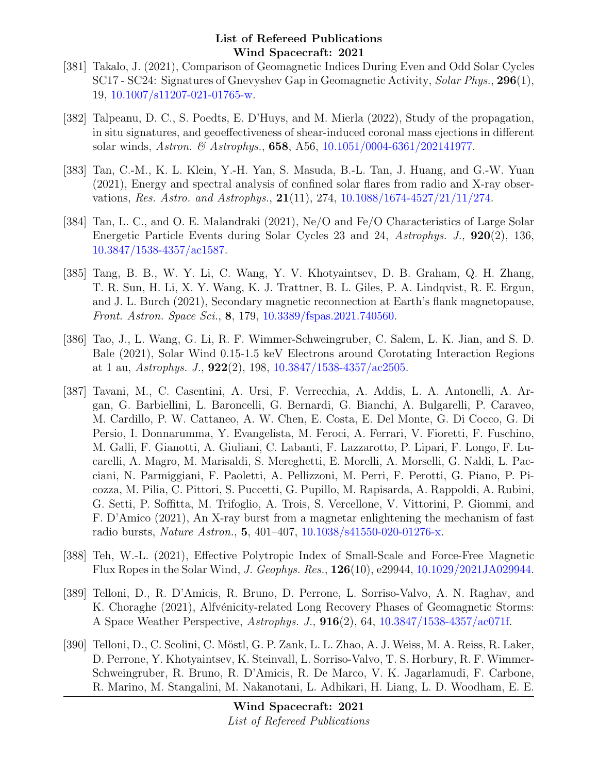- [381] Takalo, J. (2021), Comparison of Geomagnetic Indices During Even and Odd Solar Cycles SC17 - SC24: Signatures of Gnevyshev Gap in Geomagnetic Activity, Solar Phys., 296(1), 19, [10.1007/s11207-021-01765-w.](http://dx.doi.org/10.1007/s11207-021-01765-w)
- [382] Talpeanu, D. C., S. Poedts, E. D'Huys, and M. Mierla (2022), Study of the propagation, in situ signatures, and geoeffectiveness of shear-induced coronal mass ejections in different solar winds, Astron. & Astrophys., 658, A56, [10.1051/0004-6361/202141977.](http://dx.doi.org/10.1051/0004-6361/202141977)
- [383] Tan, C.-M., K. L. Klein, Y.-H. Yan, S. Masuda, B.-L. Tan, J. Huang, and G.-W. Yuan (2021), Energy and spectral analysis of confined solar flares from radio and X-ray observations, Res. Astro. and Astrophys., 21(11), 274, [10.1088/1674-4527/21/11/274.](http://dx.doi.org/10.1088/1674-4527/21/11/274)
- [384] Tan, L. C., and O. E. Malandraki (2021), Ne/O and Fe/O Characteristics of Large Solar Energetic Particle Events during Solar Cycles 23 and 24, Astrophys. J., 920(2), 136, [10.3847/1538-4357/ac1587.](http://dx.doi.org/10.3847/1538-4357/ac1587)
- [385] Tang, B. B., W. Y. Li, C. Wang, Y. V. Khotyaintsev, D. B. Graham, Q. H. Zhang, T. R. Sun, H. Li, X. Y. Wang, K. J. Trattner, B. L. Giles, P. A. Lindqvist, R. E. Ergun, and J. L. Burch (2021), Secondary magnetic reconnection at Earth's flank magnetopause, Front. Astron. Space Sci., 8, 179, [10.3389/fspas.2021.740560.](http://dx.doi.org/10.3389/fspas.2021.740560)
- [386] Tao, J., L. Wang, G. Li, R. F. Wimmer-Schweingruber, C. Salem, L. K. Jian, and S. D. Bale (2021), Solar Wind 0.15-1.5 keV Electrons around Corotating Interaction Regions at 1 au, Astrophys. J.,  $922(2)$ ,  $198$ ,  $10.3847/1538-4357/\text{ac}2505$ .
- [387] Tavani, M., C. Casentini, A. Ursi, F. Verrecchia, A. Addis, L. A. Antonelli, A. Argan, G. Barbiellini, L. Baroncelli, G. Bernardi, G. Bianchi, A. Bulgarelli, P. Caraveo, M. Cardillo, P. W. Cattaneo, A. W. Chen, E. Costa, E. Del Monte, G. Di Cocco, G. Di Persio, I. Donnarumma, Y. Evangelista, M. Feroci, A. Ferrari, V. Fioretti, F. Fuschino, M. Galli, F. Gianotti, A. Giuliani, C. Labanti, F. Lazzarotto, P. Lipari, F. Longo, F. Lucarelli, A. Magro, M. Marisaldi, S. Mereghetti, E. Morelli, A. Morselli, G. Naldi, L. Pacciani, N. Parmiggiani, F. Paoletti, A. Pellizzoni, M. Perri, F. Perotti, G. Piano, P. Picozza, M. Pilia, C. Pittori, S. Puccetti, G. Pupillo, M. Rapisarda, A. Rappoldi, A. Rubini, G. Setti, P. Soffitta, M. Trifoglio, A. Trois, S. Vercellone, V. Vittorini, P. Giommi, and F. D'Amico (2021), An X-ray burst from a magnetar enlightening the mechanism of fast radio bursts, Nature Astron., 5, 401–407, [10.1038/s41550-020-01276-x.](http://dx.doi.org/10.1038/s41550-020-01276-x)
- [388] Teh, W.-L. (2021), Effective Polytropic Index of Small-Scale and Force-Free Magnetic Flux Ropes in the Solar Wind, J. Geophys. Res., 126(10), e29944, [10.1029/2021JA029944.](http://dx.doi.org/10.1029/2021JA029944)
- [389] Telloni, D., R. D'Amicis, R. Bruno, D. Perrone, L. Sorriso-Valvo, A. N. Raghav, and K. Choraghe (2021), Alfvénicity-related Long Recovery Phases of Geomagnetic Storms: A Space Weather Perspective, Astrophys. J., 916(2), 64, [10.3847/1538-4357/ac071f.](http://dx.doi.org/10.3847/1538-4357/ac071f)
- [390] Telloni, D., C. Scolini, C. Möstl, G. P. Zank, L. L. Zhao, A. J. Weiss, M. A. Reiss, R. Laker, D. Perrone, Y. Khotyaintsev, K. Steinvall, L. Sorriso-Valvo, T. S. Horbury, R. F. Wimmer-Schweingruber, R. Bruno, R. D'Amicis, R. De Marco, V. K. Jagarlamudi, F. Carbone, R. Marino, M. Stangalini, M. Nakanotani, L. Adhikari, H. Liang, L. D. Woodham, E. E.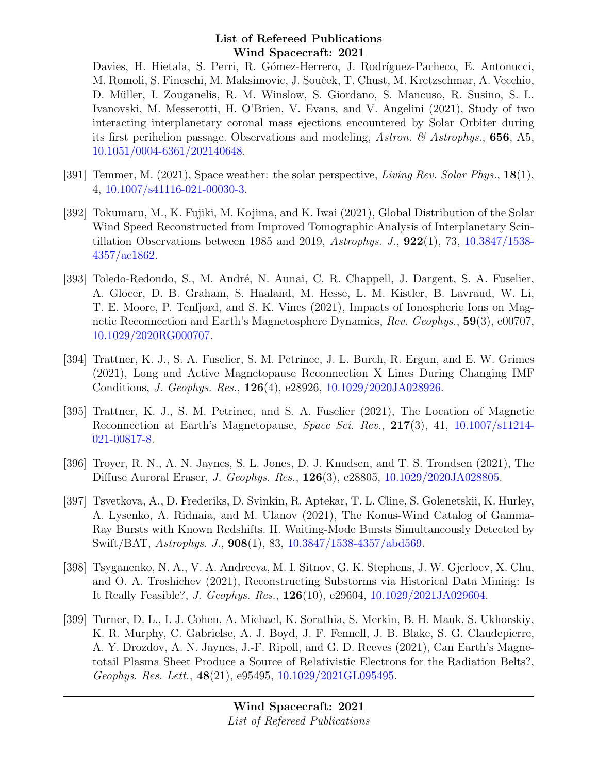Davies, H. Hietala, S. Perri, R. Gómez-Herrero, J. Rodríguez-Pacheco, E. Antonucci, M. Romoli, S. Fineschi, M. Maksimovic, J. Souček, T. Chust, M. Kretzschmar, A. Vecchio, D. Müller, I. Zouganelis, R. M. Winslow, S. Giordano, S. Mancuso, R. Susino, S. L. Ivanovski, M. Messerotti, H. O'Brien, V. Evans, and V. Angelini (2021), Study of two interacting interplanetary coronal mass ejections encountered by Solar Orbiter during its first perihelion passage. Observations and modeling, Astron. & Astrophys., 656, A5, [10.1051/0004-6361/202140648.](http://dx.doi.org/10.1051/0004-6361/202140648)

- [391] Temmer, M.  $(2021)$ , Space weather: the solar perspective, *Living Rev. Solar Phys.*, **18**(1), 4, [10.1007/s41116-021-00030-3.](http://dx.doi.org/10.1007/s41116-021-00030-3)
- [392] Tokumaru, M., K. Fujiki, M. Kojima, and K. Iwai (2021), Global Distribution of the Solar Wind Speed Reconstructed from Improved Tomographic Analysis of Interplanetary Scintillation Observations between 1985 and 2019, Astrophys. J.,  $922(1)$ , 73,  $10.3847/1538$ -[4357/ac1862.](http://dx.doi.org/10.3847/1538-4357/ac1862)
- [393] Toledo-Redondo, S., M. André, N. Aunai, C. R. Chappell, J. Dargent, S. A. Fuselier, A. Glocer, D. B. Graham, S. Haaland, M. Hesse, L. M. Kistler, B. Lavraud, W. Li, T. E. Moore, P. Tenfjord, and S. K. Vines (2021), Impacts of Ionospheric Ions on Magnetic Reconnection and Earth's Magnetosphere Dynamics, Rev. Geophys., 59(3), e00707, [10.1029/2020RG000707.](http://dx.doi.org/10.1029/2020RG000707)
- [394] Trattner, K. J., S. A. Fuselier, S. M. Petrinec, J. L. Burch, R. Ergun, and E. W. Grimes (2021), Long and Active Magnetopause Reconnection X Lines During Changing IMF Conditions, J. Geophys. Res., 126(4), e28926, [10.1029/2020JA028926.](http://dx.doi.org/10.1029/2020JA028926)
- [395] Trattner, K. J., S. M. Petrinec, and S. A. Fuselier (2021), The Location of Magnetic Reconnection at Earth's Magnetopause, Space Sci. Rev., 217(3), 41, [10.1007/s11214-](http://dx.doi.org/10.1007/s11214-021-00817-8) [021-00817-8.](http://dx.doi.org/10.1007/s11214-021-00817-8)
- [396] Troyer, R. N., A. N. Jaynes, S. L. Jones, D. J. Knudsen, and T. S. Trondsen (2021), The Diffuse Auroral Eraser, J. Geophys. Res., 126(3), e28805, [10.1029/2020JA028805.](http://dx.doi.org/10.1029/2020JA028805)
- [397] Tsvetkova, A., D. Frederiks, D. Svinkin, R. Aptekar, T. L. Cline, S. Golenetskii, K. Hurley, A. Lysenko, A. Ridnaia, and M. Ulanov (2021), The Konus-Wind Catalog of Gamma-Ray Bursts with Known Redshifts. II. Waiting-Mode Bursts Simultaneously Detected by Swift/BAT, Astrophys. J., 908(1), 83, [10.3847/1538-4357/abd569.](http://dx.doi.org/10.3847/1538-4357/abd569)
- [398] Tsyganenko, N. A., V. A. Andreeva, M. I. Sitnov, G. K. Stephens, J. W. Gjerloev, X. Chu, and O. A. Troshichev (2021), Reconstructing Substorms via Historical Data Mining: Is It Really Feasible?, J. Geophys. Res., 126(10), e29604, [10.1029/2021JA029604.](http://dx.doi.org/10.1029/2021JA029604)
- [399] Turner, D. L., I. J. Cohen, A. Michael, K. Sorathia, S. Merkin, B. H. Mauk, S. Ukhorskiy, K. R. Murphy, C. Gabrielse, A. J. Boyd, J. F. Fennell, J. B. Blake, S. G. Claudepierre, A. Y. Drozdov, A. N. Jaynes, J.-F. Ripoll, and G. D. Reeves (2021), Can Earth's Magnetotail Plasma Sheet Produce a Source of Relativistic Electrons for the Radiation Belts?, Geophys. Res. Lett., 48(21), e95495, [10.1029/2021GL095495.](http://dx.doi.org/10.1029/2021GL095495)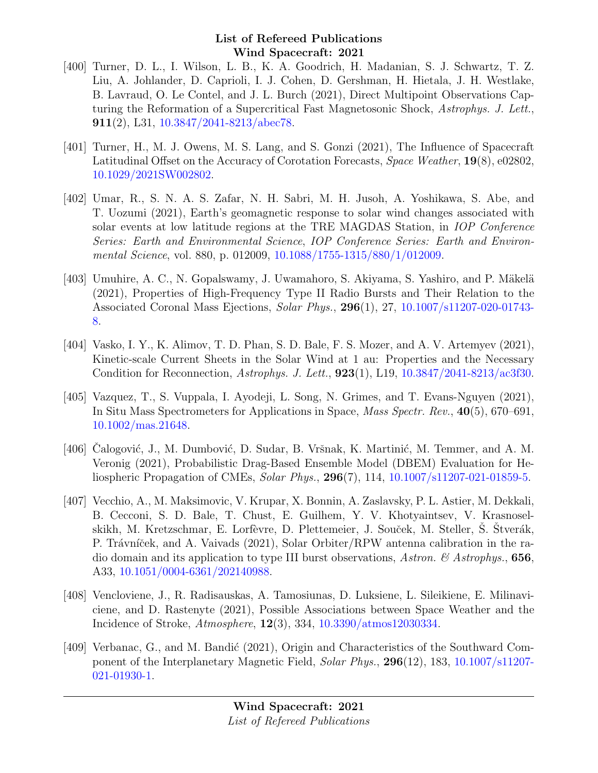- [400] Turner, D. L., I. Wilson, L. B., K. A. Goodrich, H. Madanian, S. J. Schwartz, T. Z. Liu, A. Johlander, D. Caprioli, I. J. Cohen, D. Gershman, H. Hietala, J. H. Westlake, B. Lavraud, O. Le Contel, and J. L. Burch (2021), Direct Multipoint Observations Capturing the Reformation of a Supercritical Fast Magnetosonic Shock, Astrophys. J. Lett., 911(2), L31, [10.3847/2041-8213/abec78.](http://dx.doi.org/10.3847/2041-8213/abec78)
- [401] Turner, H., M. J. Owens, M. S. Lang, and S. Gonzi (2021), The Influence of Spacecraft Latitudinal Offset on the Accuracy of Corotation Forecasts, Space Weather, 19(8), e02802, [10.1029/2021SW002802.](http://dx.doi.org/10.1029/2021SW002802)
- [402] Umar, R., S. N. A. S. Zafar, N. H. Sabri, M. H. Jusoh, A. Yoshikawa, S. Abe, and T. Uozumi (2021), Earth's geomagnetic response to solar wind changes associated with solar events at low latitude regions at the TRE MAGDAS Station, in IOP Conference Series: Earth and Environmental Science, IOP Conference Series: Earth and Environmental Science, vol. 880, p. 012009, [10.1088/1755-1315/880/1/012009.](http://dx.doi.org/10.1088/1755-1315/880/1/012009)
- [403] Umuhire, A. C., N. Gopalswamy, J. Uwamahoro, S. Akiyama, S. Yashiro, and P. Mäkelä (2021), Properties of High-Frequency Type II Radio Bursts and Their Relation to the Associated Coronal Mass Ejections, Solar Phys., 296(1), 27, [10.1007/s11207-020-01743-](http://dx.doi.org/10.1007/s11207-020-01743-8) [8.](http://dx.doi.org/10.1007/s11207-020-01743-8)
- [404] Vasko, I. Y., K. Alimov, T. D. Phan, S. D. Bale, F. S. Mozer, and A. V. Artemyev (2021), Kinetic-scale Current Sheets in the Solar Wind at 1 au: Properties and the Necessary Condition for Reconnection, Astrophys. J. Lett., 923(1), L19, [10.3847/2041-8213/ac3f30.](http://dx.doi.org/10.3847/2041-8213/ac3f30)
- [405] Vazquez, T., S. Vuppala, I. Ayodeji, L. Song, N. Grimes, and T. Evans-Nguyen (2021), In Situ Mass Spectrometers for Applications in Space, Mass Spectr. Rev., 40(5), 670–691, [10.1002/mas.21648.](http://dx.doi.org/10.1002/mas.21648)
- [406] Calogović, J., M. Dumbović, D. Sudar, B. Vršnak, K. Martinić, M. Temmer, and A. M. Veronig (2021), Probabilistic Drag-Based Ensemble Model (DBEM) Evaluation for Heliospheric Propagation of CMEs, Solar Phys., 296(7), 114, [10.1007/s11207-021-01859-5.](http://dx.doi.org/10.1007/s11207-021-01859-5)
- [407] Vecchio, A., M. Maksimovic, V. Krupar, X. Bonnin, A. Zaslavsky, P. L. Astier, M. Dekkali, B. Cecconi, S. D. Bale, T. Chust, E. Guilhem, Y. V. Khotyaintsev, V. Krasnoselskikh, M. Kretzschmar, E. Lorfèvre, D. Plettemeier, J. Souček, M. Steller, S. Stverák, P. Trávníček, and A. Vaivads (2021), Solar Orbiter/RPW antenna calibration in the radio domain and its application to type III burst observations, Astron.  $\&$  Astrophys., 656, A33, [10.1051/0004-6361/202140988.](http://dx.doi.org/10.1051/0004-6361/202140988)
- [408] Vencloviene, J., R. Radisauskas, A. Tamosiunas, D. Luksiene, L. Sileikiene, E. Milinaviciene, and D. Rastenyte (2021), Possible Associations between Space Weather and the Incidence of Stroke, Atmosphere, 12(3), 334, [10.3390/atmos12030334.](http://dx.doi.org/10.3390/atmos12030334)
- [409] Verbanac, G., and M. Bandić (2021), Origin and Characteristics of the Southward Component of the Interplanetary Magnetic Field, Solar Phys., 296(12), 183, [10.1007/s11207-](http://dx.doi.org/10.1007/s11207-021-01930-1) [021-01930-1.](http://dx.doi.org/10.1007/s11207-021-01930-1)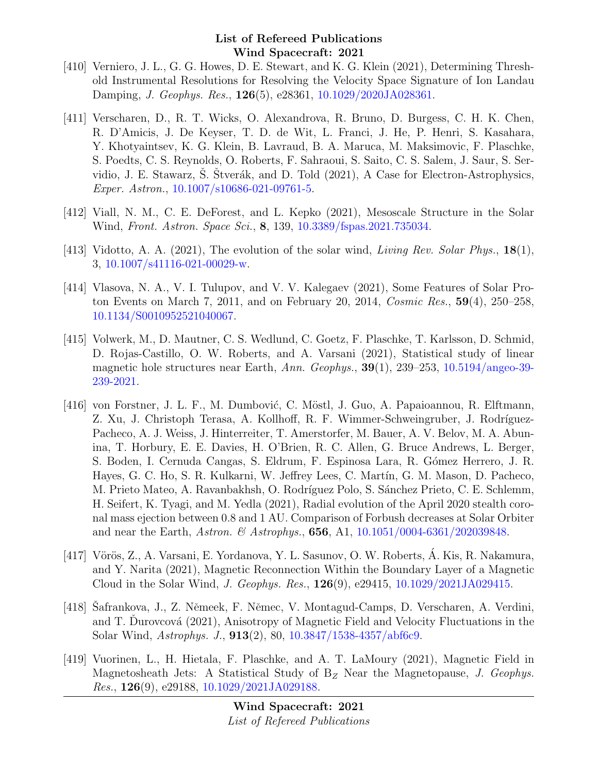- [410] Verniero, J. L., G. G. Howes, D. E. Stewart, and K. G. Klein (2021), Determining Threshold Instrumental Resolutions for Resolving the Velocity Space Signature of Ion Landau Damping, J. Geophys. Res., 126(5), e28361, [10.1029/2020JA028361.](http://dx.doi.org/10.1029/2020JA028361)
- [411] Verscharen, D., R. T. Wicks, O. Alexandrova, R. Bruno, D. Burgess, C. H. K. Chen, R. D'Amicis, J. De Keyser, T. D. de Wit, L. Franci, J. He, P. Henri, S. Kasahara, Y. Khotyaintsev, K. G. Klein, B. Lavraud, B. A. Maruca, M. Maksimovic, F. Plaschke, S. Poedts, C. S. Reynolds, O. Roberts, F. Sahraoui, S. Saito, C. S. Salem, J. Saur, S. Servidio, J. E. Stawarz, Š. Štverák, and D. Told  $(2021)$ , A Case for Electron-Astrophysics, Exper. Astron., [10.1007/s10686-021-09761-5.](http://dx.doi.org/10.1007/s10686-021-09761-5)
- [412] Viall, N. M., C. E. DeForest, and L. Kepko (2021), Mesoscale Structure in the Solar Wind, Front. Astron. Space Sci., 8, 139, [10.3389/fspas.2021.735034.](http://dx.doi.org/10.3389/fspas.2021.735034)
- [413] Vidotto, A. A. (2021), The evolution of the solar wind, *Living Rev. Solar Phys.*,  $18(1)$ , 3, [10.1007/s41116-021-00029-w.](http://dx.doi.org/10.1007/s41116-021-00029-w)
- [414] Vlasova, N. A., V. I. Tulupov, and V. V. Kalegaev (2021), Some Features of Solar Proton Events on March 7, 2011, and on February 20, 2014, Cosmic Res., 59(4), 250–258, [10.1134/S0010952521040067.](http://dx.doi.org/10.1134/S0010952521040067)
- [415] Volwerk, M., D. Mautner, C. S. Wedlund, C. Goetz, F. Plaschke, T. Karlsson, D. Schmid, D. Rojas-Castillo, O. W. Roberts, and A. Varsani (2021), Statistical study of linear magnetic hole structures near Earth, Ann. Geophys., 39(1), 239–253, [10.5194/angeo-39-](http://dx.doi.org/10.5194/angeo-39-239-2021) [239-2021.](http://dx.doi.org/10.5194/angeo-39-239-2021)
- [416] von Forstner, J. L. F., M. Dumbović, C. Möstl, J. Guo, A. Papaioannou, R. Elftmann, Z. Xu, J. Christoph Terasa, A. Kollhoff, R. F. Wimmer-Schweingruber, J. Rodríguez-Pacheco, A. J. Weiss, J. Hinterreiter, T. Amerstorfer, M. Bauer, A. V. Belov, M. A. Abunina, T. Horbury, E. E. Davies, H. O'Brien, R. C. Allen, G. Bruce Andrews, L. Berger, S. Boden, I. Cernuda Cangas, S. Eldrum, F. Espinosa Lara, R. Gómez Herrero, J. R. Hayes, G. C. Ho, S. R. Kulkarni, W. Jeffrey Lees, C. Martín, G. M. Mason, D. Pacheco, M. Prieto Mateo, A. Ravanbakhsh, O. Rodríguez Polo, S. Sánchez Prieto, C. E. Schlemm, H. Seifert, K. Tyagi, and M. Yedla (2021), Radial evolution of the April 2020 stealth coronal mass ejection between 0.8 and 1 AU. Comparison of Forbush decreases at Solar Orbiter and near the Earth, Astron. & Astrophys., **656**, A1,  $10.1051/0004-6361/202039848$ .
- [417] Vörös, Z., A. Varsani, E. Yordanova, Y. L. Sasunov, O. W. Roberts, Á. Kis, R. Nakamura, and Y. Narita (2021), Magnetic Reconnection Within the Boundary Layer of a Magnetic Cloud in the Solar Wind, J. Geophys. Res., 126(9), e29415, [10.1029/2021JA029415.](http://dx.doi.org/10.1029/2021JA029415)
- [418] Safrankova, J., Z. Němeek, F. Němec, V. Montagud-Camps, D. Verscharen, A. Verdini, and T. Durovcová  $(2021)$ , Anisotropy of Magnetic Field and Velocity Fluctuations in the Solar Wind, Astrophys. J., 913(2), 80, [10.3847/1538-4357/abf6c9.](http://dx.doi.org/10.3847/1538-4357/abf6c9)
- [419] Vuorinen, L., H. Hietala, F. Plaschke, and A. T. LaMoury (2021), Magnetic Field in Magnetosheath Jets: A Statistical Study of  $B_Z$  Near the Magnetopause, J. Geophys. *Res.*,  $126(9)$ , e29188,  $10.1029/2021JA029188$ .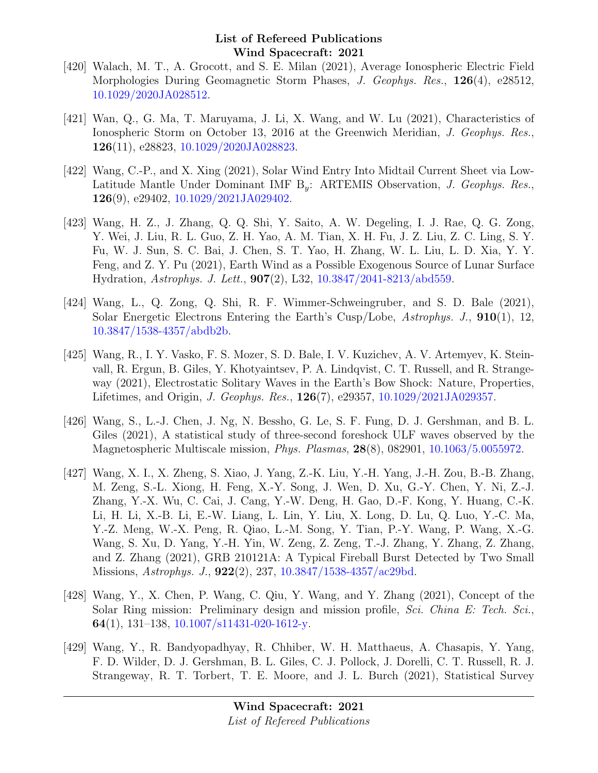- [420] Walach, M. T., A. Grocott, and S. E. Milan (2021), Average Ionospheric Electric Field Morphologies During Geomagnetic Storm Phases, J. Geophys. Res., 126(4), e28512, [10.1029/2020JA028512.](http://dx.doi.org/10.1029/2020JA028512)
- [421] Wan, Q., G. Ma, T. Maruyama, J. Li, X. Wang, and W. Lu (2021), Characteristics of Ionospheric Storm on October 13, 2016 at the Greenwich Meridian, J. Geophys. Res., 126(11), e28823, [10.1029/2020JA028823.](http://dx.doi.org/10.1029/2020JA028823)
- [422] Wang, C.-P., and X. Xing (2021), Solar Wind Entry Into Midtail Current Sheet via Low-Latitude Mantle Under Dominant IMF  $B_y$ : ARTEMIS Observation, J. Geophys. Res., 126(9), e29402, [10.1029/2021JA029402.](http://dx.doi.org/10.1029/2021JA029402)
- [423] Wang, H. Z., J. Zhang, Q. Q. Shi, Y. Saito, A. W. Degeling, I. J. Rae, Q. G. Zong, Y. Wei, J. Liu, R. L. Guo, Z. H. Yao, A. M. Tian, X. H. Fu, J. Z. Liu, Z. C. Ling, S. Y. Fu, W. J. Sun, S. C. Bai, J. Chen, S. T. Yao, H. Zhang, W. L. Liu, L. D. Xia, Y. Y. Feng, and Z. Y. Pu (2021), Earth Wind as a Possible Exogenous Source of Lunar Surface Hydration, Astrophys. J. Lett., 907(2), L32, [10.3847/2041-8213/abd559.](http://dx.doi.org/10.3847/2041-8213/abd559)
- [424] Wang, L., Q. Zong, Q. Shi, R. F. Wimmer-Schweingruber, and S. D. Bale (2021), Solar Energetic Electrons Entering the Earth's Cusp/Lobe, Astrophys. J., 910(1), 12, [10.3847/1538-4357/abdb2b.](http://dx.doi.org/10.3847/1538-4357/abdb2b)
- [425] Wang, R., I. Y. Vasko, F. S. Mozer, S. D. Bale, I. V. Kuzichev, A. V. Artemyev, K. Steinvall, R. Ergun, B. Giles, Y. Khotyaintsev, P. A. Lindqvist, C. T. Russell, and R. Strangeway (2021), Electrostatic Solitary Waves in the Earth's Bow Shock: Nature, Properties, Lifetimes, and Origin, J. Geophys. Res., 126(7), e29357, [10.1029/2021JA029357.](http://dx.doi.org/10.1029/2021JA029357)
- [426] Wang, S., L.-J. Chen, J. Ng, N. Bessho, G. Le, S. F. Fung, D. J. Gershman, and B. L. Giles (2021), A statistical study of three-second foreshock ULF waves observed by the Magnetospheric Multiscale mission, Phys. Plasmas, 28(8), 082901, [10.1063/5.0055972.](http://dx.doi.org/10.1063/5.0055972)
- [427] Wang, X. I., X. Zheng, S. Xiao, J. Yang, Z.-K. Liu, Y.-H. Yang, J.-H. Zou, B.-B. Zhang, M. Zeng, S.-L. Xiong, H. Feng, X.-Y. Song, J. Wen, D. Xu, G.-Y. Chen, Y. Ni, Z.-J. Zhang, Y.-X. Wu, C. Cai, J. Cang, Y.-W. Deng, H. Gao, D.-F. Kong, Y. Huang, C.-K. Li, H. Li, X.-B. Li, E.-W. Liang, L. Lin, Y. Liu, X. Long, D. Lu, Q. Luo, Y.-C. Ma, Y.-Z. Meng, W.-X. Peng, R. Qiao, L.-M. Song, Y. Tian, P.-Y. Wang, P. Wang, X.-G. Wang, S. Xu, D. Yang, Y.-H. Yin, W. Zeng, Z. Zeng, T.-J. Zhang, Y. Zhang, Z. Zhang, and Z. Zhang (2021), GRB 210121A: A Typical Fireball Burst Detected by Two Small Missions, *Astrophys. J.*, **922**(2), 237, [10.3847/1538-4357/ac29bd.](http://dx.doi.org/10.3847/1538-4357/ac29bd)
- [428] Wang, Y., X. Chen, P. Wang, C. Qiu, Y. Wang, and Y. Zhang (2021), Concept of the Solar Ring mission: Preliminary design and mission profile, Sci. China E: Tech. Sci., 64(1), 131–138, [10.1007/s11431-020-1612-y.](http://dx.doi.org/10.1007/s11431-020-1612-y)
- [429] Wang, Y., R. Bandyopadhyay, R. Chhiber, W. H. Matthaeus, A. Chasapis, Y. Yang, F. D. Wilder, D. J. Gershman, B. L. Giles, C. J. Pollock, J. Dorelli, C. T. Russell, R. J. Strangeway, R. T. Torbert, T. E. Moore, and J. L. Burch (2021), Statistical Survey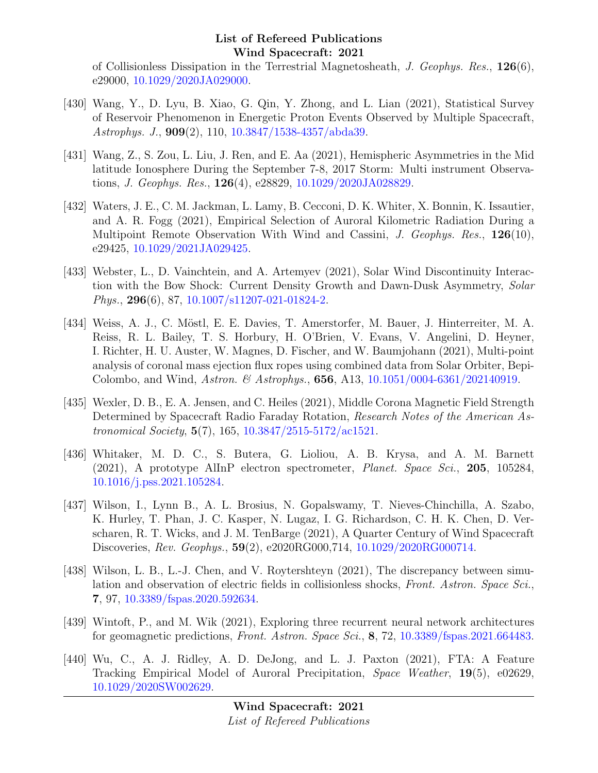of Collisionless Dissipation in the Terrestrial Magnetosheath, J. Geophys. Res.,  $126(6)$ , e29000, [10.1029/2020JA029000.](http://dx.doi.org/10.1029/2020JA029000)

- [430] Wang, Y., D. Lyu, B. Xiao, G. Qin, Y. Zhong, and L. Lian (2021), Statistical Survey of Reservoir Phenomenon in Energetic Proton Events Observed by Multiple Spacecraft, Astrophys. J., 909(2), 110, [10.3847/1538-4357/abda39.](http://dx.doi.org/10.3847/1538-4357/abda39)
- [431] Wang, Z., S. Zou, L. Liu, J. Ren, and E. Aa (2021), Hemispheric Asymmetries in the Mid latitude Ionosphere During the September 7-8, 2017 Storm: Multi instrument Observations, J. Geophys. Res., 126(4), e28829, [10.1029/2020JA028829.](http://dx.doi.org/10.1029/2020JA028829)
- [432] Waters, J. E., C. M. Jackman, L. Lamy, B. Cecconi, D. K. Whiter, X. Bonnin, K. Issautier, and A. R. Fogg (2021), Empirical Selection of Auroral Kilometric Radiation During a Multipoint Remote Observation With Wind and Cassini, J. Geophys. Res., 126(10), e29425, [10.1029/2021JA029425.](http://dx.doi.org/10.1029/2021JA029425)
- [433] Webster, L., D. Vainchtein, and A. Artemyev (2021), Solar Wind Discontinuity Interaction with the Bow Shock: Current Density Growth and Dawn-Dusk Asymmetry, Solar Phys., 296(6), 87, [10.1007/s11207-021-01824-2.](http://dx.doi.org/10.1007/s11207-021-01824-2)
- [434] Weiss, A. J., C. Möstl, E. E. Davies, T. Amerstorfer, M. Bauer, J. Hinterreiter, M. A. Reiss, R. L. Bailey, T. S. Horbury, H. O'Brien, V. Evans, V. Angelini, D. Heyner, I. Richter, H. U. Auster, W. Magnes, D. Fischer, and W. Baumjohann (2021), Multi-point analysis of coronal mass ejection flux ropes using combined data from Solar Orbiter, Bepi-Colombo, and Wind, Astron. & Astrophys., 656, A13, [10.1051/0004-6361/202140919.](http://dx.doi.org/10.1051/0004-6361/202140919)
- [435] Wexler, D. B., E. A. Jensen, and C. Heiles (2021), Middle Corona Magnetic Field Strength Determined by Spacecraft Radio Faraday Rotation, Research Notes of the American Astronomical Society, 5(7), 165, [10.3847/2515-5172/ac1521.](http://dx.doi.org/10.3847/2515-5172/ac1521)
- [436] Whitaker, M. D. C., S. Butera, G. Lioliou, A. B. Krysa, and A. M. Barnett (2021), A prototype AlInP electron spectrometer, Planet. Space Sci., 205, 105284, [10.1016/j.pss.2021.105284.](http://dx.doi.org/10.1016/j.pss.2021.105284)
- [437] Wilson, I., Lynn B., A. L. Brosius, N. Gopalswamy, T. Nieves-Chinchilla, A. Szabo, K. Hurley, T. Phan, J. C. Kasper, N. Lugaz, I. G. Richardson, C. H. K. Chen, D. Verscharen, R. T. Wicks, and J. M. TenBarge (2021), A Quarter Century of Wind Spacecraft Discoveries, Rev. Geophys., 59(2), e2020RG000,714, [10.1029/2020RG000714.](http://dx.doi.org/10.1029/2020RG000714)
- [438] Wilson, L. B., L.-J. Chen, and V. Roytershteyn (2021), The discrepancy between simulation and observation of electric fields in collisionless shocks, Front. Astron. Space Sci., 7, 97, [10.3389/fspas.2020.592634.](http://dx.doi.org/10.3389/fspas.2020.592634)
- [439] Wintoft, P., and M. Wik (2021), Exploring three recurrent neural network architectures for geomagnetic predictions, Front. Astron. Space Sci., 8, 72, [10.3389/fspas.2021.664483.](http://dx.doi.org/10.3389/fspas.2021.664483)
- [440] Wu, C., A. J. Ridley, A. D. DeJong, and L. J. Paxton (2021), FTA: A Feature Tracking Empirical Model of Auroral Precipitation, Space Weather, 19(5), e02629, [10.1029/2020SW002629.](http://dx.doi.org/10.1029/2020SW002629)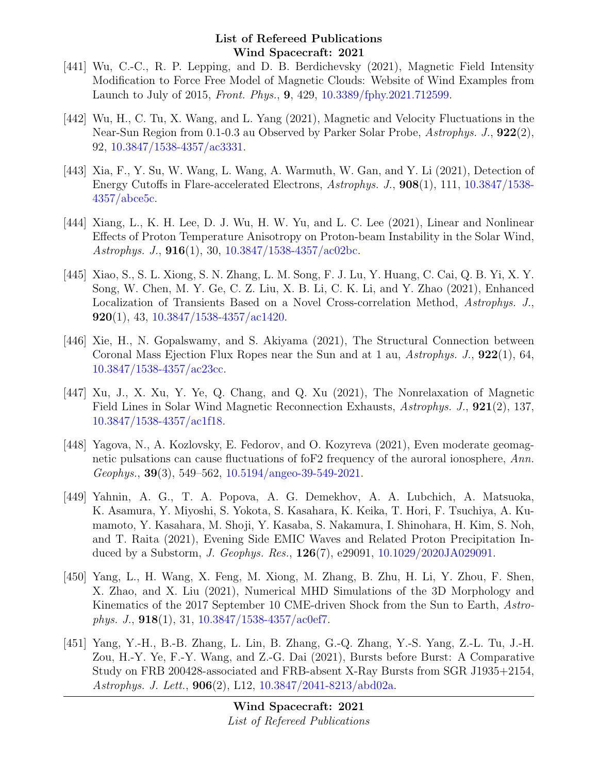- [441] Wu, C.-C., R. P. Lepping, and D. B. Berdichevsky (2021), Magnetic Field Intensity Modification to Force Free Model of Magnetic Clouds: Website of Wind Examples from Launch to July of 2015, Front. Phys., 9, 429, [10.3389/fphy.2021.712599.](http://dx.doi.org/10.3389/fphy.2021.712599)
- [442] Wu, H., C. Tu, X. Wang, and L. Yang (2021), Magnetic and Velocity Fluctuations in the Near-Sun Region from 0.1-0.3 au Observed by Parker Solar Probe, Astrophys. J., 922(2), 92, [10.3847/1538-4357/ac3331.](http://dx.doi.org/10.3847/1538-4357/ac3331)
- [443] Xia, F., Y. Su, W. Wang, L. Wang, A. Warmuth, W. Gan, and Y. Li (2021), Detection of Energy Cutoffs in Flare-accelerated Electrons, Astrophys. J., 908(1), 111, [10.3847/1538-](http://dx.doi.org/10.3847/1538-4357/abce5c) [4357/abce5c.](http://dx.doi.org/10.3847/1538-4357/abce5c)
- [444] Xiang, L., K. H. Lee, D. J. Wu, H. W. Yu, and L. C. Lee (2021), Linear and Nonlinear Effects of Proton Temperature Anisotropy on Proton-beam Instability in the Solar Wind, Astrophys. J.,  $916(1)$ , 30,  $10.3847/1538-4357/\text{ac02bc}$ .
- [445] Xiao, S., S. L. Xiong, S. N. Zhang, L. M. Song, F. J. Lu, Y. Huang, C. Cai, Q. B. Yi, X. Y. Song, W. Chen, M. Y. Ge, C. Z. Liu, X. B. Li, C. K. Li, and Y. Zhao (2021), Enhanced Localization of Transients Based on a Novel Cross-correlation Method, Astrophys. J., **920**(1), 43, [10.3847/1538-4357/ac1420.](http://dx.doi.org/10.3847/1538-4357/ac1420)
- [446] Xie, H., N. Gopalswamy, and S. Akiyama (2021), The Structural Connection between Coronal Mass Ejection Flux Ropes near the Sun and at 1 au, Astrophys. J.,  $922(1)$ , 64, [10.3847/1538-4357/ac23cc.](http://dx.doi.org/10.3847/1538-4357/ac23cc)
- [447] Xu, J., X. Xu, Y. Ye, Q. Chang, and Q. Xu (2021), The Nonrelaxation of Magnetic Field Lines in Solar Wind Magnetic Reconnection Exhausts, Astrophys. J., 921(2), 137, [10.3847/1538-4357/ac1f18.](http://dx.doi.org/10.3847/1538-4357/ac1f18)
- [448] Yagova, N., A. Kozlovsky, E. Fedorov, and O. Kozyreva (2021), Even moderate geomagnetic pulsations can cause fluctuations of formal frequency of the auroral ionosphere, Ann. Geophys., 39(3), 549–562, [10.5194/angeo-39-549-2021.](http://dx.doi.org/10.5194/angeo-39-549-2021)
- [449] Yahnin, A. G., T. A. Popova, A. G. Demekhov, A. A. Lubchich, A. Matsuoka, K. Asamura, Y. Miyoshi, S. Yokota, S. Kasahara, K. Keika, T. Hori, F. Tsuchiya, A. Kumamoto, Y. Kasahara, M. Shoji, Y. Kasaba, S. Nakamura, I. Shinohara, H. Kim, S. Noh, and T. Raita (2021), Evening Side EMIC Waves and Related Proton Precipitation Induced by a Substorm, J. Geophys. Res., 126(7), e29091, [10.1029/2020JA029091.](http://dx.doi.org/10.1029/2020JA029091)
- [450] Yang, L., H. Wang, X. Feng, M. Xiong, M. Zhang, B. Zhu, H. Li, Y. Zhou, F. Shen, X. Zhao, and X. Liu (2021), Numerical MHD Simulations of the 3D Morphology and Kinematics of the 2017 September 10 CME-driven Shock from the Sun to Earth, Astrophys. J.,  $918(1)$ ,  $31$ ,  $10.3847/1538-4357/\text{ac0ef7}$ .
- [451] Yang, Y.-H., B.-B. Zhang, L. Lin, B. Zhang, G.-Q. Zhang, Y.-S. Yang, Z.-L. Tu, J.-H. Zou, H.-Y. Ye, F.-Y. Wang, and Z.-G. Dai (2021), Bursts before Burst: A Comparative Study on FRB 200428-associated and FRB-absent X-Ray Bursts from SGR J1935+2154, Astrophys. J. Lett., 906(2), L12, [10.3847/2041-8213/abd02a.](http://dx.doi.org/10.3847/2041-8213/abd02a)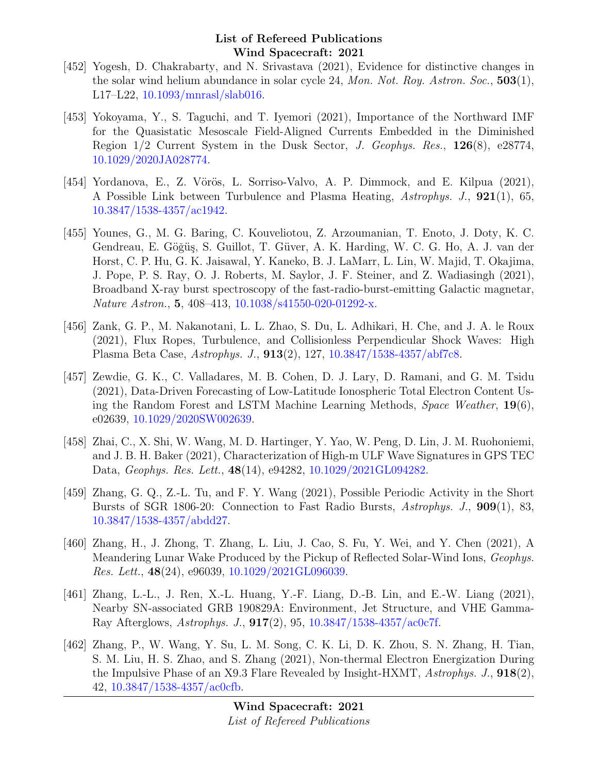- [452] Yogesh, D. Chakrabarty, and N. Srivastava (2021), Evidence for distinctive changes in the solar wind helium abundance in solar cycle 24, Mon. Not. Roy. Astron. Soc., 503(1), L17–L22, [10.1093/mnrasl/slab016.](http://dx.doi.org/10.1093/mnrasl/slab016)
- [453] Yokoyama, Y., S. Taguchi, and T. Iyemori (2021), Importance of the Northward IMF for the Quasistatic Mesoscale Field-Aligned Currents Embedded in the Diminished Region 1/2 Current System in the Dusk Sector, J. Geophys. Res., 126(8), e28774, [10.1029/2020JA028774.](http://dx.doi.org/10.1029/2020JA028774)
- [454] Yordanova, E., Z. Vörös, L. Sorriso-Valvo, A. P. Dimmock, and E. Kilpua (2021), A Possible Link between Turbulence and Plasma Heating, Astrophys. J., 921(1), 65, [10.3847/1538-4357/ac1942.](http://dx.doi.org/10.3847/1538-4357/ac1942)
- [455] Younes, G., M. G. Baring, C. Kouveliotou, Z. Arzoumanian, T. Enoto, J. Doty, K. C. Gendreau, E. Göğüş, S. Guillot, T. Güver, A. K. Harding, W. C. G. Ho, A. J. van der Horst, C. P. Hu, G. K. Jaisawal, Y. Kaneko, B. J. LaMarr, L. Lin, W. Majid, T. Okajima, J. Pope, P. S. Ray, O. J. Roberts, M. Saylor, J. F. Steiner, and Z. Wadiasingh (2021), Broadband X-ray burst spectroscopy of the fast-radio-burst-emitting Galactic magnetar, Nature Astron., 5, 408–413, [10.1038/s41550-020-01292-x.](http://dx.doi.org/10.1038/s41550-020-01292-x)
- [456] Zank, G. P., M. Nakanotani, L. L. Zhao, S. Du, L. Adhikari, H. Che, and J. A. le Roux (2021), Flux Ropes, Turbulence, and Collisionless Perpendicular Shock Waves: High Plasma Beta Case, Astrophys. J., 913(2), 127, [10.3847/1538-4357/abf7c8.](http://dx.doi.org/10.3847/1538-4357/abf7c8)
- [457] Zewdie, G. K., C. Valladares, M. B. Cohen, D. J. Lary, D. Ramani, and G. M. Tsidu (2021), Data-Driven Forecasting of Low-Latitude Ionospheric Total Electron Content Using the Random Forest and LSTM Machine Learning Methods, Space Weather,  $19(6)$ , e02639, [10.1029/2020SW002639.](http://dx.doi.org/10.1029/2020SW002639)
- [458] Zhai, C., X. Shi, W. Wang, M. D. Hartinger, Y. Yao, W. Peng, D. Lin, J. M. Ruohoniemi, and J. B. H. Baker (2021), Characterization of High-m ULF Wave Signatures in GPS TEC Data, Geophys. Res. Lett., 48(14), e94282, [10.1029/2021GL094282.](http://dx.doi.org/10.1029/2021GL094282)
- [459] Zhang, G. Q., Z.-L. Tu, and F. Y. Wang (2021), Possible Periodic Activity in the Short Bursts of SGR 1806-20: Connection to Fast Radio Bursts, Astrophys. J., 909(1), 83, [10.3847/1538-4357/abdd27.](http://dx.doi.org/10.3847/1538-4357/abdd27)
- [460] Zhang, H., J. Zhong, T. Zhang, L. Liu, J. Cao, S. Fu, Y. Wei, and Y. Chen (2021), A Meandering Lunar Wake Produced by the Pickup of Reflected Solar-Wind Ions, Geophys. Res. Lett., 48(24), e96039, [10.1029/2021GL096039.](http://dx.doi.org/10.1029/2021GL096039)
- [461] Zhang, L.-L., J. Ren, X.-L. Huang, Y.-F. Liang, D.-B. Lin, and E.-W. Liang (2021), Nearby SN-associated GRB 190829A: Environment, Jet Structure, and VHE Gamma-Ray Afterglows, Astrophys. J., 917(2), 95, [10.3847/1538-4357/ac0c7f.](http://dx.doi.org/10.3847/1538-4357/ac0c7f)
- [462] Zhang, P., W. Wang, Y. Su, L. M. Song, C. K. Li, D. K. Zhou, S. N. Zhang, H. Tian, S. M. Liu, H. S. Zhao, and S. Zhang (2021), Non-thermal Electron Energization During the Impulsive Phase of an X9.3 Flare Revealed by Insight-HXMT,  $A \text{strophys. J}$ ,  $918(2)$ , 42, [10.3847/1538-4357/ac0cfb.](http://dx.doi.org/10.3847/1538-4357/ac0cfb)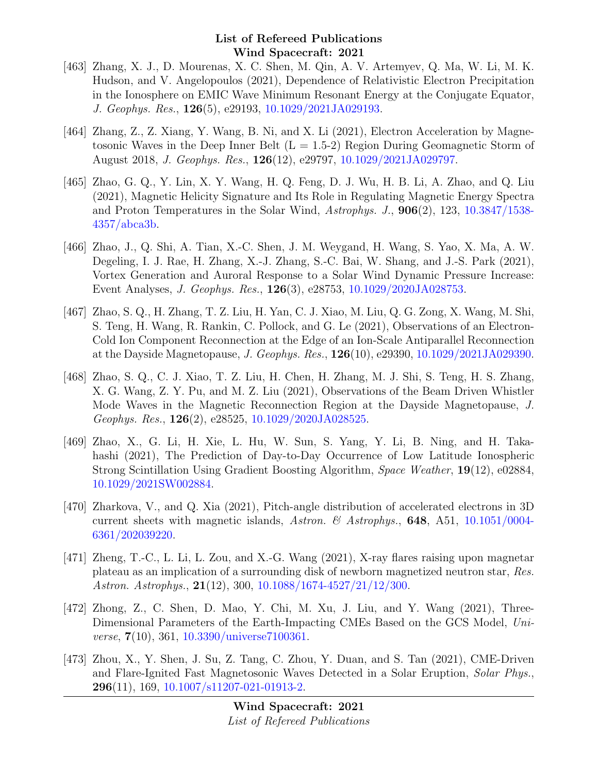- [463] Zhang, X. J., D. Mourenas, X. C. Shen, M. Qin, A. V. Artemyev, Q. Ma, W. Li, M. K. Hudson, and V. Angelopoulos (2021), Dependence of Relativistic Electron Precipitation in the Ionosphere on EMIC Wave Minimum Resonant Energy at the Conjugate Equator, J. Geophys. Res., 126(5), e29193, [10.1029/2021JA029193.](http://dx.doi.org/10.1029/2021JA029193)
- [464] Zhang, Z., Z. Xiang, Y. Wang, B. Ni, and X. Li (2021), Electron Acceleration by Magnetosonic Waves in the Deep Inner Belt  $(L = 1.5-2)$  Region During Geomagnetic Storm of August 2018, J. Geophys. Res., 126(12), e29797, [10.1029/2021JA029797.](http://dx.doi.org/10.1029/2021JA029797)
- [465] Zhao, G. Q., Y. Lin, X. Y. Wang, H. Q. Feng, D. J. Wu, H. B. Li, A. Zhao, and Q. Liu (2021), Magnetic Helicity Signature and Its Role in Regulating Magnetic Energy Spectra and Proton Temperatures in the Solar Wind, Astrophys. J., 906(2), 123, [10.3847/1538-](http://dx.doi.org/10.3847/1538-4357/abca3b) [4357/abca3b.](http://dx.doi.org/10.3847/1538-4357/abca3b)
- [466] Zhao, J., Q. Shi, A. Tian, X.-C. Shen, J. M. Weygand, H. Wang, S. Yao, X. Ma, A. W. Degeling, I. J. Rae, H. Zhang, X.-J. Zhang, S.-C. Bai, W. Shang, and J.-S. Park (2021), Vortex Generation and Auroral Response to a Solar Wind Dynamic Pressure Increase: Event Analyses, J. Geophys. Res., 126(3), e28753, [10.1029/2020JA028753.](http://dx.doi.org/10.1029/2020JA028753)
- [467] Zhao, S. Q., H. Zhang, T. Z. Liu, H. Yan, C. J. Xiao, M. Liu, Q. G. Zong, X. Wang, M. Shi, S. Teng, H. Wang, R. Rankin, C. Pollock, and G. Le (2021), Observations of an Electron-Cold Ion Component Reconnection at the Edge of an Ion-Scale Antiparallel Reconnection at the Dayside Magnetopause, J. Geophys. Res., 126(10), e29390, [10.1029/2021JA029390.](http://dx.doi.org/10.1029/2021JA029390)
- [468] Zhao, S. Q., C. J. Xiao, T. Z. Liu, H. Chen, H. Zhang, M. J. Shi, S. Teng, H. S. Zhang, X. G. Wang, Z. Y. Pu, and M. Z. Liu (2021), Observations of the Beam Driven Whistler Mode Waves in the Magnetic Reconnection Region at the Dayside Magnetopause, J. Geophys. Res., 126(2), e28525, [10.1029/2020JA028525.](http://dx.doi.org/10.1029/2020JA028525)
- [469] Zhao, X., G. Li, H. Xie, L. Hu, W. Sun, S. Yang, Y. Li, B. Ning, and H. Takahashi (2021), The Prediction of Day-to-Day Occurrence of Low Latitude Ionospheric Strong Scintillation Using Gradient Boosting Algorithm, Space Weather, 19(12), e02884, [10.1029/2021SW002884.](http://dx.doi.org/10.1029/2021SW002884)
- [470] Zharkova, V., and Q. Xia (2021), Pitch-angle distribution of accelerated electrons in 3D current sheets with magnetic islands, Astron. & Astrophys., **648**, A51, [10.1051/0004-](http://dx.doi.org/10.1051/0004-6361/202039220) [6361/202039220.](http://dx.doi.org/10.1051/0004-6361/202039220)
- [471] Zheng, T.-C., L. Li, L. Zou, and X.-G. Wang (2021), X-ray flares raising upon magnetar plateau as an implication of a surrounding disk of newborn magnetized neutron star, Res. Astron. Astrophys., 21(12), 300, [10.1088/1674-4527/21/12/300.](http://dx.doi.org/10.1088/1674-4527/21/12/300)
- [472] Zhong, Z., C. Shen, D. Mao, Y. Chi, M. Xu, J. Liu, and Y. Wang (2021), Three-Dimensional Parameters of the Earth-Impacting CMEs Based on the GCS Model, Uni*verse*,  $7(10)$ , 361, [10.3390/universe7100361.](http://dx.doi.org/10.3390/universe7100361)
- [473] Zhou, X., Y. Shen, J. Su, Z. Tang, C. Zhou, Y. Duan, and S. Tan (2021), CME-Driven and Flare-Ignited Fast Magnetosonic Waves Detected in a Solar Eruption, Solar Phys., 296(11), 169, [10.1007/s11207-021-01913-2.](http://dx.doi.org/10.1007/s11207-021-01913-2)